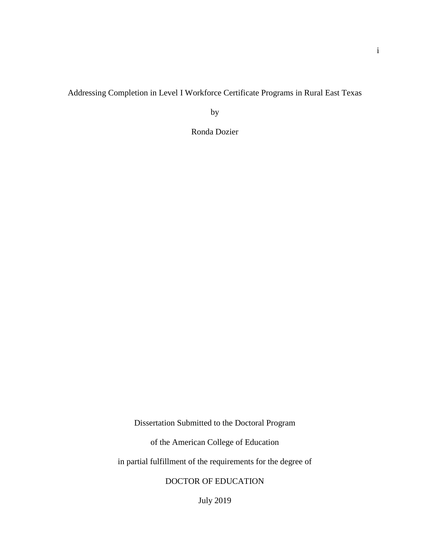Addressing Completion in Level I Workforce Certificate Programs in Rural East Texas

by

Ronda Dozier

Dissertation Submitted to the Doctoral Program

of the American College of Education

in partial fulfillment of the requirements for the degree of

DOCTOR OF EDUCATION

July 2019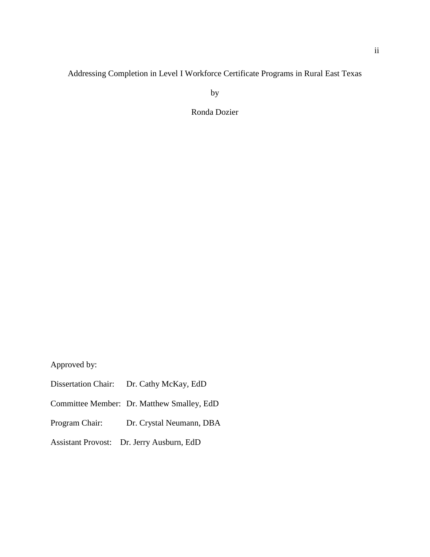# Addressing Completion in Level I Workforce Certificate Programs in Rural East Texas

by

Ronda Dozier

Approved by:

- Dissertation Chair: Dr. Cathy McKay, EdD
- Committee Member: Dr. Matthew Smalley, EdD
- Program Chair: Dr. Crystal Neumann, DBA
- Assistant Provost: Dr. Jerry Ausburn, EdD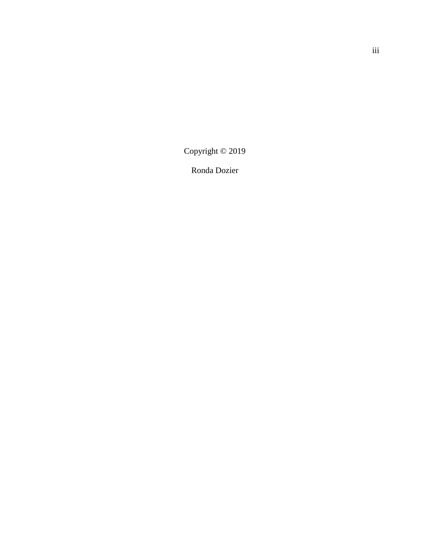Copyright © 2019

Ronda Dozier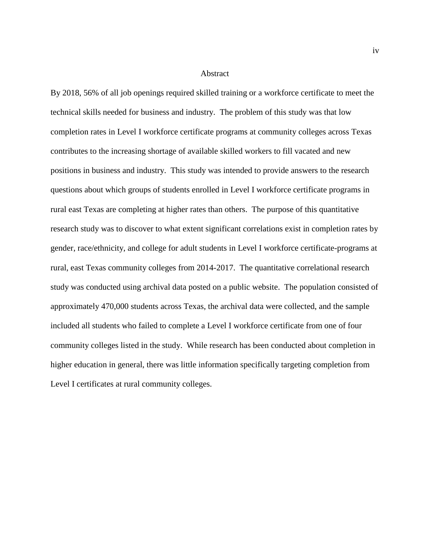#### Abstract

By 2018, 56% of all job openings required skilled training or a workforce certificate to meet the technical skills needed for business and industry. The problem of this study was that low completion rates in Level I workforce certificate programs at community colleges across Texas contributes to the increasing shortage of available skilled workers to fill vacated and new positions in business and industry. This study was intended to provide answers to the research questions about which groups of students enrolled in Level I workforce certificate programs in rural east Texas are completing at higher rates than others. The purpose of this quantitative research study was to discover to what extent significant correlations exist in completion rates by gender, race/ethnicity, and college for adult students in Level I workforce certificate-programs at rural, east Texas community colleges from 2014-2017. The quantitative correlational research study was conducted using archival data posted on a public website. The population consisted of approximately 470,000 students across Texas, the archival data were collected, and the sample included all students who failed to complete a Level I workforce certificate from one of four community colleges listed in the study. While research has been conducted about completion in higher education in general, there was little information specifically targeting completion from Level I certificates at rural community colleges.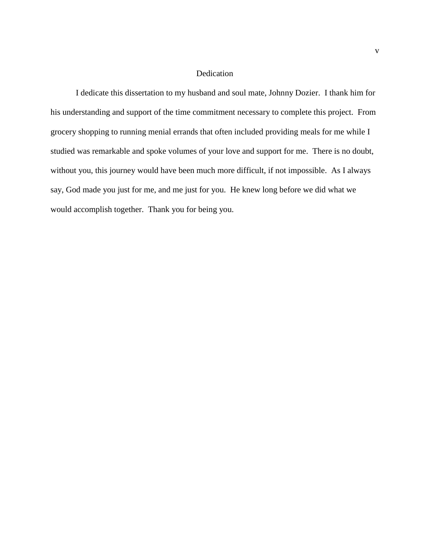# Dedication

I dedicate this dissertation to my husband and soul mate, Johnny Dozier. I thank him for his understanding and support of the time commitment necessary to complete this project. From grocery shopping to running menial errands that often included providing meals for me while I studied was remarkable and spoke volumes of your love and support for me. There is no doubt, without you, this journey would have been much more difficult, if not impossible. As I always say, God made you just for me, and me just for you. He knew long before we did what we would accomplish together. Thank you for being you.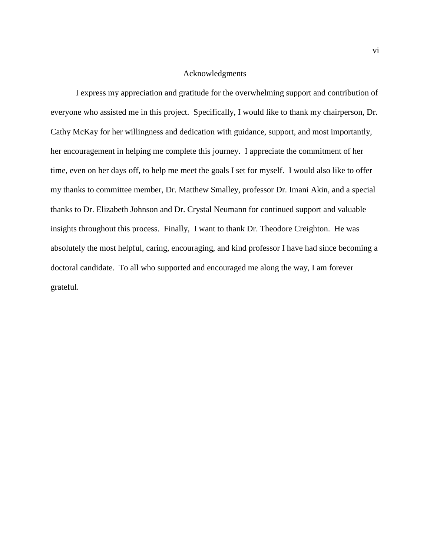# Acknowledgments

I express my appreciation and gratitude for the overwhelming support and contribution of everyone who assisted me in this project. Specifically, I would like to thank my chairperson, Dr. Cathy McKay for her willingness and dedication with guidance, support, and most importantly, her encouragement in helping me complete this journey. I appreciate the commitment of her time, even on her days off, to help me meet the goals I set for myself. I would also like to offer my thanks to committee member, Dr. Matthew Smalley, professor Dr. Imani Akin, and a special thanks to Dr. Elizabeth Johnson and Dr. Crystal Neumann for continued support and valuable insights throughout this process. Finally, I want to thank Dr. Theodore Creighton. He was absolutely the most helpful, caring, encouraging, and kind professor I have had since becoming a doctoral candidate. To all who supported and encouraged me along the way, I am forever grateful.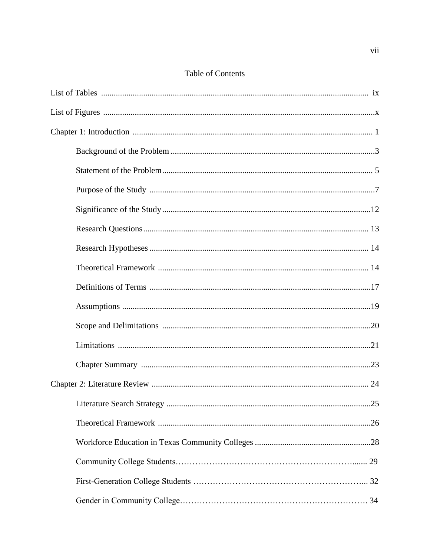# **Table of Contents**

| .25 |
|-----|
|     |
|     |
|     |
|     |
|     |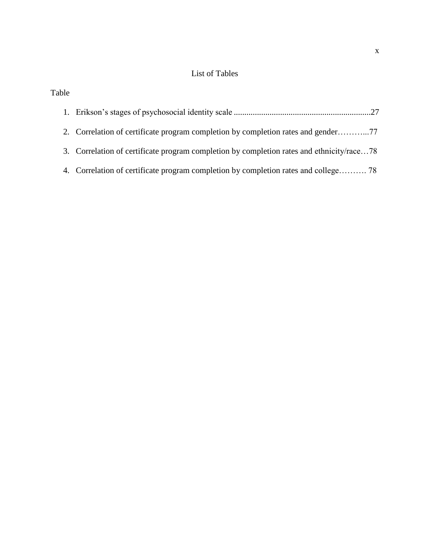# List of Tables

| Table |                                                                                           |
|-------|-------------------------------------------------------------------------------------------|
|       |                                                                                           |
|       | 2. Correlation of certificate program completion by completion rates and gender77         |
|       | 3. Correlation of certificate program completion by completion rates and ethnicity/race78 |
|       | 4. Correlation of certificate program completion by completion rates and college 78       |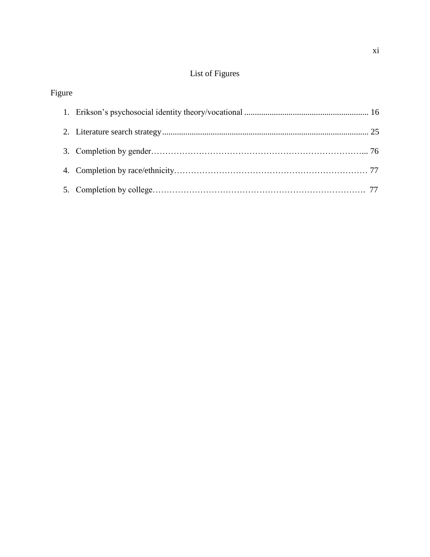# List of Figures

# Figure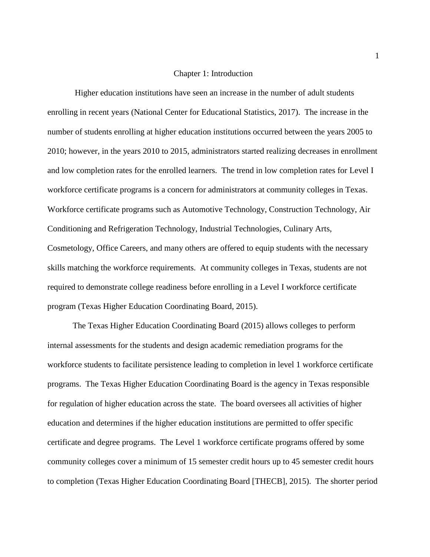### Chapter 1: Introduction

Higher education institutions have seen an increase in the number of adult students enrolling in recent years (National Center for Educational Statistics, 2017). The increase in the number of students enrolling at higher education institutions occurred between the years 2005 to 2010; however, in the years 2010 to 2015, administrators started realizing decreases in enrollment and low completion rates for the enrolled learners. The trend in low completion rates for Level I workforce certificate programs is a concern for administrators at community colleges in Texas. Workforce certificate programs such as Automotive Technology, Construction Technology, Air Conditioning and Refrigeration Technology, Industrial Technologies, Culinary Arts, Cosmetology, Office Careers, and many others are offered to equip students with the necessary skills matching the workforce requirements. At community colleges in Texas, students are not required to demonstrate college readiness before enrolling in a Level I workforce certificate program (Texas Higher Education Coordinating Board, 2015).

The Texas Higher Education Coordinating Board (2015) allows colleges to perform internal assessments for the students and design academic remediation programs for the workforce students to facilitate persistence leading to completion in level 1 workforce certificate programs. The Texas Higher Education Coordinating Board is the agency in Texas responsible for regulation of higher education across the state. The board oversees all activities of higher education and determines if the higher education institutions are permitted to offer specific certificate and degree programs. The Level 1 workforce certificate programs offered by some community colleges cover a minimum of 15 semester credit hours up to 45 semester credit hours to completion (Texas Higher Education Coordinating Board [THECB], 2015). The shorter period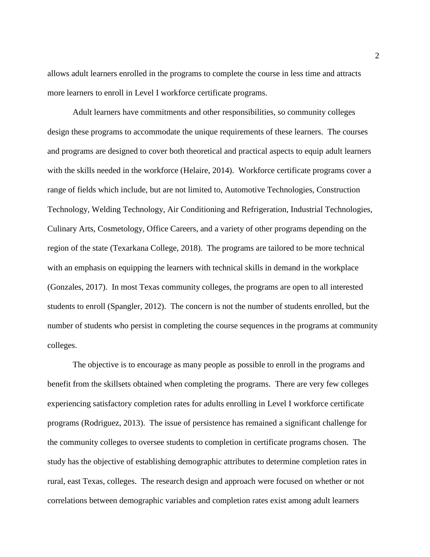allows adult learners enrolled in the programs to complete the course in less time and attracts more learners to enroll in Level I workforce certificate programs.

Adult learners have commitments and other responsibilities, so community colleges design these programs to accommodate the unique requirements of these learners. The courses and programs are designed to cover both theoretical and practical aspects to equip adult learners with the skills needed in the workforce (Helaire, 2014). Workforce certificate programs cover a range of fields which include, but are not limited to, Automotive Technologies, Construction Technology, Welding Technology, Air Conditioning and Refrigeration, Industrial Technologies, Culinary Arts, Cosmetology, Office Careers, and a variety of other programs depending on the region of the state (Texarkana College, 2018). The programs are tailored to be more technical with an emphasis on equipping the learners with technical skills in demand in the workplace (Gonzales, 2017). In most Texas community colleges, the programs are open to all interested students to enroll (Spangler, 2012). The concern is not the number of students enrolled, but the number of students who persist in completing the course sequences in the programs at community colleges.

The objective is to encourage as many people as possible to enroll in the programs and benefit from the skillsets obtained when completing the programs. There are very few colleges experiencing satisfactory completion rates for adults enrolling in Level I workforce certificate programs (Rodriguez, 2013). The issue of persistence has remained a significant challenge for the community colleges to oversee students to completion in certificate programs chosen. The study has the objective of establishing demographic attributes to determine completion rates in rural, east Texas, colleges. The research design and approach were focused on whether or not correlations between demographic variables and completion rates exist among adult learners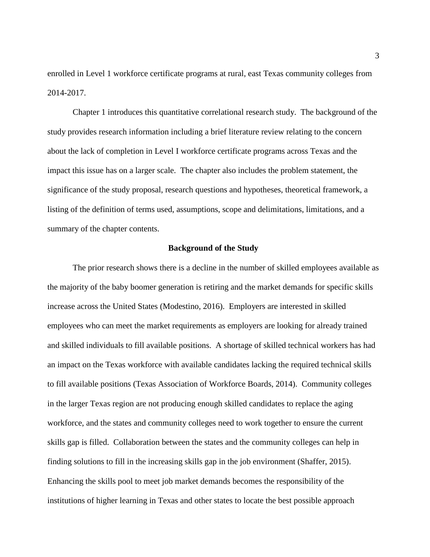enrolled in Level 1 workforce certificate programs at rural, east Texas community colleges from 2014-2017.

Chapter 1 introduces this quantitative correlational research study. The background of the study provides research information including a brief literature review relating to the concern about the lack of completion in Level I workforce certificate programs across Texas and the impact this issue has on a larger scale. The chapter also includes the problem statement, the significance of the study proposal, research questions and hypotheses, theoretical framework, a listing of the definition of terms used, assumptions, scope and delimitations, limitations, and a summary of the chapter contents.

#### **Background of the Study**

The prior research shows there is a decline in the number of skilled employees available as the majority of the baby boomer generation is retiring and the market demands for specific skills increase across the United States (Modestino, 2016). Employers are interested in skilled employees who can meet the market requirements as employers are looking for already trained and skilled individuals to fill available positions. A shortage of skilled technical workers has had an impact on the Texas workforce with available candidates lacking the required technical skills to fill available positions (Texas Association of Workforce Boards, 2014). Community colleges in the larger Texas region are not producing enough skilled candidates to replace the aging workforce, and the states and community colleges need to work together to ensure the current skills gap is filled. Collaboration between the states and the community colleges can help in finding solutions to fill in the increasing skills gap in the job environment (Shaffer, 2015). Enhancing the skills pool to meet job market demands becomes the responsibility of the institutions of higher learning in Texas and other states to locate the best possible approach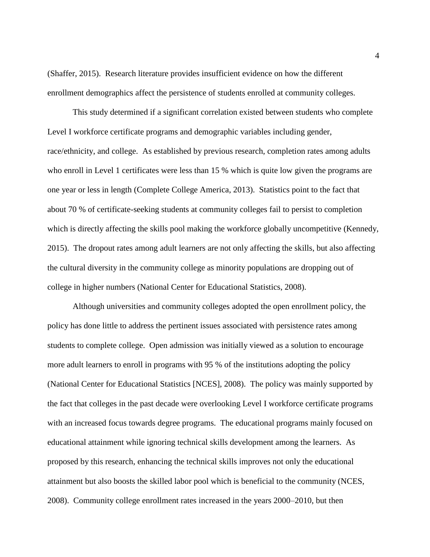(Shaffer, 2015). Research literature provides insufficient evidence on how the different enrollment demographics affect the persistence of students enrolled at community colleges.

This study determined if a significant correlation existed between students who complete Level I workforce certificate programs and demographic variables including gender, race/ethnicity, and college. As established by previous research, completion rates among adults who enroll in Level 1 certificates were less than 15 % which is quite low given the programs are one year or less in length (Complete College America, 2013). Statistics point to the fact that about 70 % of certificate-seeking students at community colleges fail to persist to completion which is directly affecting the skills pool making the workforce globally uncompetitive (Kennedy, 2015). The dropout rates among adult learners are not only affecting the skills, but also affecting the cultural diversity in the community college as minority populations are dropping out of college in higher numbers (National Center for Educational Statistics, 2008).

Although universities and community colleges adopted the open enrollment policy, the policy has done little to address the pertinent issues associated with persistence rates among students to complete college. Open admission was initially viewed as a solution to encourage more adult learners to enroll in programs with 95 % of the institutions adopting the policy (National Center for Educational Statistics [NCES], 2008). The policy was mainly supported by the fact that colleges in the past decade were overlooking Level I workforce certificate programs with an increased focus towards degree programs. The educational programs mainly focused on educational attainment while ignoring technical skills development among the learners. As proposed by this research, enhancing the technical skills improves not only the educational attainment but also boosts the skilled labor pool which is beneficial to the community (NCES, 2008). Community college enrollment rates increased in the years 2000–2010, but then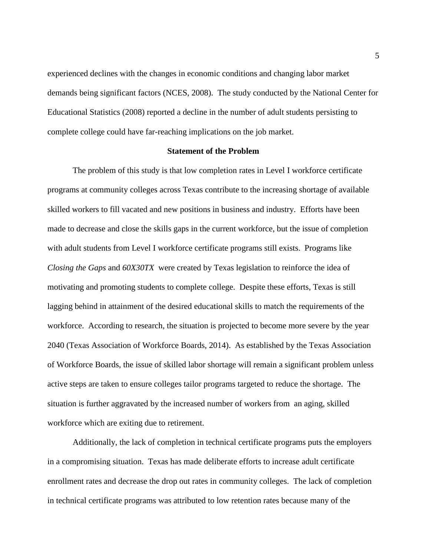experienced declines with the changes in economic conditions and changing labor market demands being significant factors (NCES, 2008). The study conducted by the National Center for Educational Statistics (2008) reported a decline in the number of adult students persisting to complete college could have far-reaching implications on the job market.

# **Statement of the Problem**

The problem of this study is that low completion rates in Level I workforce certificate programs at community colleges across Texas contribute to the increasing shortage of available skilled workers to fill vacated and new positions in business and industry. Efforts have been made to decrease and close the skills gaps in the current workforce, but the issue of completion with adult students from Level I workforce certificate programs still exists. Programs like *Closing the Gaps* and *60X30TX* were created by Texas legislation to reinforce the idea of motivating and promoting students to complete college. Despite these efforts, Texas is still lagging behind in attainment of the desired educational skills to match the requirements of the workforce. According to research, the situation is projected to become more severe by the year 2040 (Texas Association of Workforce Boards, 2014). As established by the Texas Association of Workforce Boards, the issue of skilled labor shortage will remain a significant problem unless active steps are taken to ensure colleges tailor programs targeted to reduce the shortage. The situation is further aggravated by the increased number of workers from an aging, skilled workforce which are exiting due to retirement.

Additionally, the lack of completion in technical certificate programs puts the employers in a compromising situation. Texas has made deliberate efforts to increase adult certificate enrollment rates and decrease the drop out rates in community colleges. The lack of completion in technical certificate programs was attributed to low retention rates because many of the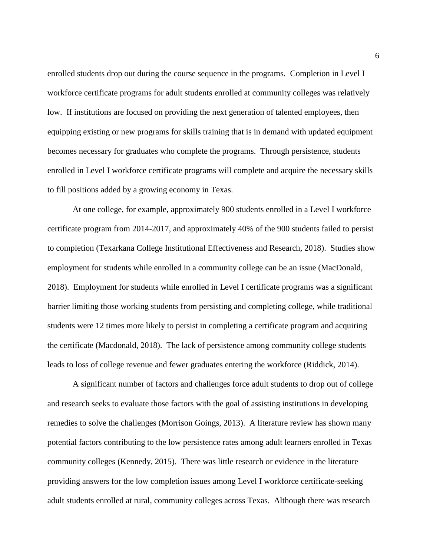enrolled students drop out during the course sequence in the programs. Completion in Level I workforce certificate programs for adult students enrolled at community colleges was relatively low. If institutions are focused on providing the next generation of talented employees, then equipping existing or new programs for skills training that is in demand with updated equipment becomes necessary for graduates who complete the programs. Through persistence, students enrolled in Level I workforce certificate programs will complete and acquire the necessary skills to fill positions added by a growing economy in Texas.

At one college, for example, approximately 900 students enrolled in a Level I workforce certificate program from 2014-2017, and approximately 40% of the 900 students failed to persist to completion (Texarkana College Institutional Effectiveness and Research, 2018). Studies show employment for students while enrolled in a community college can be an issue (MacDonald, 2018). Employment for students while enrolled in Level I certificate programs was a significant barrier limiting those working students from persisting and completing college, while traditional students were 12 times more likely to persist in completing a certificate program and acquiring the certificate (Macdonald, 2018). The lack of persistence among community college students leads to loss of college revenue and fewer graduates entering the workforce (Riddick, 2014).

A significant number of factors and challenges force adult students to drop out of college and research seeks to evaluate those factors with the goal of assisting institutions in developing remedies to solve the challenges (Morrison Goings, 2013). A literature review has shown many potential factors contributing to the low persistence rates among adult learners enrolled in Texas community colleges (Kennedy, 2015). There was little research or evidence in the literature providing answers for the low completion issues among Level I workforce certificate-seeking adult students enrolled at rural, community colleges across Texas. Although there was research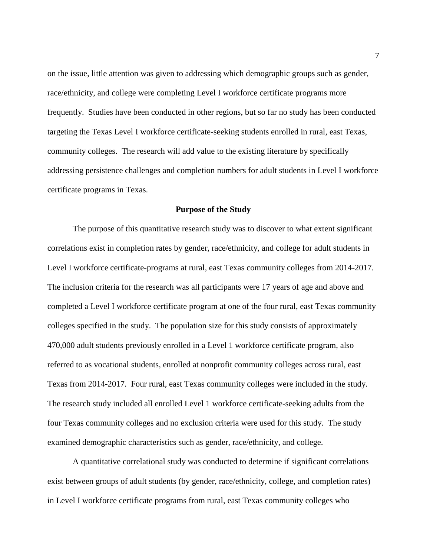on the issue, little attention was given to addressing which demographic groups such as gender, race/ethnicity, and college were completing Level I workforce certificate programs more frequently. Studies have been conducted in other regions, but so far no study has been conducted targeting the Texas Level I workforce certificate-seeking students enrolled in rural, east Texas, community colleges. The research will add value to the existing literature by specifically addressing persistence challenges and completion numbers for adult students in Level I workforce certificate programs in Texas.

#### **Purpose of the Study**

The purpose of this quantitative research study was to discover to what extent significant correlations exist in completion rates by gender, race/ethnicity, and college for adult students in Level I workforce certificate-programs at rural, east Texas community colleges from 2014-2017. The inclusion criteria for the research was all participants were 17 years of age and above and completed a Level I workforce certificate program at one of the four rural, east Texas community colleges specified in the study. The population size for this study consists of approximately 470,000 adult students previously enrolled in a Level 1 workforce certificate program, also referred to as vocational students, enrolled at nonprofit community colleges across rural, east Texas from 2014-2017. Four rural, east Texas community colleges were included in the study. The research study included all enrolled Level 1 workforce certificate-seeking adults from the four Texas community colleges and no exclusion criteria were used for this study. The study examined demographic characteristics such as gender, race/ethnicity, and college.

A quantitative correlational study was conducted to determine if significant correlations exist between groups of adult students (by gender, race/ethnicity, college, and completion rates) in Level I workforce certificate programs from rural, east Texas community colleges who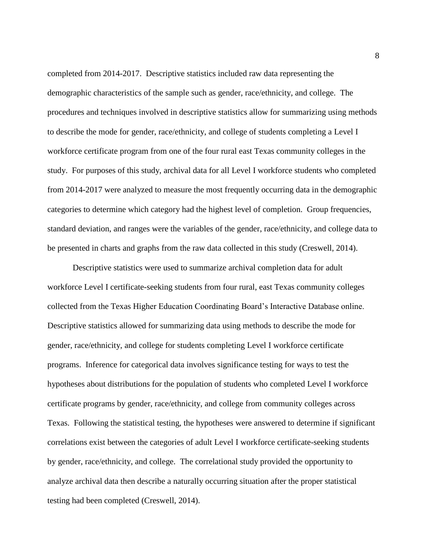completed from 2014-2017. Descriptive statistics included raw data representing the demographic characteristics of the sample such as gender, race/ethnicity, and college. The procedures and techniques involved in descriptive statistics allow for summarizing using methods to describe the mode for gender, race/ethnicity, and college of students completing a Level I workforce certificate program from one of the four rural east Texas community colleges in the study. For purposes of this study, archival data for all Level I workforce students who completed from 2014-2017 were analyzed to measure the most frequently occurring data in the demographic categories to determine which category had the highest level of completion. Group frequencies, standard deviation, and ranges were the variables of the gender, race/ethnicity, and college data to be presented in charts and graphs from the raw data collected in this study (Creswell, 2014).

Descriptive statistics were used to summarize archival completion data for adult workforce Level I certificate-seeking students from four rural, east Texas community colleges collected from the Texas Higher Education Coordinating Board's Interactive Database online. Descriptive statistics allowed for summarizing data using methods to describe the mode for gender, race/ethnicity, and college for students completing Level I workforce certificate programs. Inference for categorical data involves significance testing for ways to test the hypotheses about distributions for the population of students who completed Level I workforce certificate programs by gender, race/ethnicity, and college from community colleges across Texas. Following the statistical testing, the hypotheses were answered to determine if significant correlations exist between the categories of adult Level I workforce certificate-seeking students by gender, race/ethnicity, and college. The correlational study provided the opportunity to analyze archival data then describe a naturally occurring situation after the proper statistical testing had been completed (Creswell, 2014).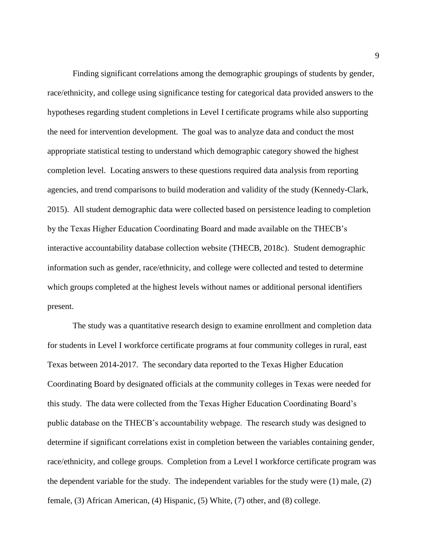Finding significant correlations among the demographic groupings of students by gender, race/ethnicity, and college using significance testing for categorical data provided answers to the hypotheses regarding student completions in Level I certificate programs while also supporting the need for intervention development. The goal was to analyze data and conduct the most appropriate statistical testing to understand which demographic category showed the highest completion level. Locating answers to these questions required data analysis from reporting agencies, and trend comparisons to build moderation and validity of the study (Kennedy-Clark, 2015). All student demographic data were collected based on persistence leading to completion by the Texas Higher Education Coordinating Board and made available on the THECB's interactive accountability database collection website (THECB, 2018c). Student demographic information such as gender, race/ethnicity, and college were collected and tested to determine which groups completed at the highest levels without names or additional personal identifiers present.

The study was a quantitative research design to examine enrollment and completion data for students in Level I workforce certificate programs at four community colleges in rural, east Texas between 2014-2017. The secondary data reported to the Texas Higher Education Coordinating Board by designated officials at the community colleges in Texas were needed for this study. The data were collected from the Texas Higher Education Coordinating Board's public database on the THECB's accountability webpage. The research study was designed to determine if significant correlations exist in completion between the variables containing gender, race/ethnicity, and college groups. Completion from a Level I workforce certificate program was the dependent variable for the study. The independent variables for the study were (1) male, (2) female, (3) African American, (4) Hispanic, (5) White, (7) other, and (8) college.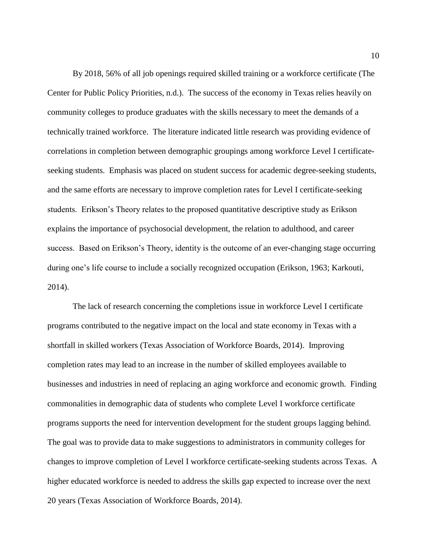By 2018, 56% of all job openings required skilled training or a workforce certificate (The Center for Public Policy Priorities, n.d.). The success of the economy in Texas relies heavily on community colleges to produce graduates with the skills necessary to meet the demands of a technically trained workforce. The literature indicated little research was providing evidence of correlations in completion between demographic groupings among workforce Level I certificateseeking students. Emphasis was placed on student success for academic degree-seeking students, and the same efforts are necessary to improve completion rates for Level I certificate-seeking students. Erikson's Theory relates to the proposed quantitative descriptive study as Erikson explains the importance of psychosocial development, the relation to adulthood, and career success. Based on Erikson's Theory, identity is the outcome of an ever-changing stage occurring during one's life course to include a socially recognized occupation (Erikson, 1963; Karkouti, 2014).

The lack of research concerning the completions issue in workforce Level I certificate programs contributed to the negative impact on the local and state economy in Texas with a shortfall in skilled workers (Texas Association of Workforce Boards, 2014). Improving completion rates may lead to an increase in the number of skilled employees available to businesses and industries in need of replacing an aging workforce and economic growth. Finding commonalities in demographic data of students who complete Level I workforce certificate programs supports the need for intervention development for the student groups lagging behind. The goal was to provide data to make suggestions to administrators in community colleges for changes to improve completion of Level I workforce certificate-seeking students across Texas. A higher educated workforce is needed to address the skills gap expected to increase over the next 20 years (Texas Association of Workforce Boards, 2014).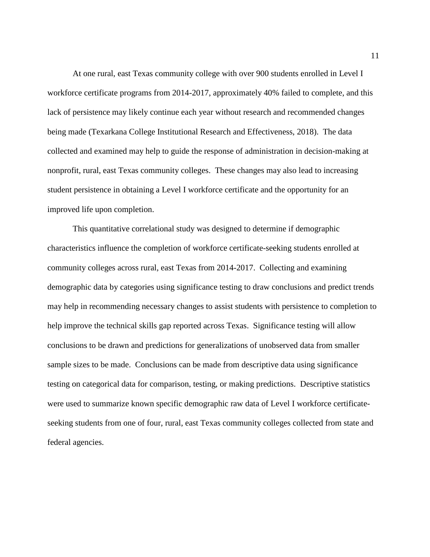At one rural, east Texas community college with over 900 students enrolled in Level I workforce certificate programs from 2014-2017, approximately 40% failed to complete, and this lack of persistence may likely continue each year without research and recommended changes being made (Texarkana College Institutional Research and Effectiveness, 2018). The data collected and examined may help to guide the response of administration in decision-making at nonprofit, rural, east Texas community colleges. These changes may also lead to increasing student persistence in obtaining a Level I workforce certificate and the opportunity for an improved life upon completion.

This quantitative correlational study was designed to determine if demographic characteristics influence the completion of workforce certificate-seeking students enrolled at community colleges across rural, east Texas from 2014-2017. Collecting and examining demographic data by categories using significance testing to draw conclusions and predict trends may help in recommending necessary changes to assist students with persistence to completion to help improve the technical skills gap reported across Texas. Significance testing will allow conclusions to be drawn and predictions for generalizations of unobserved data from smaller sample sizes to be made. Conclusions can be made from descriptive data using significance testing on categorical data for comparison, testing, or making predictions. Descriptive statistics were used to summarize known specific demographic raw data of Level I workforce certificateseeking students from one of four, rural, east Texas community colleges collected from state and federal agencies.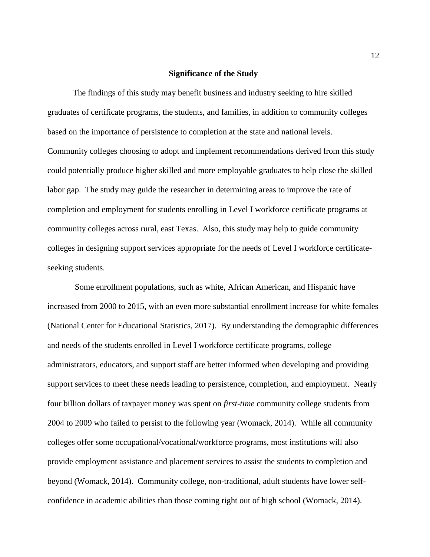# **Significance of the Study**

The findings of this study may benefit business and industry seeking to hire skilled graduates of certificate programs, the students, and families, in addition to community colleges based on the importance of persistence to completion at the state and national levels. Community colleges choosing to adopt and implement recommendations derived from this study could potentially produce higher skilled and more employable graduates to help close the skilled labor gap. The study may guide the researcher in determining areas to improve the rate of completion and employment for students enrolling in Level I workforce certificate programs at community colleges across rural, east Texas. Also, this study may help to guide community colleges in designing support services appropriate for the needs of Level I workforce certificateseeking students.

Some enrollment populations, such as white, African American, and Hispanic have increased from 2000 to 2015, with an even more substantial enrollment increase for white females (National Center for Educational Statistics, 2017). By understanding the demographic differences and needs of the students enrolled in Level I workforce certificate programs, college administrators, educators, and support staff are better informed when developing and providing support services to meet these needs leading to persistence, completion, and employment. Nearly four billion dollars of taxpayer money was spent on *first-time* community college students from 2004 to 2009 who failed to persist to the following year (Womack, 2014). While all community colleges offer some occupational/vocational/workforce programs, most institutions will also provide employment assistance and placement services to assist the students to completion and beyond (Womack, 2014). Community college, non-traditional, adult students have lower selfconfidence in academic abilities than those coming right out of high school (Womack, 2014).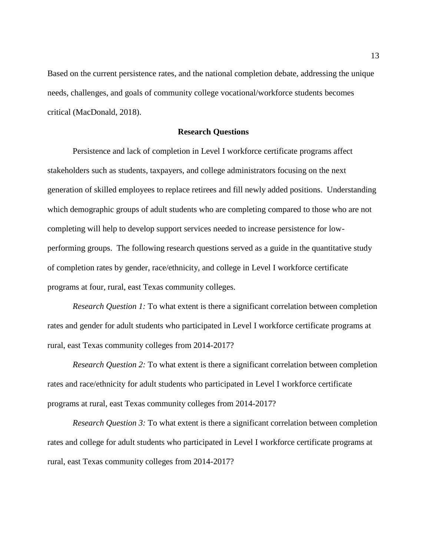Based on the current persistence rates, and the national completion debate, addressing the unique needs, challenges, and goals of community college vocational/workforce students becomes critical (MacDonald, 2018).

## **Research Questions**

Persistence and lack of completion in Level I workforce certificate programs affect stakeholders such as students, taxpayers, and college administrators focusing on the next generation of skilled employees to replace retirees and fill newly added positions. Understanding which demographic groups of adult students who are completing compared to those who are not completing will help to develop support services needed to increase persistence for lowperforming groups. The following research questions served as a guide in the quantitative study of completion rates by gender, race/ethnicity, and college in Level I workforce certificate programs at four, rural, east Texas community colleges.

*Research Question 1:* To what extent is there a significant correlation between completion rates and gender for adult students who participated in Level I workforce certificate programs at rural, east Texas community colleges from 2014-2017?

*Research Question 2:* To what extent is there a significant correlation between completion rates and race/ethnicity for adult students who participated in Level I workforce certificate programs at rural, east Texas community colleges from 2014-2017?

*Research Question 3:* To what extent is there a significant correlation between completion rates and college for adult students who participated in Level I workforce certificate programs at rural, east Texas community colleges from 2014-2017?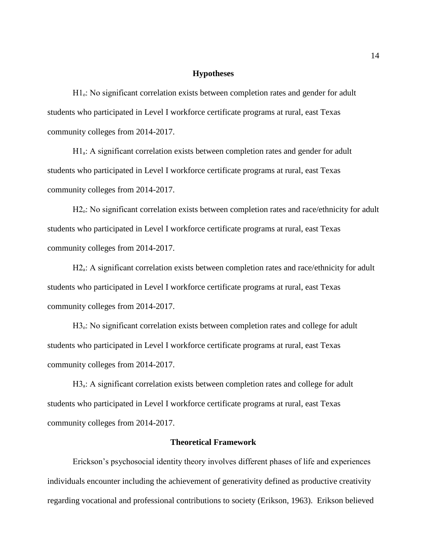### **Hypotheses**

H<sub>1</sub>: No significant correlation exists between completion rates and gender for adult students who participated in Level I workforce certificate programs at rural, east Texas community colleges from 2014-2017.

 $H1_a$ : A significant correlation exists between completion rates and gender for adult students who participated in Level I workforce certificate programs at rural, east Texas community colleges from 2014-2017.

H<sub>2</sub>.: No significant correlation exists between completion rates and race/ethnicity for adult students who participated in Level I workforce certificate programs at rural, east Texas community colleges from 2014-2017.

H2<sub>a</sub>: A significant correlation exists between completion rates and race/ethnicity for adult students who participated in Level I workforce certificate programs at rural, east Texas community colleges from 2014-2017.

H<sub>3</sub>. No significant correlation exists between completion rates and college for adult students who participated in Level I workforce certificate programs at rural, east Texas community colleges from 2014-2017.

H3<sub>a</sub>: A significant correlation exists between completion rates and college for adult students who participated in Level I workforce certificate programs at rural, east Texas community colleges from 2014-2017.

### **Theoretical Framework**

Erickson's psychosocial identity theory involves different phases of life and experiences individuals encounter including the achievement of generativity defined as productive creativity regarding vocational and professional contributions to society (Erikson, 1963). Erikson believed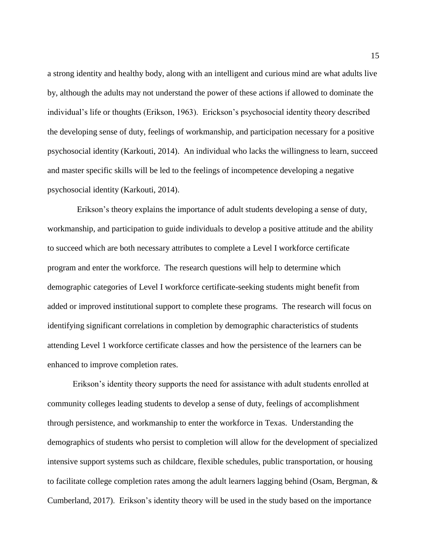a strong identity and healthy body, along with an intelligent and curious mind are what adults live by, although the adults may not understand the power of these actions if allowed to dominate the individual's life or thoughts (Erikson, 1963). Erickson's psychosocial identity theory described the developing sense of duty, feelings of workmanship, and participation necessary for a positive psychosocial identity (Karkouti, 2014). An individual who lacks the willingness to learn, succeed and master specific skills will be led to the feelings of incompetence developing a negative psychosocial identity (Karkouti, 2014).

 Erikson's theory explains the importance of adult students developing a sense of duty, workmanship, and participation to guide individuals to develop a positive attitude and the ability to succeed which are both necessary attributes to complete a Level I workforce certificate program and enter the workforce. The research questions will help to determine which demographic categories of Level I workforce certificate-seeking students might benefit from added or improved institutional support to complete these programs. The research will focus on identifying significant correlations in completion by demographic characteristics of students attending Level 1 workforce certificate classes and how the persistence of the learners can be enhanced to improve completion rates.

Erikson's identity theory supports the need for assistance with adult students enrolled at community colleges leading students to develop a sense of duty, feelings of accomplishment through persistence, and workmanship to enter the workforce in Texas. Understanding the demographics of students who persist to completion will allow for the development of specialized intensive support systems such as childcare, flexible schedules, public transportation, or housing to facilitate college completion rates among the adult learners lagging behind (Osam, Bergman, & Cumberland, 2017). Erikson's identity theory will be used in the study based on the importance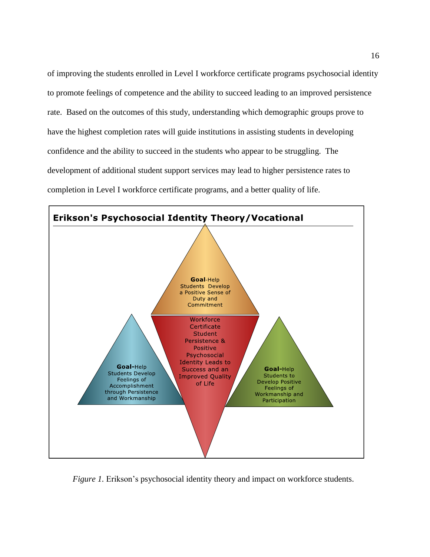of improving the students enrolled in Level I workforce certificate programs psychosocial identity to promote feelings of competence and the ability to succeed leading to an improved persistence rate. Based on the outcomes of this study, understanding which demographic groups prove to have the highest completion rates will guide institutions in assisting students in developing confidence and the ability to succeed in the students who appear to be struggling. The development of additional student support services may lead to higher persistence rates to completion in Level I workforce certificate programs, and a better quality of life.



*Figure 1.* Erikson's psychosocial identity theory and impact on workforce students.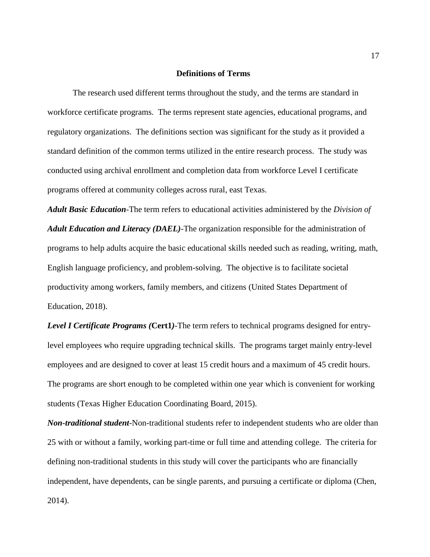## **Definitions of Terms**

The research used different terms throughout the study, and the terms are standard in workforce certificate programs. The terms represent state agencies, educational programs, and regulatory organizations. The definitions section was significant for the study as it provided a standard definition of the common terms utilized in the entire research process. The study was conducted using archival enrollment and completion data from workforce Level I certificate programs offered at community colleges across rural, east Texas.

*Adult Basic Education*-The term refers to educational activities administered by the *Division of Adult Education and Literacy (DAEL)-*The organization responsible for the administration of [programs](https://www2.ed.gov/about/offices/list/ovae/pi/AdultEd/wioa-reauthorization.html) to help adults acquire the basic educational skills needed such as reading, writing, math, English language proficiency, and problem-solving. The objective is to facilitate societal productivity among workers, family members, and citizens (United States Department of Education, 2018).

*Level I Certificate Programs (***Cert1***)-*The term refers to technical programs designed for entrylevel employees who require upgrading technical skills. The programs target mainly entry-level employees and are designed to cover at least 15 credit hours and a maximum of 45 credit hours. The programs are short enough to be completed within one year which is convenient for working students (Texas Higher Education Coordinating Board, 2015).

*Non-traditional student*-Non-traditional students refer to independent students who are older than 25 with or without a family, working part-time or full time and attending college. The criteria for defining non-traditional students in this study will cover the participants who are financially independent, have dependents, can be single parents, and pursuing a certificate or diploma (Chen, 2014).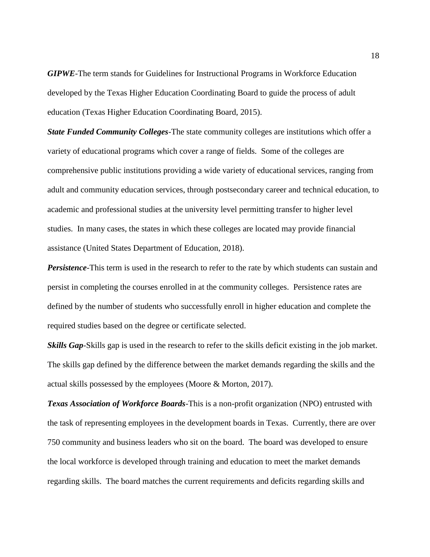*GIPWE*-The term stands for Guidelines for Instructional Programs in Workforce Education developed by the Texas Higher Education Coordinating Board to guide the process of adult education (Texas Higher Education Coordinating Board, 2015).

*State Funded Community Colleges*-The state community colleges are institutions which offer a variety of educational programs which cover a range of fields. Some of the colleges are comprehensive public institutions providing a wide variety of educational services, ranging from adult and community education services, through postsecondary career and technical education, to academic and professional studies at the university level permitting transfer to higher level studies. In many cases, the states in which these colleges are located may provide financial assistance (United States Department of Education, 2018).

*Persistence-*This term is used in the research to refer to the rate by which students can sustain and persist in completing the courses enrolled in at the community colleges. Persistence rates are defined by the number of students who successfully enroll in higher education and complete the required studies based on the degree or certificate selected.

*Skills Gap*-Skills gap is used in the research to refer to the skills deficit existing in the job market. The skills gap defined by the difference between the market demands regarding the skills and the actual skills possessed by the employees (Moore & Morton, 2017).

*Texas Association of Workforce Boards*-This is a non-profit organization (NPO) entrusted with the task of representing employees in the development boards in Texas. Currently, there are over 750 community and business leaders who sit on the board. The board was developed to ensure the local workforce is developed through training and education to meet the market demands regarding skills. The board matches the current requirements and deficits regarding skills and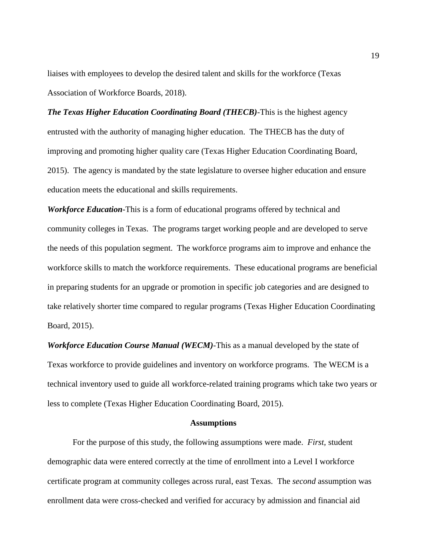liaises with employees to develop the desired talent and skills for the workforce (Texas Association of Workforce Boards, 2018).

*The Texas Higher Education Coordinating Board (THECB)*-This is the highest agency entrusted with the authority of managing higher education. The THECB has the duty of improving and promoting higher quality care (Texas Higher Education Coordinating Board, 2015). The agency is mandated by the state legislature to oversee higher education and ensure education meets the educational and skills requirements.

*Workforce Education*-This is a form of educational programs offered by technical and community colleges in Texas. The programs target working people and are developed to serve the needs of this population segment. The workforce programs aim to improve and enhance the workforce skills to match the workforce requirements. These educational programs are beneficial in preparing students for an upgrade or promotion in specific job categories and are designed to take relatively shorter time compared to regular programs (Texas Higher Education Coordinating Board, 2015).

*Workforce Education Course Manual (WECM)-*This as a manual developed by the state of Texas workforce to provide guidelines and inventory on workforce programs. The WECM is a technical inventory used to guide all workforce-related training programs which take two years or less to complete (Texas Higher Education Coordinating Board, 2015).

#### **Assumptions**

For the purpose of this study, the following assumptions were made. *First,* student demographic data were entered correctly at the time of enrollment into a Level I workforce certificate program at community colleges across rural, east Texas. The *second* assumption was enrollment data were cross-checked and verified for accuracy by admission and financial aid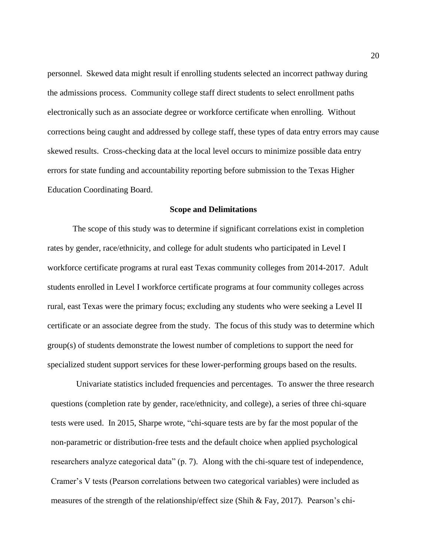personnel. Skewed data might result if enrolling students selected an incorrect pathway during the admissions process. Community college staff direct students to select enrollment paths electronically such as an associate degree or workforce certificate when enrolling. Without corrections being caught and addressed by college staff, these types of data entry errors may cause skewed results. Cross-checking data at the local level occurs to minimize possible data entry errors for state funding and accountability reporting before submission to the Texas Higher Education Coordinating Board.

#### **Scope and Delimitations**

The scope of this study was to determine if significant correlations exist in completion rates by gender, race/ethnicity, and college for adult students who participated in Level I workforce certificate programs at rural east Texas community colleges from 2014-2017. Adult students enrolled in Level I workforce certificate programs at four community colleges across rural, east Texas were the primary focus; excluding any students who were seeking a Level II certificate or an associate degree from the study. The focus of this study was to determine which group(s) of students demonstrate the lowest number of completions to support the need for specialized student support services for these lower-performing groups based on the results.

Univariate statistics included frequencies and percentages. To answer the three research questions (completion rate by gender, race/ethnicity, and college), a series of three chi-square tests were used. In 2015, Sharpe wrote, "chi-square tests are by far the most popular of the non-parametric or distribution-free tests and the default choice when applied psychological researchers analyze categorical data" (p. 7). Along with the chi-square test of independence, Cramer's V tests (Pearson correlations between two categorical variables) were included as measures of the strength of the relationship/effect size (Shih & Fay, 2017). Pearson's chi-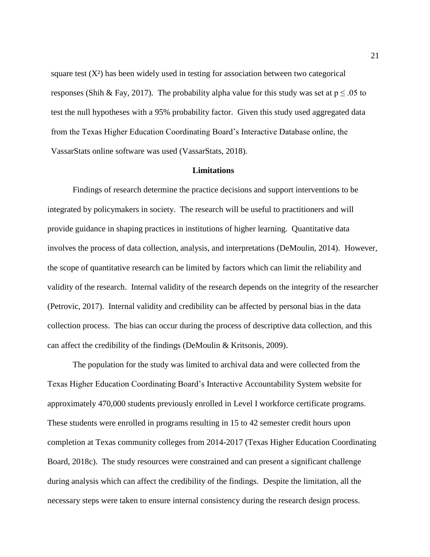square test  $(X^2)$  has been widely used in testing for association between two categorical responses (Shih & Fay, 2017). The probability alpha value for this study was set at  $p \le 0.05$  to test the null hypotheses with a 95% probability factor. Given this study used aggregated data from the Texas Higher Education Coordinating Board's Interactive Database online, the VassarStats online software was used (VassarStats, 2018).

#### **Limitations**

Findings of research determine the practice decisions and support interventions to be integrated by policymakers in society. The research will be useful to practitioners and will provide guidance in shaping practices in institutions of higher learning. Quantitative data involves the process of data collection, analysis, and interpretations (DeMoulin, 2014). However, the scope of quantitative research can be limited by factors which can limit the reliability and validity of the research. Internal validity of the research depends on the integrity of the researcher (Petrovic, 2017). Internal validity and credibility can be affected by personal bias in the data collection process. The bias can occur during the process of descriptive data collection, and this can affect the credibility of the findings (DeMoulin & Kritsonis, 2009).

The population for the study was limited to archival data and were collected from the Texas Higher Education Coordinating Board's Interactive Accountability System website for approximately 470,000 students previously enrolled in Level I workforce certificate programs. These students were enrolled in programs resulting in 15 to 42 semester credit hours upon completion at Texas community colleges from 2014-2017 (Texas Higher Education Coordinating Board, 2018c). The study resources were constrained and can present a significant challenge during analysis which can affect the credibility of the findings. Despite the limitation, all the necessary steps were taken to ensure internal consistency during the research design process.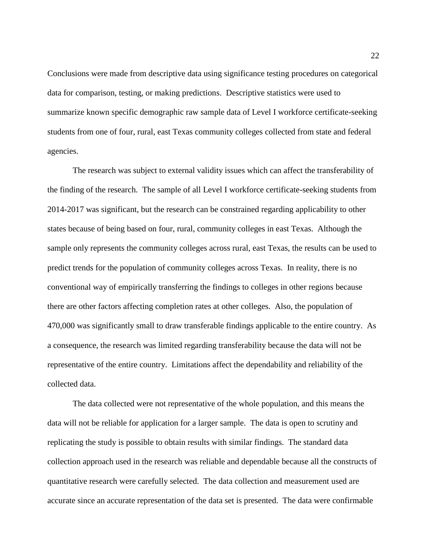Conclusions were made from descriptive data using significance testing procedures on categorical data for comparison, testing, or making predictions. Descriptive statistics were used to summarize known specific demographic raw sample data of Level I workforce certificate-seeking students from one of four, rural, east Texas community colleges collected from state and federal agencies.

The research was subject to external validity issues which can affect the transferability of the finding of the research. The sample of all Level I workforce certificate-seeking students from 2014-2017 was significant, but the research can be constrained regarding applicability to other states because of being based on four, rural, community colleges in east Texas. Although the sample only represents the community colleges across rural, east Texas, the results can be used to predict trends for the population of community colleges across Texas. In reality, there is no conventional way of empirically transferring the findings to colleges in other regions because there are other factors affecting completion rates at other colleges. Also, the population of 470,000 was significantly small to draw transferable findings applicable to the entire country. As a consequence, the research was limited regarding transferability because the data will not be representative of the entire country. Limitations affect the dependability and reliability of the collected data.

The data collected were not representative of the whole population, and this means the data will not be reliable for application for a larger sample. The data is open to scrutiny and replicating the study is possible to obtain results with similar findings. The standard data collection approach used in the research was reliable and dependable because all the constructs of quantitative research were carefully selected. The data collection and measurement used are accurate since an accurate representation of the data set is presented. The data were confirmable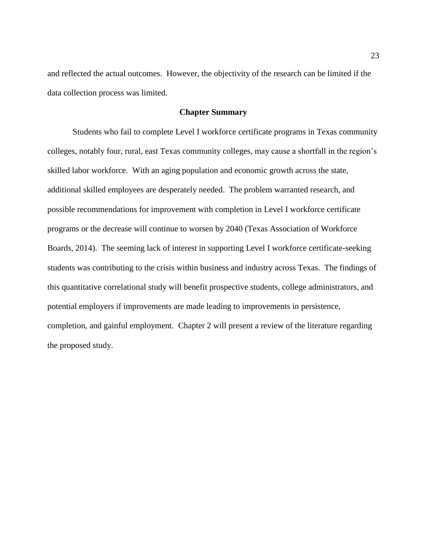and reflected the actual outcomes. However, the objectivity of the research can be limited if the data collection process was limited.

# **Chapter Summary**

Students who fail to complete Level I workforce certificate programs in Texas community colleges, notably four, rural, east Texas community colleges, may cause a shortfall in the region's skilled labor workforce. With an aging population and economic growth across the state, additional skilled employees are desperately needed. The problem warranted research, and possible recommendations for improvement with completion in Level I workforce certificate programs or the decrease will continue to worsen by 2040 (Texas Association of Workforce Boards, 2014). The seeming lack of interest in supporting Level I workforce certificate-seeking students was contributing to the crisis within business and industry across Texas. The findings of this quantitative correlational study will benefit prospective students, college administrators, and potential employers if improvements are made leading to improvements in persistence, completion, and gainful employment. Chapter 2 will present a review of the literature regarding the proposed study.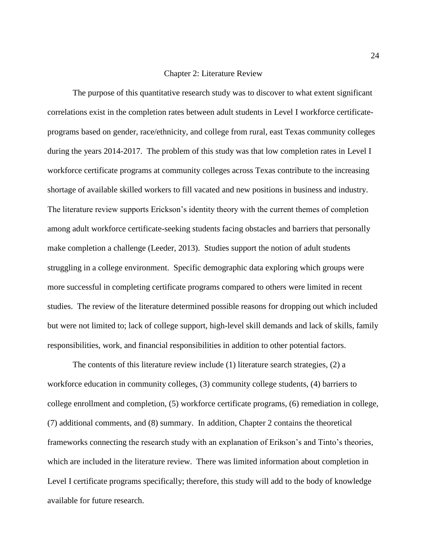#### Chapter 2: Literature Review

The purpose of this quantitative research study was to discover to what extent significant correlations exist in the completion rates between adult students in Level I workforce certificateprograms based on gender, race/ethnicity, and college from rural, east Texas community colleges during the years 2014-2017. The problem of this study was that low completion rates in Level I workforce certificate programs at community colleges across Texas contribute to the increasing shortage of available skilled workers to fill vacated and new positions in business and industry. The literature review supports Erickson's identity theory with the current themes of completion among adult workforce certificate-seeking students facing obstacles and barriers that personally make completion a challenge (Leeder, 2013). Studies support the notion of adult students struggling in a college environment. Specific demographic data exploring which groups were more successful in completing certificate programs compared to others were limited in recent studies. The review of the literature determined possible reasons for dropping out which included but were not limited to; lack of college support, high-level skill demands and lack of skills, family responsibilities, work, and financial responsibilities in addition to other potential factors.

The contents of this literature review include (1) literature search strategies, (2) a workforce education in community colleges, (3) community college students, (4) barriers to college enrollment and completion, (5) workforce certificate programs, (6) remediation in college, (7) additional comments, and (8) summary. In addition, Chapter 2 contains the theoretical frameworks connecting the research study with an explanation of Erikson's and Tinto's theories, which are included in the literature review. There was limited information about completion in Level I certificate programs specifically; therefore, this study will add to the body of knowledge available for future research.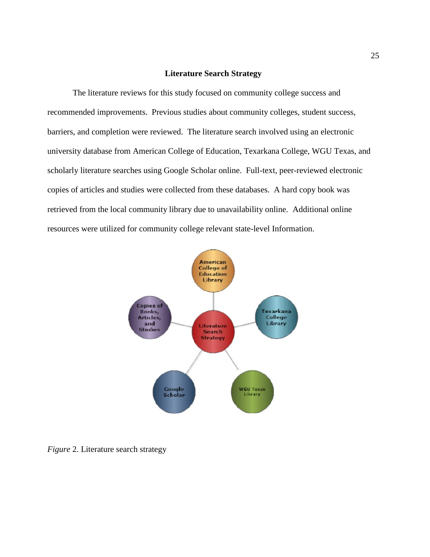# **Literature Search Strategy**

The literature reviews for this study focused on community college success and recommended improvements. Previous studies about community colleges, student success, barriers, and completion were reviewed. The literature search involved using an electronic university database from American College of Education, Texarkana College, WGU Texas, and scholarly literature searches using Google Scholar online. Full-text, peer-reviewed electronic copies of articles and studies were collected from these databases. A hard copy book was retrieved from the local community library due to unavailability online. Additional online resources were utilized for community college relevant state-level Information.



*Figure* 2. Literature search strategy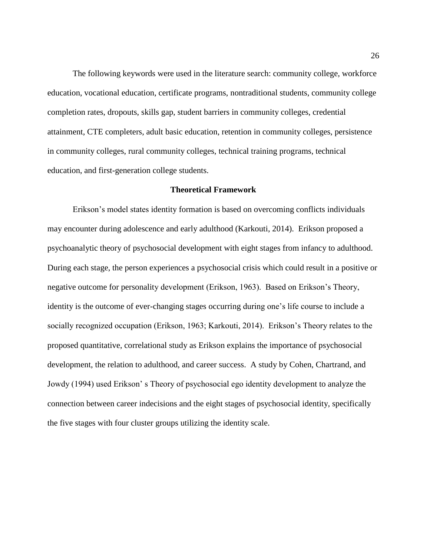The following keywords were used in the literature search: community college, workforce education, vocational education, certificate programs, nontraditional students, community college completion rates, dropouts, skills gap, student barriers in community colleges, credential attainment, CTE completers, adult basic education, retention in community colleges, persistence in community colleges, rural community colleges, technical training programs, technical education, and first-generation college students.

#### **Theoretical Framework**

Erikson's model states identity formation is based on overcoming conflicts individuals may encounter during adolescence and early adulthood (Karkouti, 2014). Erikson proposed a psychoanalytic theory of psychosocial development with eight stages from infancy to adulthood. During each stage, the person experiences a psychosocial crisis which could result in a positive or negative outcome for personality development (Erikson, 1963). Based on Erikson's Theory, identity is the outcome of ever-changing stages occurring during one's life course to include a socially recognized occupation (Erikson, 1963; Karkouti, 2014). Erikson's Theory relates to the proposed quantitative, correlational study as Erikson explains the importance of psychosocial development, the relation to adulthood, and career success. A study by Cohen, Chartrand, and Jowdy (1994) used Erikson' s Theory of psychosocial ego identity development to analyze the connection between career indecisions and the eight stages of psychosocial identity, specifically the five stages with four cluster groups utilizing the identity scale.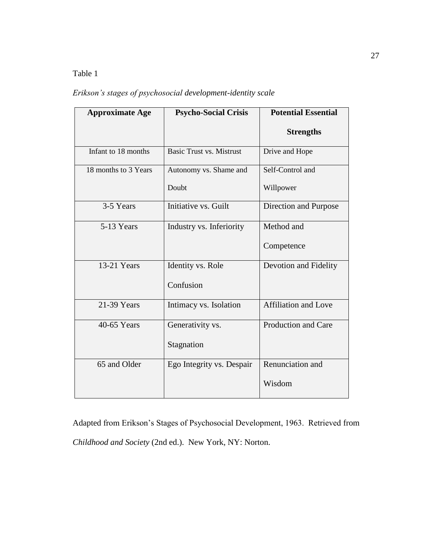# Table 1

*Erikson's stages of psychosocial development-identity scale*

| <b>Approximate Age</b> | <b>Psycho-Social Crisis</b>     | <b>Potential Essential</b>  |
|------------------------|---------------------------------|-----------------------------|
|                        |                                 | <b>Strengths</b>            |
| Infant to 18 months    | <b>Basic Trust vs. Mistrust</b> | Drive and Hope              |
| 18 months to 3 Years   | Autonomy vs. Shame and          | Self-Control and            |
|                        | Doubt                           | Willpower                   |
| 3-5 Years              | Initiative vs. Guilt            | Direction and Purpose       |
| 5-13 Years             | Industry vs. Inferiority        | Method and                  |
|                        |                                 | Competence                  |
| 13-21 Years            | Identity vs. Role               | Devotion and Fidelity       |
|                        | Confusion                       |                             |
| 21-39 Years            | Intimacy vs. Isolation          | <b>Affiliation and Love</b> |
| 40-65 Years            | Generativity vs.                | Production and Care         |
|                        | Stagnation                      |                             |
| 65 and Older           | Ego Integrity vs. Despair       | Renunciation and            |
|                        |                                 | Wisdom                      |

Adapted from Erikson's Stages of Psychosocial Development, 1963. Retrieved from *Childhood and Society* (2nd ed.). New York, NY: Norton.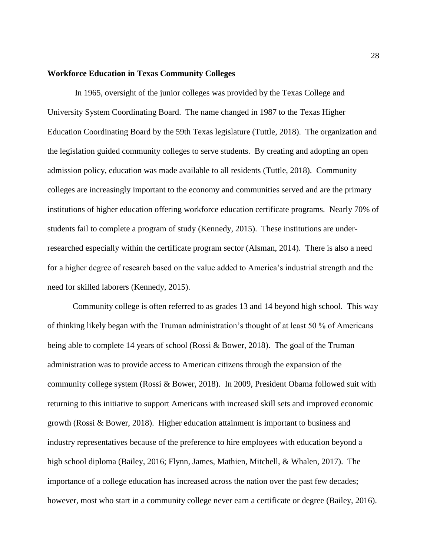### **Workforce Education in Texas Community Colleges**

In 1965, oversight of the junior colleges was provided by the Texas College and University System Coordinating Board. The name changed in 1987 to the Texas Higher Education Coordinating Board by the 59th Texas legislature (Tuttle, 2018). The organization and the legislation guided community colleges to serve students. By creating and adopting an open admission policy, education was made available to all residents (Tuttle, 2018). Community colleges are increasingly important to the economy and communities served and are the primary institutions of higher education offering workforce education certificate programs. Nearly 70% of students fail to complete a program of study (Kennedy, 2015). These institutions are underresearched especially within the certificate program sector (Alsman, 2014). There is also a need for a higher degree of research based on the value added to America's industrial strength and the need for skilled laborers (Kennedy, 2015).

Community college is often referred to as grades 13 and 14 beyond high school. This way of thinking likely began with the Truman administration's thought of at least 50 % of Americans being able to complete 14 years of school (Rossi & Bower, 2018). The goal of the Truman administration was to provide access to American citizens through the expansion of the community college system (Rossi & Bower, 2018). In 2009, President Obama followed suit with returning to this initiative to support Americans with increased skill sets and improved economic growth (Rossi & Bower, 2018). Higher education attainment is important to business and industry representatives because of the preference to hire employees with education beyond a high school diploma (Bailey, 2016; Flynn, James, Mathien, Mitchell, & Whalen, 2017). The importance of a college education has increased across the nation over the past few decades; however, most who start in a community college never earn a certificate or degree (Bailey, 2016).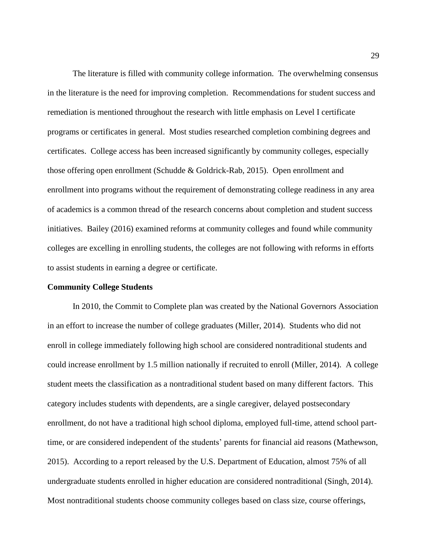The literature is filled with community college information. The overwhelming consensus in the literature is the need for improving completion. Recommendations for student success and remediation is mentioned throughout the research with little emphasis on Level I certificate programs or certificates in general. Most studies researched completion combining degrees and certificates. College access has been increased significantly by community colleges, especially those offering open enrollment (Schudde & Goldrick-Rab, 2015). Open enrollment and enrollment into programs without the requirement of demonstrating college readiness in any area of academics is a common thread of the research concerns about completion and student success initiatives. Bailey (2016) examined reforms at community colleges and found while community colleges are excelling in enrolling students, the colleges are not following with reforms in efforts to assist students in earning a degree or certificate.

#### **Community College Students**

In 2010, the Commit to Complete plan was created by the National Governors Association in an effort to increase the number of college graduates (Miller, 2014). Students who did not enroll in college immediately following high school are considered nontraditional students and could increase enrollment by 1.5 million nationally if recruited to enroll (Miller, 2014). A college student meets the classification as a nontraditional student based on many different factors. This category includes students with dependents, are a single caregiver, delayed postsecondary enrollment, do not have a traditional high school diploma, employed full-time, attend school parttime, or are considered independent of the students' parents for financial aid reasons (Mathewson, 2015). According to a report released by the U.S. Department of Education, almost 75% of all undergraduate students enrolled in higher education are considered nontraditional (Singh, 2014). Most nontraditional students choose community colleges based on class size, course offerings,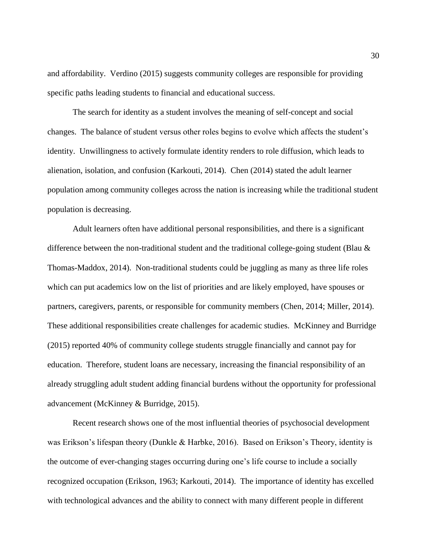and affordability. Verdino (2015) suggests community colleges are responsible for providing specific paths leading students to financial and educational success.

The search for identity as a student involves the meaning of self-concept and social changes. The balance of student versus other roles begins to evolve which affects the student's identity. Unwillingness to actively formulate identity renders to role diffusion, which leads to alienation, isolation, and confusion (Karkouti, 2014). Chen (2014) stated the adult learner population among community colleges across the nation is increasing while the traditional student population is decreasing.

Adult learners often have additional personal responsibilities, and there is a significant difference between the non-traditional student and the traditional college-going student (Blau  $\&$ Thomas-Maddox, 2014). Non-traditional students could be juggling as many as three life roles which can put academics low on the list of priorities and are likely employed, have spouses or partners, caregivers, parents, or responsible for community members (Chen, 2014; Miller, 2014). These additional responsibilities create challenges for academic studies. McKinney and Burridge (2015) reported 40% of community college students struggle financially and cannot pay for education. Therefore, student loans are necessary, increasing the financial responsibility of an already struggling adult student adding financial burdens without the opportunity for professional advancement (McKinney & Burridge, 2015).

Recent research shows one of the most influential theories of psychosocial development was Erikson's lifespan theory (Dunkle & Harbke, 2016). Based on Erikson's Theory, identity is the outcome of ever-changing stages occurring during one's life course to include a socially recognized occupation (Erikson, 1963; Karkouti, 2014). The importance of identity has excelled with technological advances and the ability to connect with many different people in different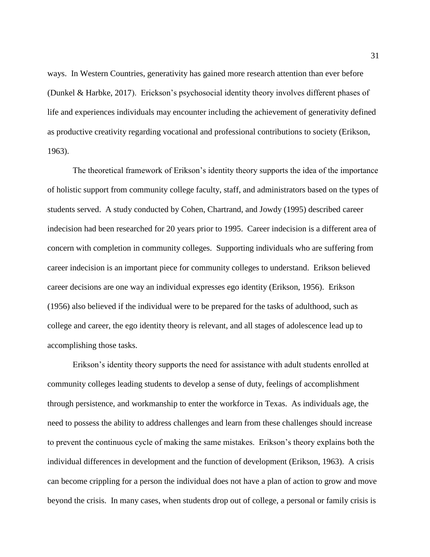ways. In Western Countries, generativity has gained more research attention than ever before (Dunkel & Harbke, 2017). Erickson's psychosocial identity theory involves different phases of life and experiences individuals may encounter including the achievement of generativity defined as productive creativity regarding vocational and professional contributions to society (Erikson, 1963).

The theoretical framework of Erikson's identity theory supports the idea of the importance of holistic support from community college faculty, staff, and administrators based on the types of students served. A study conducted by Cohen, Chartrand, and Jowdy (1995) described career indecision had been researched for 20 years prior to 1995. Career indecision is a different area of concern with completion in community colleges. Supporting individuals who are suffering from career indecision is an important piece for community colleges to understand. Erikson believed career decisions are one way an individual expresses ego identity (Erikson, 1956). Erikson (1956) also believed if the individual were to be prepared for the tasks of adulthood, such as college and career, the ego identity theory is relevant, and all stages of adolescence lead up to accomplishing those tasks.

Erikson's identity theory supports the need for assistance with adult students enrolled at community colleges leading students to develop a sense of duty, feelings of accomplishment through persistence, and workmanship to enter the workforce in Texas. As individuals age, the need to possess the ability to address challenges and learn from these challenges should increase to prevent the continuous cycle of making the same mistakes. Erikson's theory explains both the individual differences in development and the function of development (Erikson, 1963). A crisis can become crippling for a person the individual does not have a plan of action to grow and move beyond the crisis. In many cases, when students drop out of college, a personal or family crisis is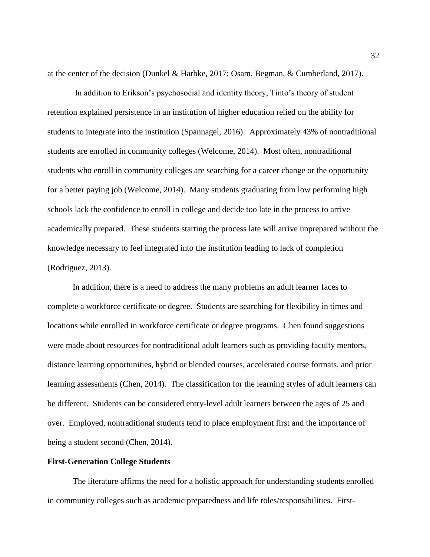at the center of the decision (Dunkel & Harbke, 2017; Osam, Begman, & Cumberland, 2017).

In addition to Erikson's psychosocial and identity theory, Tinto's theory of student retention explained persistence in an institution of higher education relied on the ability for students to integrate into the institution (Spannagel, 2016). Approximately 43% of nontraditional students are enrolled in community colleges (Welcome, 2014). Most often, nontraditional students who enroll in community colleges are searching for a career change or the opportunity for a better paying job (Welcome, 2014). Many students graduating from low performing high schools lack the confidence to enroll in college and decide too late in the process to arrive academically prepared. These students starting the process late will arrive unprepared without the knowledge necessary to feel integrated into the institution leading to lack of completion (Rodriguez, 2013).

In addition, there is a need to address the many problems an adult learner faces to complete a workforce certificate or degree. Students are searching for flexibility in times and locations while enrolled in workforce certificate or degree programs. Chen found suggestions were made about resources for nontraditional adult learners such as providing faculty mentors, distance learning opportunities, hybrid or blended courses, accelerated course formats, and prior learning assessments (Chen, 2014). The classification for the learning styles of adult learners can be different. Students can be considered entry-level adult learners between the ages of 25 and over. Employed, nontraditional students tend to place employment first and the importance of being a student second (Chen, 2014).

## **First-Generation College Students**

The literature affirms the need for a holistic approach for understanding students enrolled in community colleges such as academic preparedness and life roles/responsibilities. First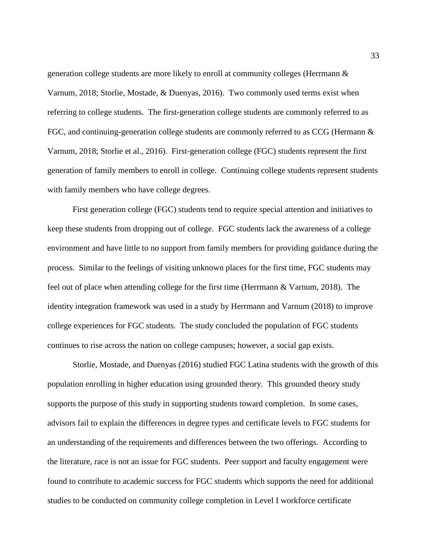generation college students are more likely to enroll at community colleges (Herrmann & Varnum, 2018; Storlie, Mostade, & Duenyas, 2016). Two commonly used terms exist when referring to college students. The first-generation college students are commonly referred to as FGC, and continuing-generation college students are commonly referred to as CCG (Hermann & Varnum, 2018; Storlie et al., 2016). First-generation college (FGC) students represent the first generation of family members to enroll in college. Continuing college students represent students with family members who have college degrees.

First generation college (FGC) students tend to require special attention and initiatives to keep these students from dropping out of college. FGC students lack the awareness of a college environment and have little to no support from family members for providing guidance during the process. Similar to the feelings of visiting unknown places for the first time, FGC students may feel out of place when attending college for the first time (Herrmann & Varnum, 2018). The identity integration framework was used in a study by Herrmann and Varnum (2018) to improve college experiences for FGC students. The study concluded the population of FGC students continues to rise across the nation on college campuses; however, a social gap exists.

 Storlie, Mostade, and Duenyas (2016) studied FGC Latina students with the growth of this population enrolling in higher education using grounded theory. This grounded theory study supports the purpose of this study in supporting students toward completion. In some cases, advisors fail to explain the differences in degree types and certificate levels to FGC students for an understanding of the requirements and differences between the two offerings. According to the literature, race is not an issue for FGC students. Peer support and faculty engagement were found to contribute to academic success for FGC students which supports the need for additional studies to be conducted on community college completion in Level I workforce certificate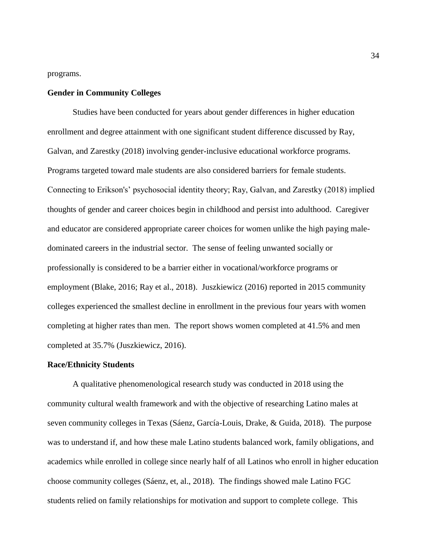programs.

### **Gender in Community Colleges**

Studies have been conducted for years about gender differences in higher education enrollment and degree attainment with one significant student difference discussed by Ray, Galvan, and Zarestky (2018) involving gender-inclusive educational workforce programs. Programs targeted toward male students are also considered barriers for female students. Connecting to Erikson's' psychosocial identity theory; Ray, Galvan, and Zarestky (2018) implied thoughts of gender and career choices begin in childhood and persist into adulthood. Caregiver and educator are considered appropriate career choices for women unlike the high paying maledominated careers in the industrial sector. The sense of feeling unwanted socially or professionally is considered to be a barrier either in vocational/workforce programs or employment (Blake, 2016; Ray et al., 2018). Juszkiewicz (2016) reported in 2015 community colleges experienced the smallest decline in enrollment in the previous four years with women completing at higher rates than men. The report shows women completed at 41.5% and men completed at 35.7% (Juszkiewicz, 2016).

### **Race/Ethnicity Students**

A qualitative phenomenological research study was conducted in 2018 using the community cultural wealth framework and with the objective of researching Latino males at seven community colleges in Texas (Sáenz, García-Louis, Drake, & Guida, 2018). The purpose was to understand if, and how these male Latino students balanced work, family obligations, and academics while enrolled in college since nearly half of all Latinos who enroll in higher education choose community colleges (Sáenz, et, al., 2018). The findings showed male Latino FGC students relied on family relationships for motivation and support to complete college. This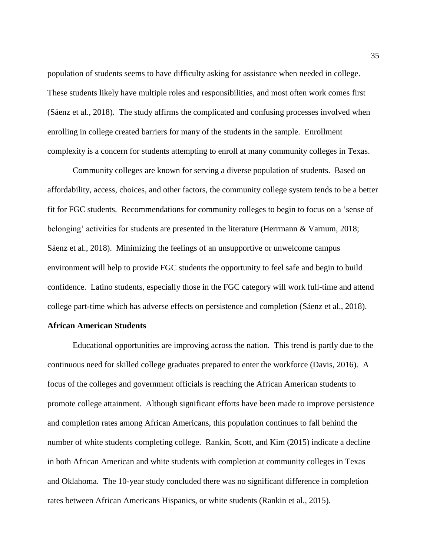population of students seems to have difficulty asking for assistance when needed in college. These students likely have multiple roles and responsibilities, and most often work comes first (Sáenz et al., 2018). The study affirms the complicated and confusing processes involved when enrolling in college created barriers for many of the students in the sample. Enrollment complexity is a concern for students attempting to enroll at many community colleges in Texas.

Community colleges are known for serving a diverse population of students. Based on affordability, access, choices, and other factors, the community college system tends to be a better fit for FGC students. Recommendations for community colleges to begin to focus on a 'sense of belonging' activities for students are presented in the literature (Herrmann & Varnum, 2018; Sáenz et al., 2018). Minimizing the feelings of an unsupportive or unwelcome campus environment will help to provide FGC students the opportunity to feel safe and begin to build confidence. Latino students, especially those in the FGC category will work full-time and attend college part-time which has adverse effects on persistence and completion (Sáenz et al., 2018).

### **African American Students**

Educational opportunities are improving across the nation. This trend is partly due to the continuous need for skilled college graduates prepared to enter the workforce (Davis, 2016). A focus of the colleges and government officials is reaching the African American students to promote college attainment. Although significant efforts have been made to improve persistence and completion rates among African Americans, this population continues to fall behind the number of white students completing college. Rankin, Scott, and Kim (2015) indicate a decline in both African American and white students with completion at community colleges in Texas and Oklahoma. The 10-year study concluded there was no significant difference in completion rates between African Americans Hispanics, or white students (Rankin et al., 2015).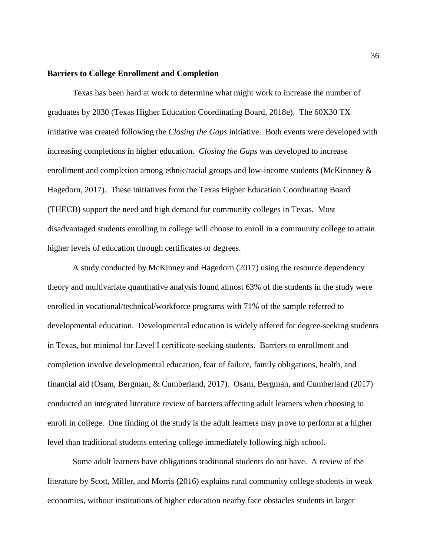### **Barriers to College Enrollment and Completion**

Texas has been hard at work to determine what might work to increase the number of graduates by 2030 (Texas Higher Education Coordinating Board, 2018e). The 60X30 TX initiative was created following the *Closing the Gaps* initiative. Both events were developed with increasing completions in higher education. *Closing the Gaps* was developed to increase enrollment and completion among ethnic/racial groups and low-income students (McKinnney & Hagedorn, 2017). These initiatives from the Texas Higher Education Coordinating Board (THECB) support the need and high demand for community colleges in Texas. Most disadvantaged students enrolling in college will choose to enroll in a community college to attain higher levels of education through certificates or degrees.

A study conducted by McKinney and Hagedorn (2017) using the resource dependency theory and multivariate quantitative analysis found almost 63% of the students in the study were enrolled in vocational/technical/workforce programs with 71% of the sample referred to developmental education. Developmental education is widely offered for degree-seeking students in Texas, but minimal for Level I certificate-seeking students. Barriers to enrollment and completion involve developmental education, fear of failure, family obligations, health, and financial aid (Osam, Bergman, & Cumberland, 2017). Osam, Bergman, and Cumberland (2017) conducted an integrated literature review of barriers affecting adult learners when choosing to enroll in college. One finding of the study is the adult learners may prove to perform at a higher level than traditional students entering college immediately following high school.

Some adult learners have obligations traditional students do not have. A review of the literature by Scott, Miller, and Morris (2016) explains rural community college students in weak economies, without institutions of higher education nearby face obstacles students in larger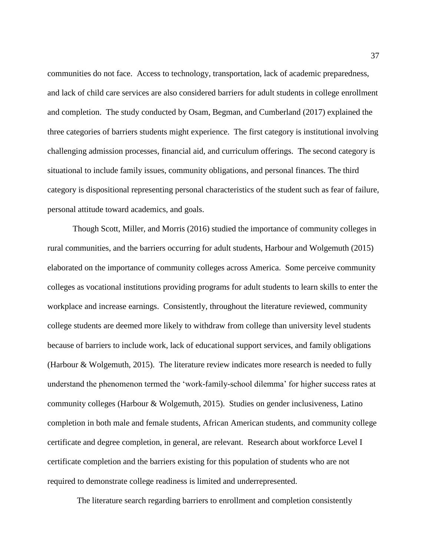communities do not face. Access to technology, transportation, lack of academic preparedness, and lack of child care services are also considered barriers for adult students in college enrollment and completion. The study conducted by Osam, Begman, and Cumberland (2017) explained the three categories of barriers students might experience. The first category is institutional involving challenging admission processes, financial aid, and curriculum offerings. The second category is situational to include family issues, community obligations, and personal finances. The third category is dispositional representing personal characteristics of the student such as fear of failure, personal attitude toward academics, and goals.

Though Scott, Miller, and Morris (2016) studied the importance of community colleges in rural communities, and the barriers occurring for adult students, Harbour and Wolgemuth (2015) elaborated on the importance of community colleges across America. Some perceive community colleges as vocational institutions providing programs for adult students to learn skills to enter the workplace and increase earnings. Consistently, throughout the literature reviewed, community college students are deemed more likely to withdraw from college than university level students because of barriers to include work, lack of educational support services, and family obligations (Harbour & Wolgemuth, 2015). The literature review indicates more research is needed to fully understand the phenomenon termed the 'work-family-school dilemma' for higher success rates at community colleges (Harbour & Wolgemuth, 2015). Studies on gender inclusiveness, Latino completion in both male and female students, African American students, and community college certificate and degree completion, in general, are relevant. Research about workforce Level I certificate completion and the barriers existing for this population of students who are not required to demonstrate college readiness is limited and underrepresented.

The literature search regarding barriers to enrollment and completion consistently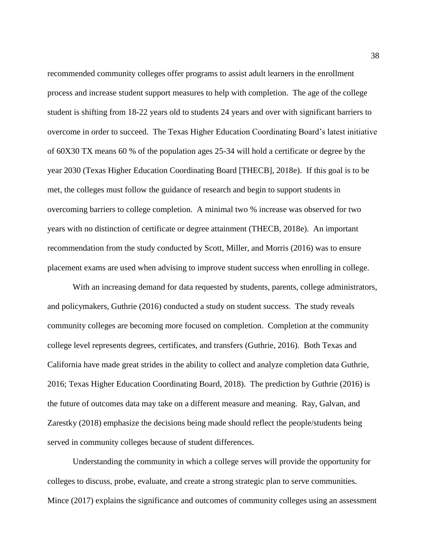recommended community colleges offer programs to assist adult learners in the enrollment process and increase student support measures to help with completion. The age of the college student is shifting from 18-22 years old to students 24 years and over with significant barriers to overcome in order to succeed. The Texas Higher Education Coordinating Board's latest initiative of 60X30 TX means 60 % of the population ages 25-34 will hold a certificate or degree by the year 2030 (Texas Higher Education Coordinating Board [THECB], 2018e). If this goal is to be met, the colleges must follow the guidance of research and begin to support students in overcoming barriers to college completion. A minimal two % increase was observed for two years with no distinction of certificate or degree attainment (THECB, 2018e). An important recommendation from the study conducted by Scott, Miller, and Morris (2016) was to ensure placement exams are used when advising to improve student success when enrolling in college.

With an increasing demand for data requested by students, parents, college administrators, and policymakers, Guthrie (2016) conducted a study on student success. The study reveals community colleges are becoming more focused on completion. Completion at the community college level represents degrees, certificates, and transfers (Guthrie, 2016). Both Texas and California have made great strides in the ability to collect and analyze completion data Guthrie, 2016; Texas Higher Education Coordinating Board, 2018). The prediction by Guthrie (2016) is the future of outcomes data may take on a different measure and meaning. Ray, Galvan, and Zarestky (2018) emphasize the decisions being made should reflect the people/students being served in community colleges because of student differences.

Understanding the community in which a college serves will provide the opportunity for colleges to discuss, probe, evaluate, and create a strong strategic plan to serve communities. Mince (2017) explains the significance and outcomes of community colleges using an assessment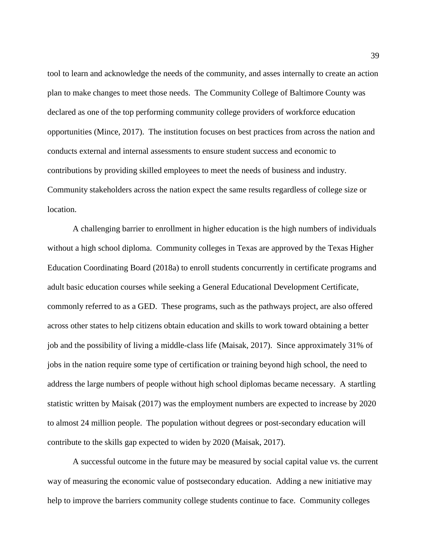tool to learn and acknowledge the needs of the community, and asses internally to create an action plan to make changes to meet those needs. The Community College of Baltimore County was declared as one of the top performing community college providers of workforce education opportunities (Mince, 2017). The institution focuses on best practices from across the nation and conducts external and internal assessments to ensure student success and economic to contributions by providing skilled employees to meet the needs of business and industry. Community stakeholders across the nation expect the same results regardless of college size or location.

A challenging barrier to enrollment in higher education is the high numbers of individuals without a high school diploma. Community colleges in Texas are approved by the Texas Higher Education Coordinating Board (2018a) to enroll students concurrently in certificate programs and adult basic education courses while seeking a General Educational Development Certificate, commonly referred to as a GED. These programs, such as the pathways project, are also offered across other states to help citizens obtain education and skills to work toward obtaining a better job and the possibility of living a middle-class life (Maisak, 2017). Since approximately 31% of jobs in the nation require some type of certification or training beyond high school, the need to address the large numbers of people without high school diplomas became necessary. A startling statistic written by Maisak (2017) was the employment numbers are expected to increase by 2020 to almost 24 million people. The population without degrees or post-secondary education will contribute to the skills gap expected to widen by 2020 (Maisak, 2017).

A successful outcome in the future may be measured by social capital value vs. the current way of measuring the economic value of postsecondary education. Adding a new initiative may help to improve the barriers community college students continue to face. Community colleges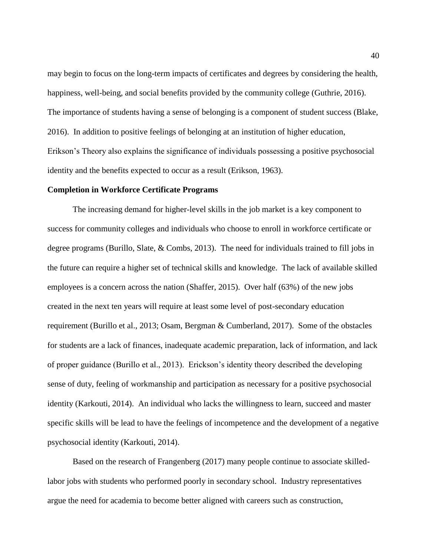may begin to focus on the long-term impacts of certificates and degrees by considering the health, happiness, well-being, and social benefits provided by the community college (Guthrie, 2016). The importance of students having a sense of belonging is a component of student success (Blake, 2016). In addition to positive feelings of belonging at an institution of higher education, Erikson's Theory also explains the significance of individuals possessing a positive psychosocial identity and the benefits expected to occur as a result (Erikson, 1963).

### **Completion in Workforce Certificate Programs**

The increasing demand for higher-level skills in the job market is a key component to success for community colleges and individuals who choose to enroll in workforce certificate or degree programs (Burillo, Slate, & Combs, 2013). The need for individuals trained to fill jobs in the future can require a higher set of technical skills and knowledge. The lack of available skilled employees is a concern across the nation (Shaffer, 2015). Over half (63%) of the new jobs created in the next ten years will require at least some level of post-secondary education requirement (Burillo et al., 2013; Osam, Bergman & Cumberland, 2017). Some of the obstacles for students are a lack of finances, inadequate academic preparation, lack of information, and lack of proper guidance (Burillo et al., 2013). Erickson's identity theory described the developing sense of duty, feeling of workmanship and participation as necessary for a positive psychosocial identity (Karkouti, 2014). An individual who lacks the willingness to learn, succeed and master specific skills will be lead to have the feelings of incompetence and the development of a negative psychosocial identity (Karkouti, 2014).

Based on the research of Frangenberg (2017) many people continue to associate skilledlabor jobs with students who performed poorly in secondary school. Industry representatives argue the need for academia to become better aligned with careers such as construction,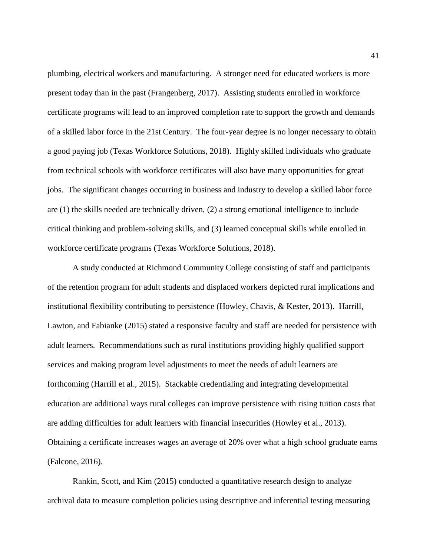plumbing, electrical workers and manufacturing. A stronger need for educated workers is more present today than in the past (Frangenberg, 2017). Assisting students enrolled in workforce certificate programs will lead to an improved completion rate to support the growth and demands of a skilled labor force in the 21st Century. The four-year degree is no longer necessary to obtain a good paying job (Texas Workforce Solutions, 2018). Highly skilled individuals who graduate from technical schools with workforce certificates will also have many opportunities for great jobs. The significant changes occurring in business and industry to develop a skilled labor force are (1) the skills needed are technically driven, (2) a strong emotional intelligence to include critical thinking and problem-solving skills, and (3) learned conceptual skills while enrolled in workforce certificate programs (Texas Workforce Solutions, 2018).

A study conducted at Richmond Community College consisting of staff and participants of the retention program for adult students and displaced workers depicted rural implications and institutional flexibility contributing to persistence (Howley, Chavis, & Kester, 2013). Harrill, Lawton, and Fabianke (2015) stated a responsive faculty and staff are needed for persistence with adult learners. Recommendations such as rural institutions providing highly qualified support services and making program level adjustments to meet the needs of adult learners are forthcoming (Harrill et al., 2015). Stackable credentialing and integrating developmental education are additional ways rural colleges can improve persistence with rising tuition costs that are adding difficulties for adult learners with financial insecurities (Howley et al., 2013). Obtaining a certificate increases wages an average of 20% over what a high school graduate earns (Falcone, 2016).

Rankin, Scott, and Kim (2015) conducted a quantitative research design to analyze archival data to measure completion policies using descriptive and inferential testing measuring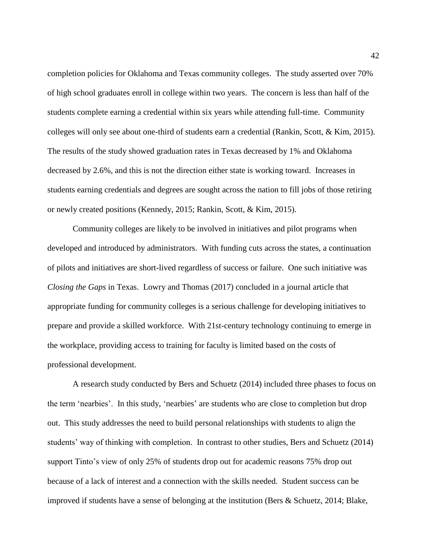completion policies for Oklahoma and Texas community colleges. The study asserted over 70% of high school graduates enroll in college within two years. The concern is less than half of the students complete earning a credential within six years while attending full-time. Community colleges will only see about one-third of students earn a credential (Rankin, Scott, & Kim, 2015). The results of the study showed graduation rates in Texas decreased by 1% and Oklahoma decreased by 2.6%, and this is not the direction either state is working toward. Increases in students earning credentials and degrees are sought across the nation to fill jobs of those retiring or newly created positions (Kennedy, 2015; Rankin, Scott, & Kim, 2015).

Community colleges are likely to be involved in initiatives and pilot programs when developed and introduced by administrators. With funding cuts across the states, a continuation of pilots and initiatives are short-lived regardless of success or failure. One such initiative was *Closing the Gaps* in Texas. Lowry and Thomas (2017) concluded in a journal article that appropriate funding for community colleges is a serious challenge for developing initiatives to prepare and provide a skilled workforce. With 21st-century technology continuing to emerge in the workplace, providing access to training for faculty is limited based on the costs of professional development.

A research study conducted by Bers and Schuetz (2014) included three phases to focus on the term 'nearbies'. In this study, 'nearbies' are students who are close to completion but drop out. This study addresses the need to build personal relationships with students to align the students' way of thinking with completion. In contrast to other studies, Bers and Schuetz (2014) support Tinto's view of only 25% of students drop out for academic reasons 75% drop out because of a lack of interest and a connection with the skills needed. Student success can be improved if students have a sense of belonging at the institution (Bers & Schuetz, 2014; Blake,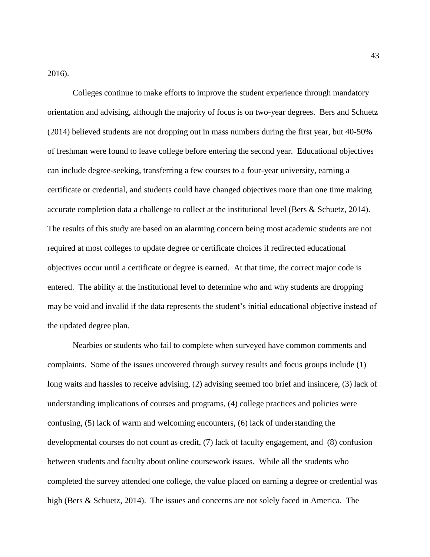2016).

Colleges continue to make efforts to improve the student experience through mandatory orientation and advising, although the majority of focus is on two-year degrees. Bers and Schuetz (2014) believed students are not dropping out in mass numbers during the first year, but 40-50% of freshman were found to leave college before entering the second year. Educational objectives can include degree-seeking, transferring a few courses to a four-year university, earning a certificate or credential, and students could have changed objectives more than one time making accurate completion data a challenge to collect at the institutional level (Bers & Schuetz, 2014). The results of this study are based on an alarming concern being most academic students are not required at most colleges to update degree or certificate choices if redirected educational objectives occur until a certificate or degree is earned. At that time, the correct major code is entered. The ability at the institutional level to determine who and why students are dropping may be void and invalid if the data represents the student's initial educational objective instead of the updated degree plan.

Nearbies or students who fail to complete when surveyed have common comments and complaints. Some of the issues uncovered through survey results and focus groups include (1) long waits and hassles to receive advising, (2) advising seemed too brief and insincere, (3) lack of understanding implications of courses and programs, (4) college practices and policies were confusing, (5) lack of warm and welcoming encounters, (6) lack of understanding the developmental courses do not count as credit, (7) lack of faculty engagement, and (8) confusion between students and faculty about online coursework issues. While all the students who completed the survey attended one college, the value placed on earning a degree or credential was high (Bers & Schuetz, 2014). The issues and concerns are not solely faced in America. The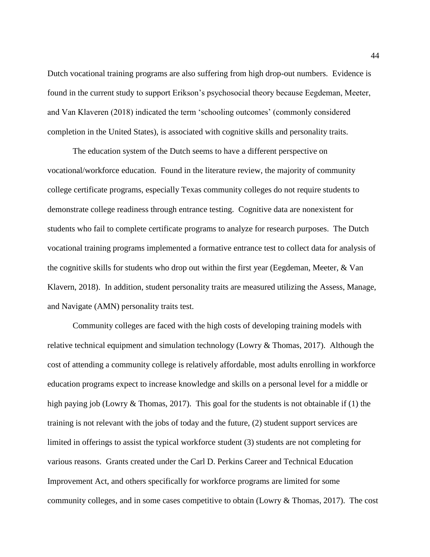Dutch vocational training programs are also suffering from high drop-out numbers. Evidence is found in the current study to support Erikson's psychosocial theory because Eegdeman, Meeter, and Van Klaveren (2018) indicated the term 'schooling outcomes' (commonly considered completion in the United States), is associated with cognitive skills and personality traits.

The education system of the Dutch seems to have a different perspective on vocational/workforce education. Found in the literature review, the majority of community college certificate programs, especially Texas community colleges do not require students to demonstrate college readiness through entrance testing. Cognitive data are nonexistent for students who fail to complete certificate programs to analyze for research purposes. The Dutch vocational training programs implemented a formative entrance test to collect data for analysis of the cognitive skills for students who drop out within the first year (Eegdeman, Meeter, & Van Klavern, 2018). In addition, student personality traits are measured utilizing the Assess, Manage, and Navigate (AMN) personality traits test.

Community colleges are faced with the high costs of developing training models with relative technical equipment and simulation technology (Lowry  $&$  Thomas, 2017). Although the cost of attending a community college is relatively affordable, most adults enrolling in workforce education programs expect to increase knowledge and skills on a personal level for a middle or high paying job (Lowry & Thomas, 2017). This goal for the students is not obtainable if (1) the training is not relevant with the jobs of today and the future, (2) student support services are limited in offerings to assist the typical workforce student (3) students are not completing for various reasons. Grants created under the Carl D. Perkins Career and Technical Education Improvement Act, and others specifically for workforce programs are limited for some community colleges, and in some cases competitive to obtain (Lowry & Thomas, 2017). The cost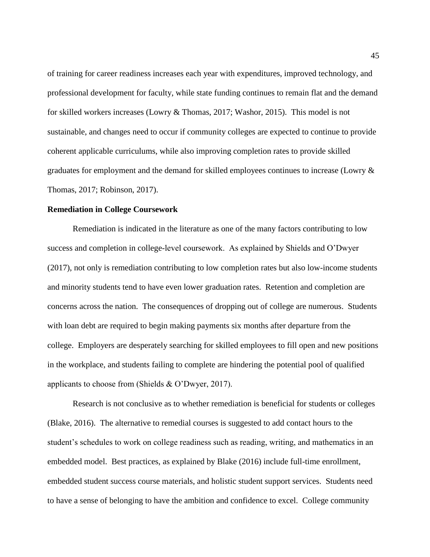of training for career readiness increases each year with expenditures, improved technology, and professional development for faculty, while state funding continues to remain flat and the demand for skilled workers increases (Lowry & Thomas, 2017; Washor, 2015). This model is not sustainable, and changes need to occur if community colleges are expected to continue to provide coherent applicable curriculums, while also improving completion rates to provide skilled graduates for employment and the demand for skilled employees continues to increase (Lowry & Thomas, 2017; Robinson, 2017).

### **Remediation in College Coursework**

Remediation is indicated in the literature as one of the many factors contributing to low success and completion in college-level coursework. As explained by Shields and O'Dwyer (2017), not only is remediation contributing to low completion rates but also low-income students and minority students tend to have even lower graduation rates. Retention and completion are concerns across the nation. The consequences of dropping out of college are numerous. Students with loan debt are required to begin making payments six months after departure from the college. Employers are desperately searching for skilled employees to fill open and new positions in the workplace, and students failing to complete are hindering the potential pool of qualified applicants to choose from (Shields & O'Dwyer, 2017).

Research is not conclusive as to whether remediation is beneficial for students or colleges (Blake, 2016). The alternative to remedial courses is suggested to add contact hours to the student's schedules to work on college readiness such as reading, writing, and mathematics in an embedded model. Best practices, as explained by Blake (2016) include full-time enrollment, embedded student success course materials, and holistic student support services. Students need to have a sense of belonging to have the ambition and confidence to excel. College community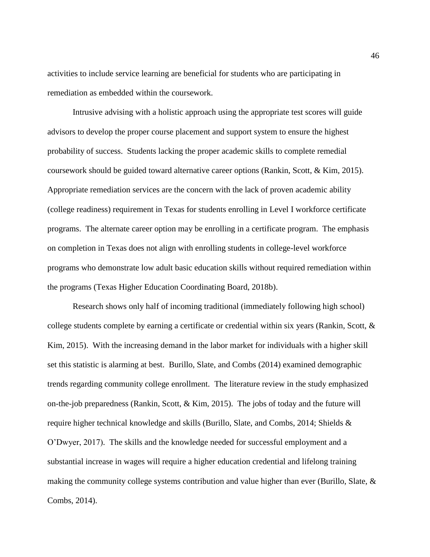activities to include service learning are beneficial for students who are participating in remediation as embedded within the coursework.

Intrusive advising with a holistic approach using the appropriate test scores will guide advisors to develop the proper course placement and support system to ensure the highest probability of success. Students lacking the proper academic skills to complete remedial coursework should be guided toward alternative career options (Rankin, Scott, & Kim, 2015). Appropriate remediation services are the concern with the lack of proven academic ability (college readiness) requirement in Texas for students enrolling in Level I workforce certificate programs. The alternate career option may be enrolling in a certificate program. The emphasis on completion in Texas does not align with enrolling students in college-level workforce programs who demonstrate low adult basic education skills without required remediation within the programs (Texas Higher Education Coordinating Board, 2018b).

Research shows only half of incoming traditional (immediately following high school) college students complete by earning a certificate or credential within six years (Rankin, Scott, & Kim, 2015). With the increasing demand in the labor market for individuals with a higher skill set this statistic is alarming at best. Burillo, Slate, and Combs (2014) examined demographic trends regarding community college enrollment. The literature review in the study emphasized on-the-job preparedness (Rankin, Scott, & Kim, 2015). The jobs of today and the future will require higher technical knowledge and skills (Burillo, Slate, and Combs, 2014; Shields & O'Dwyer, 2017). The skills and the knowledge needed for successful employment and a substantial increase in wages will require a higher education credential and lifelong training making the community college systems contribution and value higher than ever (Burillo, Slate, & Combs, 2014).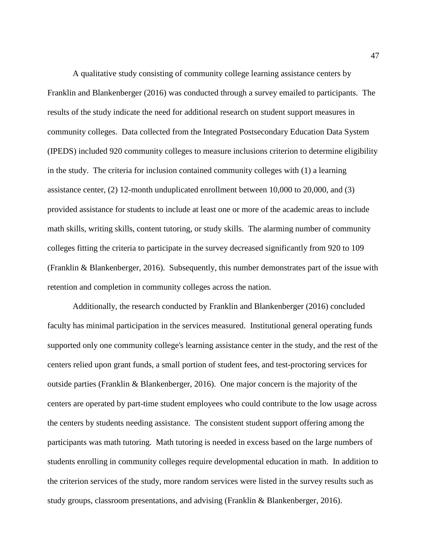A qualitative study consisting of community college learning assistance centers by Franklin and Blankenberger (2016) was conducted through a survey emailed to participants. The results of the study indicate the need for additional research on student support measures in community colleges. Data collected from the Integrated Postsecondary Education Data System (IPEDS) included 920 community colleges to measure inclusions criterion to determine eligibility in the study. The criteria for inclusion contained community colleges with (1) a learning assistance center, (2) 12-month unduplicated enrollment between 10,000 to 20,000, and (3) provided assistance for students to include at least one or more of the academic areas to include math skills, writing skills, content tutoring, or study skills. The alarming number of community colleges fitting the criteria to participate in the survey decreased significantly from 920 to 109 (Franklin & Blankenberger, 2016). Subsequently, this number demonstrates part of the issue with retention and completion in community colleges across the nation.

Additionally, the research conducted by Franklin and Blankenberger (2016) concluded faculty has minimal participation in the services measured. Institutional general operating funds supported only one community college's learning assistance center in the study, and the rest of the centers relied upon grant funds, a small portion of student fees, and test-proctoring services for outside parties (Franklin & Blankenberger, 2016). One major concern is the majority of the centers are operated by part-time student employees who could contribute to the low usage across the centers by students needing assistance. The consistent student support offering among the participants was math tutoring. Math tutoring is needed in excess based on the large numbers of students enrolling in community colleges require developmental education in math. In addition to the criterion services of the study, more random services were listed in the survey results such as study groups, classroom presentations, and advising (Franklin & Blankenberger, 2016).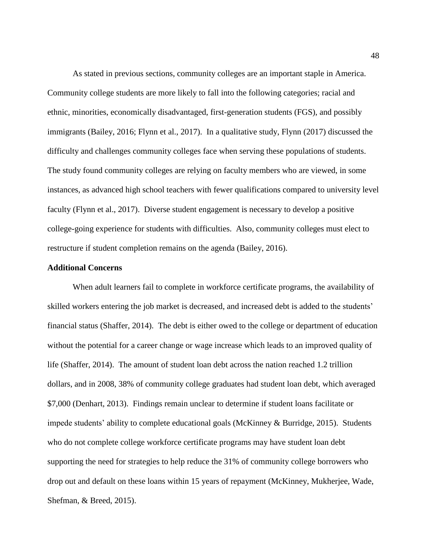As stated in previous sections, community colleges are an important staple in America. Community college students are more likely to fall into the following categories; racial and ethnic, minorities, economically disadvantaged, first-generation students (FGS), and possibly immigrants (Bailey, 2016; Flynn et al., 2017). In a qualitative study, Flynn (2017) discussed the difficulty and challenges community colleges face when serving these populations of students. The study found community colleges are relying on faculty members who are viewed, in some instances, as advanced high school teachers with fewer qualifications compared to university level faculty (Flynn et al., 2017). Diverse student engagement is necessary to develop a positive college-going experience for students with difficulties. Also, community colleges must elect to restructure if student completion remains on the agenda (Bailey, 2016).

### **Additional Concerns**

When adult learners fail to complete in workforce certificate programs, the availability of skilled workers entering the job market is decreased, and increased debt is added to the students' financial status (Shaffer, 2014). The debt is either owed to the college or department of education without the potential for a career change or wage increase which leads to an improved quality of life (Shaffer, 2014). The amount of student loan debt across the nation reached 1.2 trillion dollars, and in 2008, 38% of community college graduates had student loan debt, which averaged \$7,000 (Denhart, 2013). Findings remain unclear to determine if student loans facilitate or impede students' ability to complete educational goals (McKinney & Burridge, 2015). Students who do not complete college workforce certificate programs may have student loan debt supporting the need for strategies to help reduce the 31% of community college borrowers who drop out and default on these loans within 15 years of repayment (McKinney, Mukherjee, Wade, Shefman, & Breed, 2015).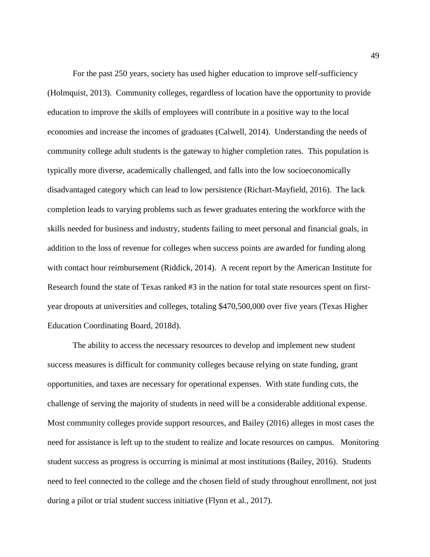For the past 250 years, society has used higher education to improve self-sufficiency (Holmquist, 2013). Community colleges, regardless of location have the opportunity to provide education to improve the skills of employees will contribute in a positive way to the local economies and increase the incomes of graduates (Calwell, 2014). Understanding the needs of community college adult students is the gateway to higher completion rates. This population is typically more diverse, academically challenged, and falls into the low socioeconomically disadvantaged category which can lead to low persistence (Richart-Mayfield, 2016). The lack completion leads to varying problems such as fewer graduates entering the workforce with the skills needed for business and industry, students failing to meet personal and financial goals, in addition to the loss of revenue for colleges when success points are awarded for funding along with contact hour reimbursement (Riddick, 2014). A recent report by the American Institute for Research found the state of Texas ranked #3 in the nation for total state resources spent on firstyear dropouts at universities and colleges, totaling \$470,500,000 over five years (Texas Higher Education Coordinating Board, 2018d).

The ability to access the necessary resources to develop and implement new student success measures is difficult for community colleges because relying on state funding, grant opportunities, and taxes are necessary for operational expenses. With state funding cuts, the challenge of serving the majority of students in need will be a considerable additional expense. Most community colleges provide support resources, and Bailey (2016) alleges in most cases the need for assistance is left up to the student to realize and locate resources on campus. Monitoring student success as progress is occurring is minimal at most institutions (Bailey, 2016). Students need to feel connected to the college and the chosen field of study throughout enrollment, not just during a pilot or trial student success initiative (Flynn et al., 2017).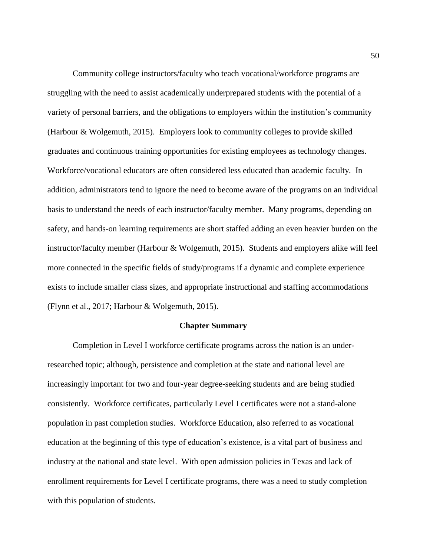Community college instructors/faculty who teach vocational/workforce programs are struggling with the need to assist academically underprepared students with the potential of a variety of personal barriers, and the obligations to employers within the institution's community (Harbour & Wolgemuth, 2015). Employers look to community colleges to provide skilled graduates and continuous training opportunities for existing employees as technology changes. Workforce/vocational educators are often considered less educated than academic faculty. In addition, administrators tend to ignore the need to become aware of the programs on an individual basis to understand the needs of each instructor/faculty member. Many programs, depending on safety, and hands-on learning requirements are short staffed adding an even heavier burden on the instructor/faculty member (Harbour & Wolgemuth, 2015). Students and employers alike will feel more connected in the specific fields of study/programs if a dynamic and complete experience exists to include smaller class sizes, and appropriate instructional and staffing accommodations (Flynn et al., 2017; Harbour & Wolgemuth, 2015).

### **Chapter Summary**

Completion in Level I workforce certificate programs across the nation is an underresearched topic; although, persistence and completion at the state and national level are increasingly important for two and four-year degree-seeking students and are being studied consistently. Workforce certificates, particularly Level I certificates were not a stand-alone population in past completion studies. Workforce Education, also referred to as vocational education at the beginning of this type of education's existence, is a vital part of business and industry at the national and state level. With open admission policies in Texas and lack of enrollment requirements for Level I certificate programs, there was a need to study completion with this population of students.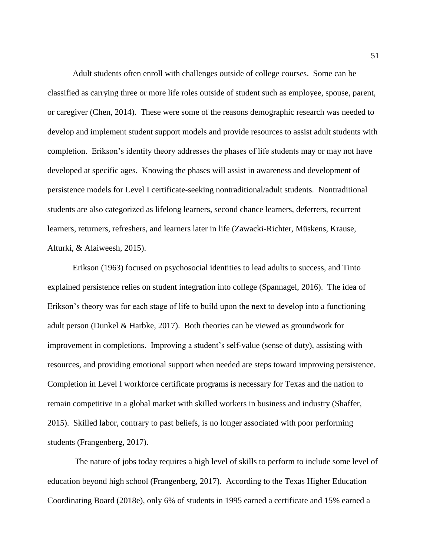Adult students often enroll with challenges outside of college courses. Some can be classified as carrying three or more life roles outside of student such as employee, spouse, parent, or caregiver (Chen, 2014). These were some of the reasons demographic research was needed to develop and implement student support models and provide resources to assist adult students with completion. Erikson's identity theory addresses the phases of life students may or may not have developed at specific ages. Knowing the phases will assist in awareness and development of persistence models for Level I certificate-seeking nontraditional/adult students. Nontraditional students are also categorized as lifelong learners, second chance learners, deferrers, recurrent learners, returners, refreshers, and learners later in life (Zawacki-Richter, Müskens, Krause, Alturki, & Alaiweesh, 2015).

Erikson (1963) focused on psychosocial identities to lead adults to success, and Tinto explained persistence relies on student integration into college (Spannagel, 2016). The idea of Erikson's theory was for each stage of life to build upon the next to develop into a functioning adult person (Dunkel & Harbke, 2017). Both theories can be viewed as groundwork for improvement in completions. Improving a student's self-value (sense of duty), assisting with resources, and providing emotional support when needed are steps toward improving persistence. Completion in Level I workforce certificate programs is necessary for Texas and the nation to remain competitive in a global market with skilled workers in business and industry (Shaffer, 2015). Skilled labor, contrary to past beliefs, is no longer associated with poor performing students (Frangenberg, 2017).

The nature of jobs today requires a high level of skills to perform to include some level of education beyond high school (Frangenberg, 2017). According to the Texas Higher Education Coordinating Board (2018e), only 6% of students in 1995 earned a certificate and 15% earned a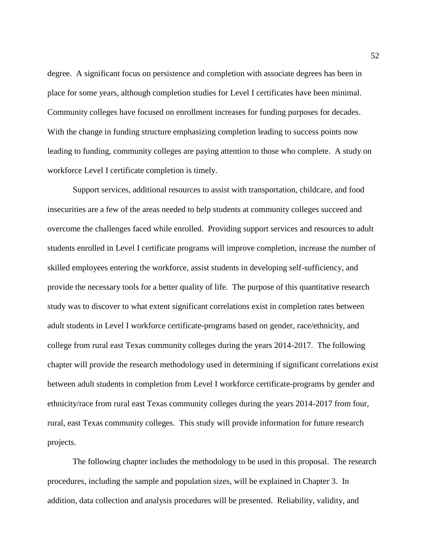degree. A significant focus on persistence and completion with associate degrees has been in place for some years, although completion studies for Level I certificates have been minimal. Community colleges have focused on enrollment increases for funding purposes for decades. With the change in funding structure emphasizing completion leading to success points now leading to funding, community colleges are paying attention to those who complete. A study on workforce Level I certificate completion is timely.

Support services, additional resources to assist with transportation, childcare, and food insecurities are a few of the areas needed to help students at community colleges succeed and overcome the challenges faced while enrolled. Providing support services and resources to adult students enrolled in Level I certificate programs will improve completion, increase the number of skilled employees entering the workforce, assist students in developing self-sufficiency, and provide the necessary tools for a better quality of life. The purpose of this quantitative research study was to discover to what extent significant correlations exist in completion rates between adult students in Level I workforce certificate-programs based on gender, race/ethnicity, and college from rural east Texas community colleges during the years 2014-2017. The following chapter will provide the research methodology used in determining if significant correlations exist between adult students in completion from Level I workforce certificate-programs by gender and ethnicity/race from rural east Texas community colleges during the years 2014-2017 from four, rural, east Texas community colleges. This study will provide information for future research projects.

The following chapter includes the methodology to be used in this proposal. The research procedures, including the sample and population sizes, will be explained in Chapter 3. In addition, data collection and analysis procedures will be presented. Reliability, validity, and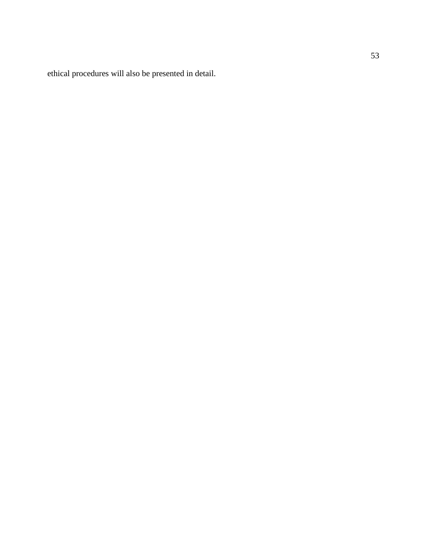ethical procedures will also be presented in detail.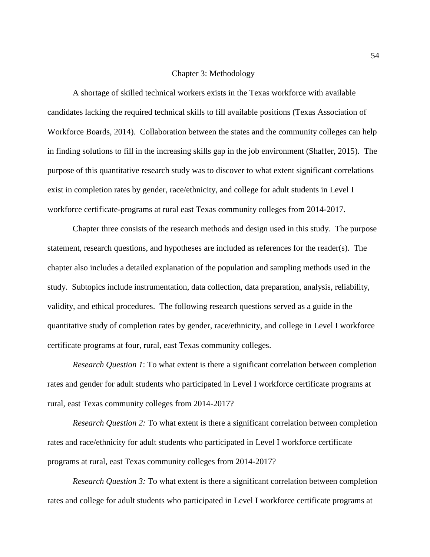### Chapter 3: Methodology

A shortage of skilled technical workers exists in the Texas workforce with available candidates lacking the required technical skills to fill available positions (Texas Association of Workforce Boards, 2014). Collaboration between the states and the community colleges can help in finding solutions to fill in the increasing skills gap in the job environment (Shaffer, 2015). The purpose of this quantitative research study was to discover to what extent significant correlations exist in completion rates by gender, race/ethnicity, and college for adult students in Level I workforce certificate-programs at rural east Texas community colleges from 2014-2017.

Chapter three consists of the research methods and design used in this study. The purpose statement, research questions, and hypotheses are included as references for the reader(s). The chapter also includes a detailed explanation of the population and sampling methods used in the study. Subtopics include instrumentation, data collection, data preparation, analysis, reliability, validity, and ethical procedures. The following research questions served as a guide in the quantitative study of completion rates by gender, race/ethnicity, and college in Level I workforce certificate programs at four, rural, east Texas community colleges.

*Research Question 1*: To what extent is there a significant correlation between completion rates and gender for adult students who participated in Level I workforce certificate programs at rural, east Texas community colleges from 2014-2017?

*Research Question 2:* To what extent is there a significant correlation between completion rates and race/ethnicity for adult students who participated in Level I workforce certificate programs at rural, east Texas community colleges from 2014-2017?

*Research Question 3:* To what extent is there a significant correlation between completion rates and college for adult students who participated in Level I workforce certificate programs at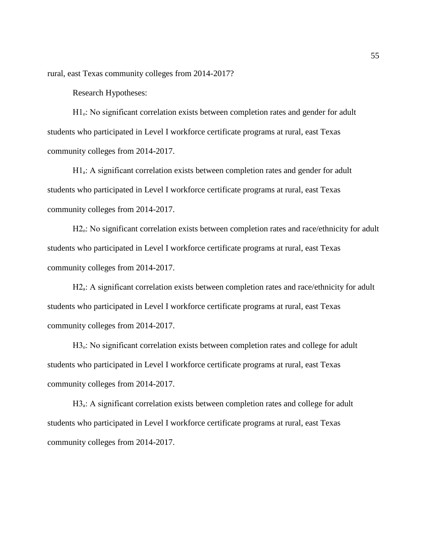rural, east Texas community colleges from 2014-2017?

Research Hypotheses:

H1.<sup>c</sup>: No significant correlation exists between completion rates and gender for adult students who participated in Level I workforce certificate programs at rural, east Texas community colleges from 2014-2017.

 $H1_a$ : A significant correlation exists between completion rates and gender for adult students who participated in Level I workforce certificate programs at rural, east Texas community colleges from 2014-2017.

H<sub>2</sub>. No significant correlation exists between completion rates and race/ethnicity for adult students who participated in Level I workforce certificate programs at rural, east Texas community colleges from 2014-2017.

H2<sub>a</sub>: A significant correlation exists between completion rates and race/ethnicity for adult students who participated in Level I workforce certificate programs at rural, east Texas community colleges from 2014-2017.

H<sub>3</sub>. No significant correlation exists between completion rates and college for adult students who participated in Level I workforce certificate programs at rural, east Texas community colleges from 2014-2017.

H3<sub>a</sub>: A significant correlation exists between completion rates and college for adult students who participated in Level I workforce certificate programs at rural, east Texas community colleges from 2014-2017.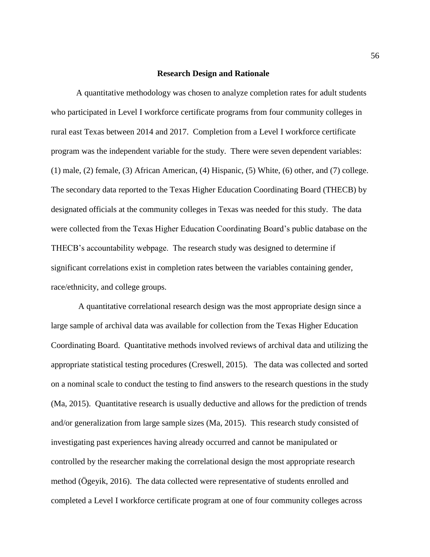#### **Research Design and Rationale**

A quantitative methodology was chosen to analyze completion rates for adult students who participated in Level I workforce certificate programs from four community colleges in rural east Texas between 2014 and 2017. Completion from a Level I workforce certificate program was the independent variable for the study. There were seven dependent variables: (1) male, (2) female, (3) African American, (4) Hispanic, (5) White, (6) other, and (7) college. The secondary data reported to the Texas Higher Education Coordinating Board (THECB) by designated officials at the community colleges in Texas was needed for this study. The data were collected from the Texas Higher Education Coordinating Board's public database on the THECB's accountability webpage. The research study was designed to determine if significant correlations exist in completion rates between the variables containing gender, race/ethnicity, and college groups.

A quantitative correlational research design was the most appropriate design since a large sample of archival data was available for collection from the Texas Higher Education Coordinating Board. Quantitative methods involved reviews of archival data and utilizing the appropriate statistical testing procedures (Creswell, 2015). The data was collected and sorted on a nominal scale to conduct the testing to find answers to the research questions in the study (Ma, 2015). Quantitative research is usually deductive and allows for the prediction of trends and/or generalization from large sample sizes (Ma, 2015). This research study consisted of investigating past experiences having already occurred and cannot be manipulated or controlled by the researcher making the correlational design the most appropriate research method (Ögeyik, 2016). The data collected were representative of students enrolled and completed a Level I workforce certificate program at one of four community colleges across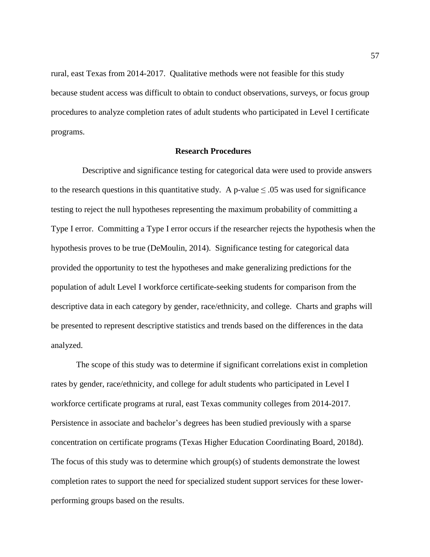rural, east Texas from 2014-2017. Qualitative methods were not feasible for this study because student access was difficult to obtain to conduct observations, surveys, or focus group procedures to analyze completion rates of adult students who participated in Level I certificate programs.

### **Research Procedures**

Descriptive and significance testing for categorical data were used to provide answers to the research questions in this quantitative study. A p-value  $\leq .05$  was used for significance testing to reject the null hypotheses representing the maximum probability of committing a Type I error. Committing a Type I error occurs if the researcher rejects the hypothesis when the hypothesis proves to be true (DeMoulin, 2014). Significance testing for categorical data provided the opportunity to test the hypotheses and make generalizing predictions for the population of adult Level I workforce certificate-seeking students for comparison from the descriptive data in each category by gender, race/ethnicity, and college. Charts and graphs will be presented to represent descriptive statistics and trends based on the differences in the data analyzed.

The scope of this study was to determine if significant correlations exist in completion rates by gender, race/ethnicity, and college for adult students who participated in Level I workforce certificate programs at rural, east Texas community colleges from 2014-2017. Persistence in associate and bachelor's degrees has been studied previously with a sparse concentration on certificate programs (Texas Higher Education Coordinating Board, 2018d). The focus of this study was to determine which group(s) of students demonstrate the lowest completion rates to support the need for specialized student support services for these lowerperforming groups based on the results.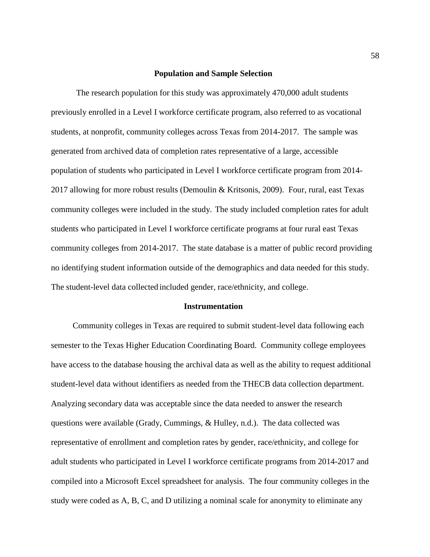### **Population and Sample Selection**

The research population for this study was approximately 470,000 adult students previously enrolled in a Level I workforce certificate program, also referred to as vocational students, at nonprofit, community colleges across Texas from 2014-2017. The sample was generated from archived data of completion rates representative of a large, accessible population of students who participated in Level I workforce certificate program from 2014- 2017 allowing for more robust results (Demoulin & Kritsonis, 2009). Four, rural, east Texas community colleges were included in the study. The study included completion rates for adult students who participated in Level I workforce certificate programs at four rural east Texas community colleges from 2014-2017. The state database is a matter of public record providing no identifying student information outside of the demographics and data needed for this study. The student-level data collected included gender, race/ethnicity, and college.

#### **Instrumentation**

Community colleges in Texas are required to submit student-level data following each semester to the Texas Higher Education Coordinating Board. Community college employees have access to the database housing the archival data as well as the ability to request additional student-level data without identifiers as needed from the THECB data collection department. Analyzing secondary data was acceptable since the data needed to answer the research questions were available (Grady, Cummings, & Hulley, n.d.). The data collected was representative of enrollment and completion rates by gender, race/ethnicity, and college for adult students who participated in Level I workforce certificate programs from 2014-2017 and compiled into a Microsoft Excel spreadsheet for analysis. The four community colleges in the study were coded as A, B, C, and D utilizing a nominal scale for anonymity to eliminate any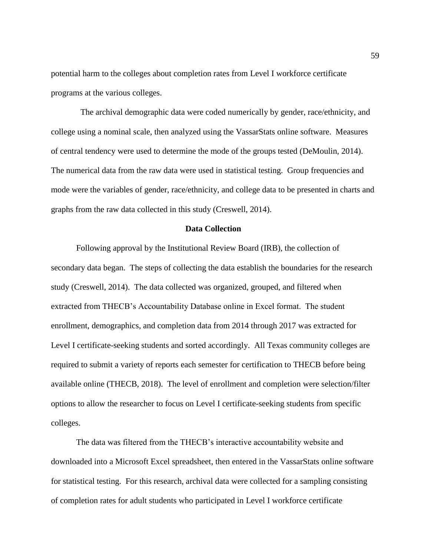potential harm to the colleges about completion rates from Level I workforce certificate programs at the various colleges.

 The archival demographic data were coded numerically by gender, race/ethnicity, and college using a nominal scale, then analyzed using the VassarStats online software. Measures of central tendency were used to determine the mode of the groups tested (DeMoulin, 2014). The numerical data from the raw data were used in statistical testing. Group frequencies and mode were the variables of gender, race/ethnicity, and college data to be presented in charts and graphs from the raw data collected in this study (Creswell, 2014).

### **Data Collection**

Following approval by the Institutional Review Board (IRB), the collection of secondary data began. The steps of collecting the data establish the boundaries for the research study (Creswell, 2014). The data collected was organized, grouped, and filtered when extracted from THECB's Accountability Database online in Excel format. The student enrollment, demographics, and completion data from 2014 through 2017 was extracted for Level I certificate-seeking students and sorted accordingly. All Texas community colleges are required to submit a variety of reports each semester for certification to THECB before being available online (THECB, 2018). The level of enrollment and completion were selection/filter options to allow the researcher to focus on Level I certificate-seeking students from specific colleges.

The data was filtered from the THECB's interactive accountability website and downloaded into a Microsoft Excel spreadsheet, then entered in the VassarStats online software for statistical testing. For this research, archival data were collected for a sampling consisting of completion rates for adult students who participated in Level I workforce certificate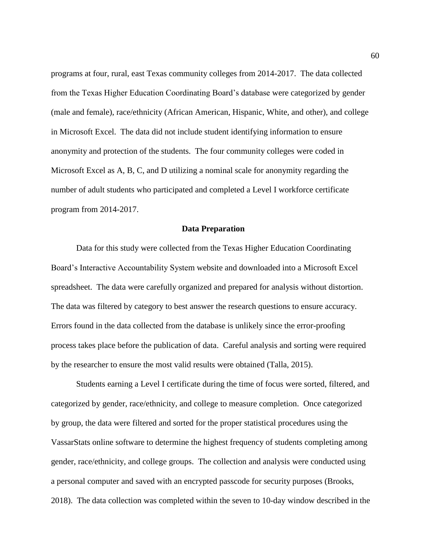programs at four, rural, east Texas community colleges from 2014-2017. The data collected from the Texas Higher Education Coordinating Board's database were categorized by gender (male and female), race/ethnicity (African American, Hispanic, White, and other), and college in Microsoft Excel. The data did not include student identifying information to ensure anonymity and protection of the students. The four community colleges were coded in Microsoft Excel as A, B, C, and D utilizing a nominal scale for anonymity regarding the number of adult students who participated and completed a Level I workforce certificate program from 2014-2017.

### **Data Preparation**

Data for this study were collected from the Texas Higher Education Coordinating Board's Interactive Accountability System website and downloaded into a Microsoft Excel spreadsheet. The data were carefully organized and prepared for analysis without distortion. The data was filtered by category to best answer the research questions to ensure accuracy. Errors found in the data collected from the database is unlikely since the error-proofing process takes place before the publication of data. Careful analysis and sorting were required by the researcher to ensure the most valid results were obtained (Talla, 2015).

Students earning a Level I certificate during the time of focus were sorted, filtered, and categorized by gender, race/ethnicity, and college to measure completion. Once categorized by group, the data were filtered and sorted for the proper statistical procedures using the VassarStats online software to determine the highest frequency of students completing among gender, race/ethnicity, and college groups. The collection and analysis were conducted using a personal computer and saved with an encrypted passcode for security purposes (Brooks, 2018). The data collection was completed within the seven to 10-day window described in the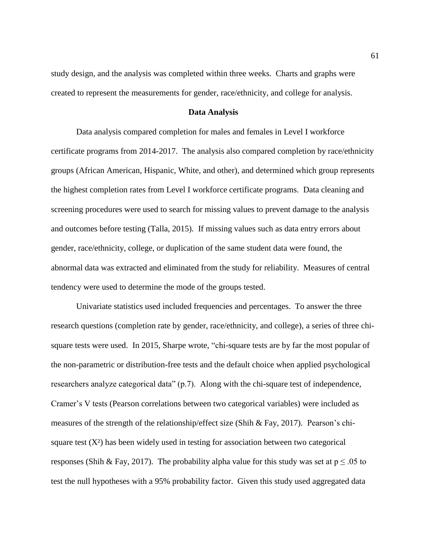study design, and the analysis was completed within three weeks. Charts and graphs were created to represent the measurements for gender, race/ethnicity, and college for analysis.

### **Data Analysis**

Data analysis compared completion for males and females in Level I workforce certificate programs from 2014-2017. The analysis also compared completion by race/ethnicity groups (African American, Hispanic, White, and other), and determined which group represents the highest completion rates from Level I workforce certificate programs. Data cleaning and screening procedures were used to search for missing values to prevent damage to the analysis and outcomes before testing (Talla, 2015). If missing values such as data entry errors about gender, race/ethnicity, college, or duplication of the same student data were found, the abnormal data was extracted and eliminated from the study for reliability. Measures of central tendency were used to determine the mode of the groups tested.

Univariate statistics used included frequencies and percentages. To answer the three research questions (completion rate by gender, race/ethnicity, and college), a series of three chisquare tests were used. In 2015, Sharpe wrote, "chi-square tests are by far the most popular of the non-parametric or distribution-free tests and the default choice when applied psychological researchers analyze categorical data" (p.7). Along with the chi-square test of independence, Cramer's V tests (Pearson correlations between two categorical variables) were included as measures of the strength of the relationship/effect size (Shih & Fay, 2017). Pearson's chisquare test  $(X^2)$  has been widely used in testing for association between two categorical responses (Shih & Fay, 2017). The probability alpha value for this study was set at  $p \le 0.05$  to test the null hypotheses with a 95% probability factor. Given this study used aggregated data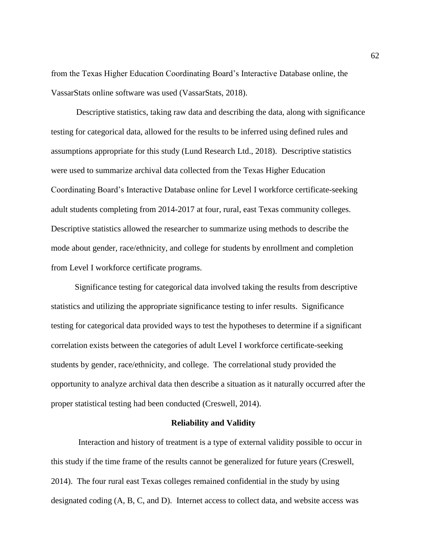from the Texas Higher Education Coordinating Board's Interactive Database online, the VassarStats online software was used (VassarStats, 2018).

Descriptive statistics, taking raw data and describing the data, along with significance testing for categorical data, allowed for the results to be inferred using defined rules and assumptions appropriate for this study (Lund Research Ltd., 2018). Descriptive statistics were used to summarize archival data collected from the Texas Higher Education Coordinating Board's Interactive Database online for Level I workforce certificate-seeking adult students completing from 2014-2017 at four, rural, east Texas community colleges. Descriptive statistics allowed the researcher to summarize using methods to describe the mode about gender, race/ethnicity, and college for students by enrollment and completion from Level I workforce certificate programs.

Significance testing for categorical data involved taking the results from descriptive statistics and utilizing the appropriate significance testing to infer results. Significance testing for categorical data provided ways to test the hypotheses to determine if a significant correlation exists between the categories of adult Level I workforce certificate-seeking students by gender, race/ethnicity, and college. The correlational study provided the opportunity to analyze archival data then describe a situation as it naturally occurred after the proper statistical testing had been conducted (Creswell, 2014).

#### **Reliability and Validity**

Interaction and history of treatment is a type of external validity possible to occur in this study if the time frame of the results cannot be generalized for future years (Creswell, 2014). The four rural east Texas colleges remained confidential in the study by using designated coding (A, B, C, and D). Internet access to collect data, and website access was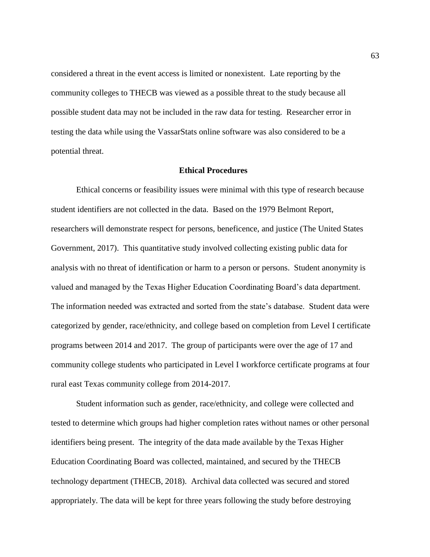considered a threat in the event access is limited or nonexistent. Late reporting by the community colleges to THECB was viewed as a possible threat to the study because all possible student data may not be included in the raw data for testing. Researcher error in testing the data while using the VassarStats online software was also considered to be a potential threat.

## **Ethical Procedures**

Ethical concerns or feasibility issues were minimal with this type of research because student identifiers are not collected in the data. Based on the 1979 Belmont Report, researchers will demonstrate respect for persons, beneficence, and justice (The United States Government, 2017). This quantitative study involved collecting existing public data for analysis with no threat of identification or harm to a person or persons. Student anonymity is valued and managed by the Texas Higher Education Coordinating Board's data department. The information needed was extracted and sorted from the state's database. Student data were categorized by gender, race/ethnicity, and college based on completion from Level I certificate programs between 2014 and 2017. The group of participants were over the age of 17 and community college students who participated in Level I workforce certificate programs at four rural east Texas community college from 2014-2017.

Student information such as gender, race/ethnicity, and college were collected and tested to determine which groups had higher completion rates without names or other personal identifiers being present. The integrity of the data made available by the Texas Higher Education Coordinating Board was collected, maintained, and secured by the THECB technology department (THECB, 2018). Archival data collected was secured and stored appropriately. The data will be kept for three years following the study before destroying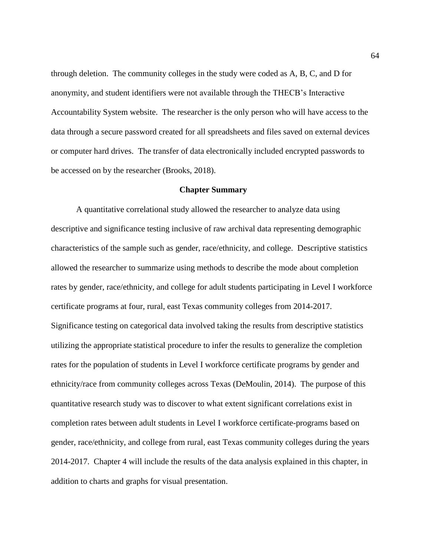through deletion. The community colleges in the study were coded as A, B, C, and D for anonymity, and student identifiers were not available through the THECB's Interactive Accountability System website. The researcher is the only person who will have access to the data through a secure password created for all spreadsheets and files saved on external devices or computer hard drives. The transfer of data electronically included encrypted passwords to be accessed on by the researcher (Brooks, 2018).

#### **Chapter Summary**

A quantitative correlational study allowed the researcher to analyze data using descriptive and significance testing inclusive of raw archival data representing demographic characteristics of the sample such as gender, race/ethnicity, and college. Descriptive statistics allowed the researcher to summarize using methods to describe the mode about completion rates by gender, race/ethnicity, and college for adult students participating in Level I workforce certificate programs at four, rural, east Texas community colleges from 2014-2017. Significance testing on categorical data involved taking the results from descriptive statistics utilizing the appropriate statistical procedure to infer the results to generalize the completion rates for the population of students in Level I workforce certificate programs by gender and ethnicity/race from community colleges across Texas (DeMoulin, 2014). The purpose of this quantitative research study was to discover to what extent significant correlations exist in completion rates between adult students in Level I workforce certificate-programs based on gender, race/ethnicity, and college from rural, east Texas community colleges during the years 2014-2017. Chapter 4 will include the results of the data analysis explained in this chapter, in addition to charts and graphs for visual presentation.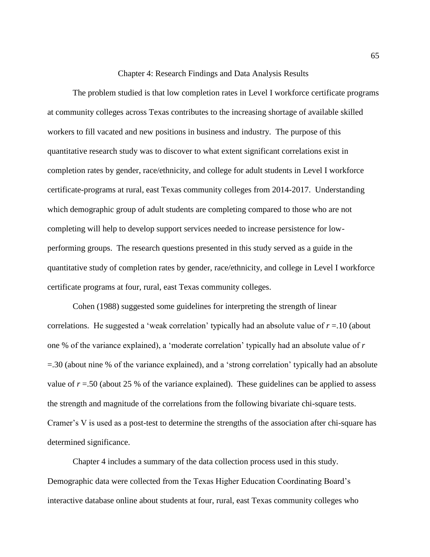### Chapter 4: Research Findings and Data Analysis Results

The problem studied is that low completion rates in Level I workforce certificate programs at community colleges across Texas contributes to the increasing shortage of available skilled workers to fill vacated and new positions in business and industry. The purpose of this quantitative research study was to discover to what extent significant correlations exist in completion rates by gender, race/ethnicity, and college for adult students in Level I workforce certificate-programs at rural, east Texas community colleges from 2014-2017. Understanding which demographic group of adult students are completing compared to those who are not completing will help to develop support services needed to increase persistence for lowperforming groups. The research questions presented in this study served as a guide in the quantitative study of completion rates by gender, race/ethnicity, and college in Level I workforce certificate programs at four, rural, east Texas community colleges.

Cohen (1988) suggested some guidelines for interpreting the strength of linear correlations. He suggested a 'weak correlation' typically had an absolute value of *r* =.10 (about one % of the variance explained), a 'moderate correlation' typically had an absolute value of *r* =.30 (about nine % of the variance explained), and a 'strong correlation' typically had an absolute value of  $r = 0.50$  (about 25 % of the variance explained). These guidelines can be applied to assess the strength and magnitude of the correlations from the following bivariate chi-square tests. Cramer's V is used as a post-test to determine the strengths of the association after chi-square has determined significance.

Chapter 4 includes a summary of the data collection process used in this study. Demographic data were collected from the Texas Higher Education Coordinating Board's interactive database online about students at four, rural, east Texas community colleges who 65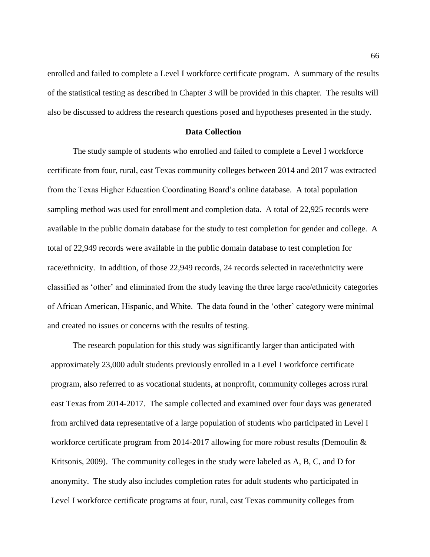enrolled and failed to complete a Level I workforce certificate program. A summary of the results of the statistical testing as described in Chapter 3 will be provided in this chapter. The results will also be discussed to address the research questions posed and hypotheses presented in the study.

# **Data Collection**

The study sample of students who enrolled and failed to complete a Level I workforce certificate from four, rural, east Texas community colleges between 2014 and 2017 was extracted from the Texas Higher Education Coordinating Board's online database. A total population sampling method was used for enrollment and completion data. A total of 22,925 records were available in the public domain database for the study to test completion for gender and college. A total of 22,949 records were available in the public domain database to test completion for race/ethnicity. In addition, of those 22,949 records, 24 records selected in race/ethnicity were classified as 'other' and eliminated from the study leaving the three large race/ethnicity categories of African American, Hispanic, and White. The data found in the 'other' category were minimal and created no issues or concerns with the results of testing.

The research population for this study was significantly larger than anticipated with approximately 23,000 adult students previously enrolled in a Level I workforce certificate program, also referred to as vocational students, at nonprofit, community colleges across rural east Texas from 2014-2017. The sample collected and examined over four days was generated from archived data representative of a large population of students who participated in Level I workforce certificate program from 2014-2017 allowing for more robust results (Demoulin & Kritsonis, 2009). The community colleges in the study were labeled as A, B, C, and D for anonymity. The study also includes completion rates for adult students who participated in Level I workforce certificate programs at four, rural, east Texas community colleges from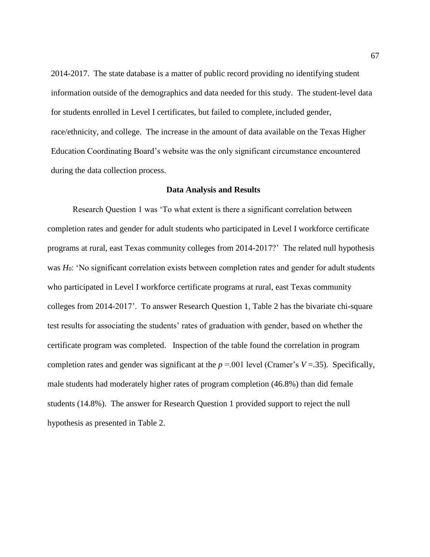2014-2017. The state database is a matter of public record providing no identifying student information outside of the demographics and data needed for this study. The student-level data for students enrolled in Level I certificates, but failed to complete, included gender, race/ethnicity, and college. The increase in the amount of data available on the Texas Higher Education Coordinating Board's website was the only significant circumstance encountered during the data collection process.

#### **Data Analysis and Results**

Research Question 1 was 'To what extent is there a significant correlation between completion rates and gender for adult students who participated in Level I workforce certificate programs at rural, east Texas community colleges from 2014-2017?' The related null hypothesis was *H*<sub>0</sub>: 'No significant correlation exists between completion rates and gender for adult students who participated in Level I workforce certificate programs at rural, east Texas community colleges from 2014-2017'. To answer Research Question 1, Table 2 has the bivariate chi-square test results for associating the students' rates of graduation with gender, based on whether the certificate program was completed. Inspection of the table found the correlation in program completion rates and gender was significant at the  $p = 0.001$  level (Cramer's  $V = 0.35$ ). Specifically, male students had moderately higher rates of program completion (46.8%) than did female students (14.8%). The answer for Research Question 1 provided support to reject the null hypothesis as presented in Table 2.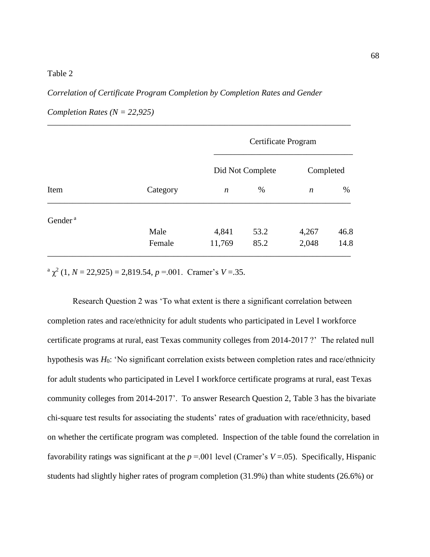## Table 2

# *Correlation of Certificate Program Completion by Completion Rates and Gender*

| Item                | Category | Certificate Program |      |                  |      |
|---------------------|----------|---------------------|------|------------------|------|
|                     |          | Did Not Complete    |      | Completed        |      |
|                     |          | $\boldsymbol{n}$    | $\%$ | $\boldsymbol{n}$ | $\%$ |
| Gender <sup>a</sup> |          |                     |      |                  |      |
|                     | Male     | 4,841               | 53.2 | 4,267            | 46.8 |
|                     | Female   | 11,769              | 85.2 | 2,048            | 14.8 |

\_\_\_\_\_\_\_\_\_\_\_\_\_\_\_\_\_\_\_\_\_\_\_\_\_\_\_\_\_\_\_\_\_\_\_\_\_\_\_\_\_\_\_\_\_\_\_\_\_\_\_\_\_\_\_\_\_\_\_\_\_\_\_\_\_\_\_\_\_\_\_\_

*Completion Rates (N = 22,925)*

 $\alpha^{a} \chi^{2}$  (1, *N* = 22,925) = 2,819.54, *p* = 001. Cramer's *V* = 35.

Research Question 2 was 'To what extent is there a significant correlation between completion rates and race/ethnicity for adult students who participated in Level I workforce certificate programs at rural, east Texas community colleges from 2014-2017 ?' The related null hypothesis was *H*<sub>0</sub>: 'No significant correlation exists between completion rates and race/ethnicity for adult students who participated in Level I workforce certificate programs at rural, east Texas community colleges from 2014-2017'. To answer Research Question 2, Table 3 has the bivariate chi-square test results for associating the students' rates of graduation with race/ethnicity, based on whether the certificate program was completed. Inspection of the table found the correlation in favorability ratings was significant at the  $p = 0.001$  level (Cramer's  $V = 0.05$ ). Specifically, Hispanic students had slightly higher rates of program completion (31.9%) than white students (26.6%) or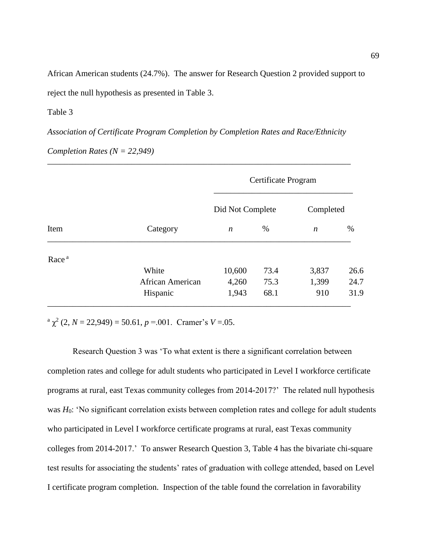African American students (24.7%). The answer for Research Question 2 provided support to reject the null hypothesis as presented in Table 3.

Table 3

*Association of Certificate Program Completion by Completion Rates and Race/Ethnicity* 

\_\_\_\_\_\_\_\_\_\_\_\_\_\_\_\_\_\_\_\_\_\_\_\_\_\_\_\_\_\_\_\_\_\_\_\_\_\_\_\_\_\_\_\_\_\_\_\_\_\_\_\_\_\_\_\_\_\_\_\_\_\_\_\_\_\_\_\_\_\_\_\_

*Completion Rates (N = 22,949)*

| Item              | Category         | Certificate Program |      |           |      |
|-------------------|------------------|---------------------|------|-----------|------|
|                   |                  | Did Not Complete    |      | Completed |      |
|                   |                  | n                   | %    | n         | $\%$ |
| Race <sup>a</sup> |                  |                     |      |           |      |
|                   | White            | 10,600              | 73.4 | 3,837     | 26.6 |
|                   | African American | 4,260               | 75.3 | 1,399     | 24.7 |
|                   | Hispanic         | 1,943               | 68.1 | 910       | 31.9 |

 $\alpha^{a} \chi^{2}$  (2, *N* = 22,949) = 50.61, *p* = 001. Cramer's *V* = 05.

Research Question 3 was 'To what extent is there a significant correlation between completion rates and college for adult students who participated in Level I workforce certificate programs at rural, east Texas community colleges from 2014-2017?' The related null hypothesis was *H*<sub>0</sub>: 'No significant correlation exists between completion rates and college for adult students who participated in Level I workforce certificate programs at rural, east Texas community colleges from 2014-2017.' To answer Research Question 3, Table 4 has the bivariate chi-square test results for associating the students' rates of graduation with college attended, based on Level I certificate program completion. Inspection of the table found the correlation in favorability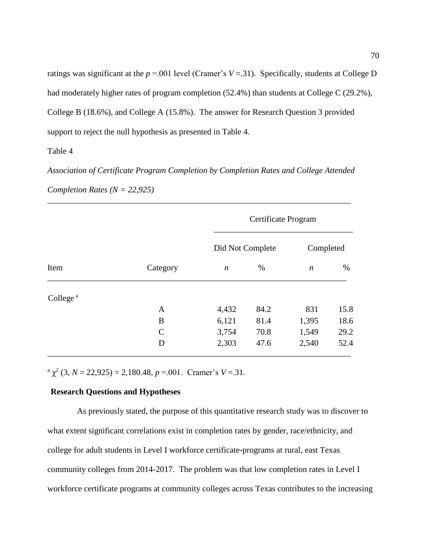ratings was significant at the  $p = 0.001$  level (Cramer's  $V = 0.31$ ). Specifically, students at College D had moderately higher rates of program completion (52.4%) than students at College C (29.2%), College B (18.6%), and College A (15.8%). The answer for Research Question 3 provided support to reject the null hypothesis as presented in Table 4.

Table 4

*Association of Certificate Program Completion by Completion Rates and College Attended Completion Rates (N = 22,925)*

\_\_\_\_\_\_\_\_\_\_\_\_\_\_\_\_\_\_\_\_\_\_\_\_\_\_\_\_\_\_\_\_\_\_\_\_\_\_\_\_\_\_\_\_\_\_\_\_\_\_\_\_\_\_\_\_\_\_\_\_\_\_\_\_\_\_\_\_\_\_\_\_

| Item                 | Category     | Certificate Program |      |                  |      |
|----------------------|--------------|---------------------|------|------------------|------|
|                      |              | Did Not Complete    |      | Completed        |      |
|                      |              | $\boldsymbol{n}$    | %    | $\boldsymbol{n}$ | $\%$ |
| College <sup>a</sup> |              |                     |      |                  |      |
|                      | A            | 4,432               | 84.2 | 831              | 15.8 |
|                      | B            | 6,121               | 81.4 | 1,395            | 18.6 |
|                      | $\mathsf{C}$ | 3,754               | 70.8 | 1,549            | 29.2 |
|                      | D            | 2,303               | 47.6 | 2,540            | 52.4 |

 $\alpha^{a} \chi^{2}$  (3, *N* = 22,925) = 2,180.48, *p* = 001. Cramer's *V* = 31.

# **Research Questions and Hypotheses**

 As previously stated, the purpose of this quantitative research study was to discover to what extent significant correlations exist in completion rates by gender, race/ethnicity, and college for adult students in Level I workforce certificate-programs at rural, east Texas community colleges from 2014-2017. The problem was that low completion rates in Level I workforce certificate programs at community colleges across Texas contributes to the increasing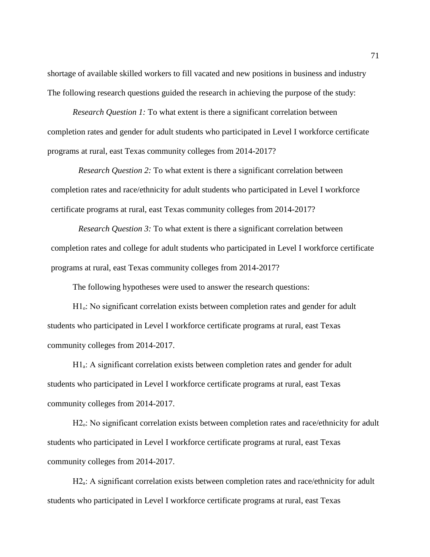shortage of available skilled workers to fill vacated and new positions in business and industry The following research questions guided the research in achieving the purpose of the study:

*Research Question 1:* To what extent is there a significant correlation between completion rates and gender for adult students who participated in Level I workforce certificate programs at rural, east Texas community colleges from 2014-2017?

*Research Question 2:* To what extent is there a significant correlation between completion rates and race/ethnicity for adult students who participated in Level I workforce certificate programs at rural, east Texas community colleges from 2014-2017?

*Research Question 3:* To what extent is there a significant correlation between completion rates and college for adult students who participated in Level I workforce certificate programs at rural, east Texas community colleges from 2014-2017?

The following hypotheses were used to answer the research questions:

H1<sub>0</sub>: No significant correlation exists between completion rates and gender for adult students who participated in Level I workforce certificate programs at rural, east Texas community colleges from 2014-2017.

 $H1_a$ : A significant correlation exists between completion rates and gender for adult students who participated in Level I workforce certificate programs at rural, east Texas community colleges from 2014-2017.

H<sub>2</sub>.: No significant correlation exists between completion rates and race/ethnicity for adult students who participated in Level I workforce certificate programs at rural, east Texas community colleges from 2014-2017.

H2<sub>a</sub>: A significant correlation exists between completion rates and race/ethnicity for adult students who participated in Level I workforce certificate programs at rural, east Texas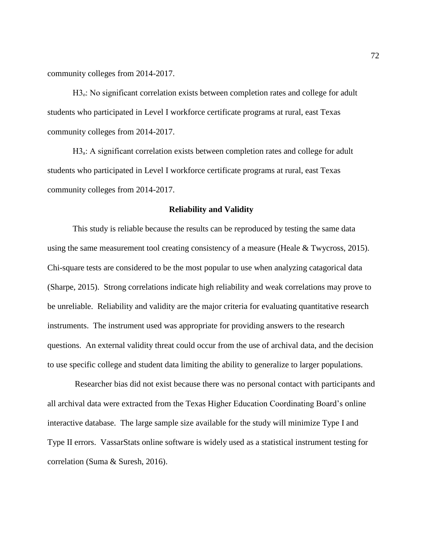community colleges from 2014-2017.

H<sub>3</sub>: No significant correlation exists between completion rates and college for adult students who participated in Level I workforce certificate programs at rural, east Texas community colleges from 2014-2017.

H3<sub>a</sub>: A significant correlation exists between completion rates and college for adult students who participated in Level I workforce certificate programs at rural, east Texas community colleges from 2014-2017.

#### **Reliability and Validity**

This study is reliable because the results can be reproduced by testing the same data using the same measurement tool creating consistency of a measure (Heale & Twycross, 2015). Chi-square tests are considered to be the most popular to use when analyzing catagorical data (Sharpe, 2015). Strong correlations indicate high reliability and weak correlations may prove to be unreliable. Reliability and validity are the major criteria for evaluating quantitative research instruments. The instrument used was appropriate for providing answers to the research questions. An external validity threat could occur from the use of archival data, and the decision to use specific college and student data limiting the ability to generalize to larger populations.

Researcher bias did not exist because there was no personal contact with participants and all archival data were extracted from the Texas Higher Education Coordinating Board's online interactive database. The large sample size available for the study will minimize Type I and Type II errors. VassarStats online software is widely used as a statistical instrument testing for correlation (Suma & Suresh, 2016).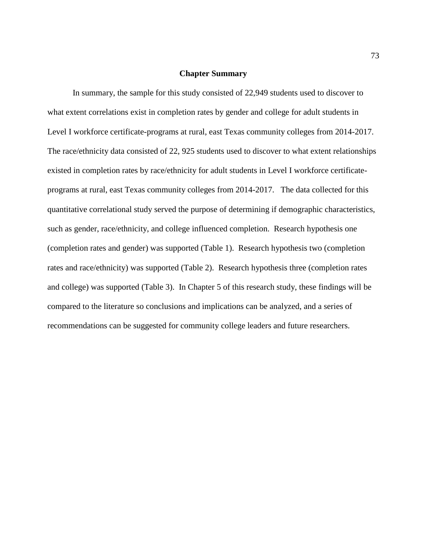## **Chapter Summary**

In summary, the sample for this study consisted of 22,949 students used to discover to what extent correlations exist in completion rates by gender and college for adult students in Level I workforce certificate-programs at rural, east Texas community colleges from 2014-2017. The race/ethnicity data consisted of 22, 925 students used to discover to what extent relationships existed in completion rates by race/ethnicity for adult students in Level I workforce certificateprograms at rural, east Texas community colleges from 2014-2017. The data collected for this quantitative correlational study served the purpose of determining if demographic characteristics, such as gender, race/ethnicity, and college influenced completion. Research hypothesis one (completion rates and gender) was supported (Table 1). Research hypothesis two (completion rates and race/ethnicity) was supported (Table 2). Research hypothesis three (completion rates and college) was supported (Table 3). In Chapter 5 of this research study, these findings will be compared to the literature so conclusions and implications can be analyzed, and a series of recommendations can be suggested for community college leaders and future researchers.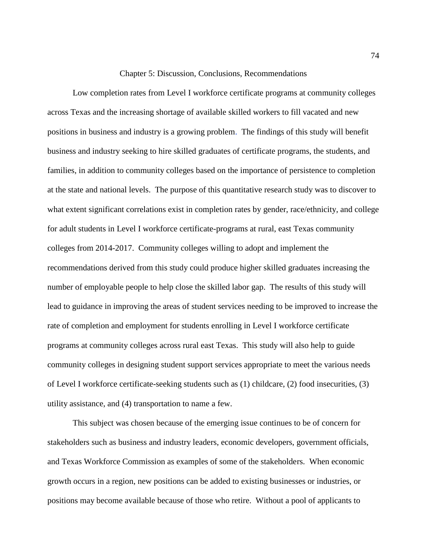#### Chapter 5: Discussion, Conclusions, Recommendations

Low completion rates from Level I workforce certificate programs at community colleges across Texas and the increasing shortage of available skilled workers to fill vacated and new positions in business and industry is a growing problem. The findings of this study will benefit business and industry seeking to hire skilled graduates of certificate programs, the students, and families, in addition to community colleges based on the importance of persistence to completion at the state and national levels. The purpose of this quantitative research study was to discover to what extent significant correlations exist in completion rates by gender, race/ethnicity, and college for adult students in Level I workforce certificate-programs at rural, east Texas community colleges from 2014-2017. Community colleges willing to adopt and implement the recommendations derived from this study could produce higher skilled graduates increasing the number of employable people to help close the skilled labor gap. The results of this study will lead to guidance in improving the areas of student services needing to be improved to increase the rate of completion and employment for students enrolling in Level I workforce certificate programs at community colleges across rural east Texas. This study will also help to guide community colleges in designing student support services appropriate to meet the various needs of Level I workforce certificate-seeking students such as (1) childcare, (2) food insecurities, (3) utility assistance, and (4) transportation to name a few.

This subject was chosen because of the emerging issue continues to be of concern for stakeholders such as business and industry leaders, economic developers, government officials, and Texas Workforce Commission as examples of some of the stakeholders. When economic growth occurs in a region, new positions can be added to existing businesses or industries, or positions may become available because of those who retire. Without a pool of applicants to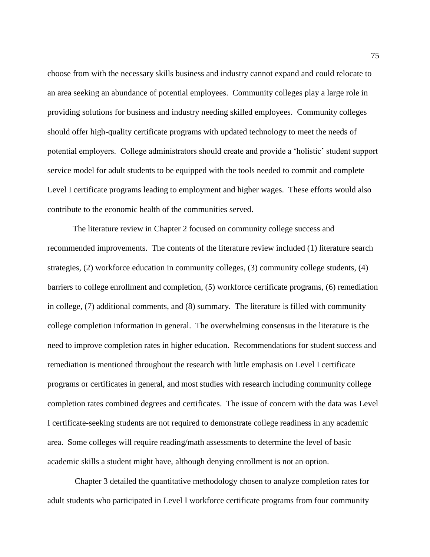choose from with the necessary skills business and industry cannot expand and could relocate to an area seeking an abundance of potential employees. Community colleges play a large role in providing solutions for business and industry needing skilled employees. Community colleges should offer high-quality certificate programs with updated technology to meet the needs of potential employers. College administrators should create and provide a 'holistic' student support service model for adult students to be equipped with the tools needed to commit and complete Level I certificate programs leading to employment and higher wages. These efforts would also contribute to the economic health of the communities served.

The literature review in Chapter 2 focused on community college success and recommended improvements. The contents of the literature review included (1) literature search strategies, (2) workforce education in community colleges, (3) community college students, (4) barriers to college enrollment and completion, (5) workforce certificate programs, (6) remediation in college, (7) additional comments, and (8) summary. The literature is filled with community college completion information in general. The overwhelming consensus in the literature is the need to improve completion rates in higher education. Recommendations for student success and remediation is mentioned throughout the research with little emphasis on Level I certificate programs or certificates in general, and most studies with research including community college completion rates combined degrees and certificates. The issue of concern with the data was Level I certificate-seeking students are not required to demonstrate college readiness in any academic area. Some colleges will require reading/math assessments to determine the level of basic academic skills a student might have, although denying enrollment is not an option.

Chapter 3 detailed the quantitative methodology chosen to analyze completion rates for adult students who participated in Level I workforce certificate programs from four community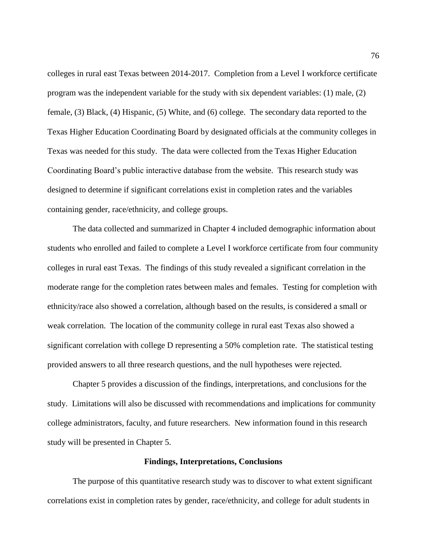colleges in rural east Texas between 2014-2017. Completion from a Level I workforce certificate program was the independent variable for the study with six dependent variables: (1) male, (2) female, (3) Black, (4) Hispanic, (5) White, and (6) college. The secondary data reported to the Texas Higher Education Coordinating Board by designated officials at the community colleges in Texas was needed for this study. The data were collected from the Texas Higher Education Coordinating Board's public interactive database from the website. This research study was designed to determine if significant correlations exist in completion rates and the variables containing gender, race/ethnicity, and college groups.

The data collected and summarized in Chapter 4 included demographic information about students who enrolled and failed to complete a Level I workforce certificate from four community colleges in rural east Texas. The findings of this study revealed a significant correlation in the moderate range for the completion rates between males and females. Testing for completion with ethnicity/race also showed a correlation, although based on the results, is considered a small or weak correlation. The location of the community college in rural east Texas also showed a significant correlation with college D representing a 50% completion rate. The statistical testing provided answers to all three research questions, and the null hypotheses were rejected.

Chapter 5 provides a discussion of the findings, interpretations, and conclusions for the study. Limitations will also be discussed with recommendations and implications for community college administrators, faculty, and future researchers. New information found in this research study will be presented in Chapter 5.

### **Findings, Interpretations, Conclusions**

The purpose of this quantitative research study was to discover to what extent significant correlations exist in completion rates by gender, race/ethnicity, and college for adult students in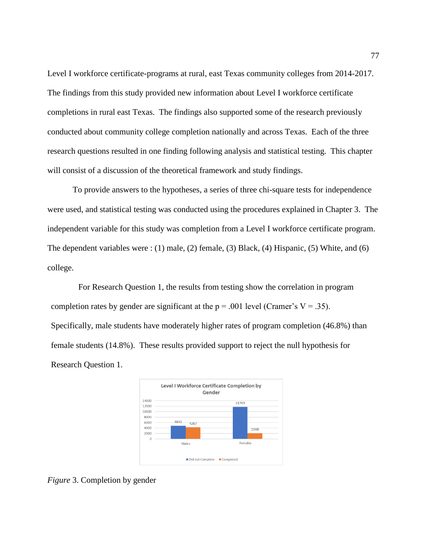Level I workforce certificate-programs at rural, east Texas community colleges from 2014-2017. The findings from this study provided new information about Level I workforce certificate completions in rural east Texas. The findings also supported some of the research previously conducted about community college completion nationally and across Texas. Each of the three research questions resulted in one finding following analysis and statistical testing. This chapter will consist of a discussion of the theoretical framework and study findings.

To provide answers to the hypotheses, a series of three chi-square tests for independence were used, and statistical testing was conducted using the procedures explained in Chapter 3. The independent variable for this study was completion from a Level I workforce certificate program. The dependent variables were : (1) male, (2) female, (3) Black, (4) Hispanic, (5) White, and (6) college.

For Research Question 1, the results from testing show the correlation in program completion rates by gender are significant at the  $p = .001$  level (Cramer's V = .35). Specifically, male students have moderately higher rates of program completion (46.8%) than female students (14.8%). These results provided support to reject the null hypothesis for Research Question 1.



*Figure* 3. Completion by gender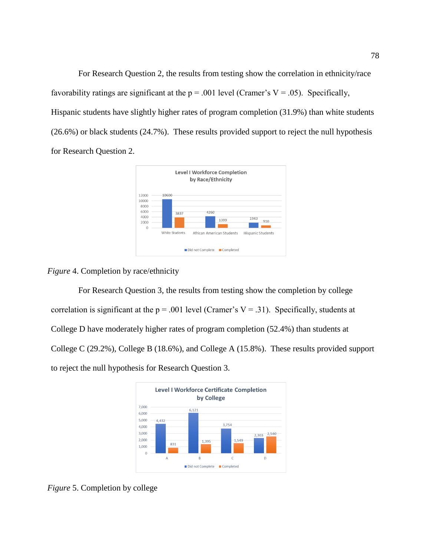For Research Question 2, the results from testing show the correlation in ethnicity/race favorability ratings are significant at the  $p = .001$  level (Cramer's V = .05). Specifically, Hispanic students have slightly higher rates of program completion (31.9%) than white students (26.6%) or black students (24.7%). These results provided support to reject the null hypothesis for Research Question 2.



### *Figure* 4. Completion by race/ethnicity

For Research Question 3, the results from testing show the completion by college correlation is significant at the  $p = .001$  level (Cramer's V = .31). Specifically, students at College D have moderately higher rates of program completion (52.4%) than students at College C (29.2%), College B (18.6%), and College A (15.8%). These results provided support to reject the null hypothesis for Research Question 3.



*Figure* 5. Completion by college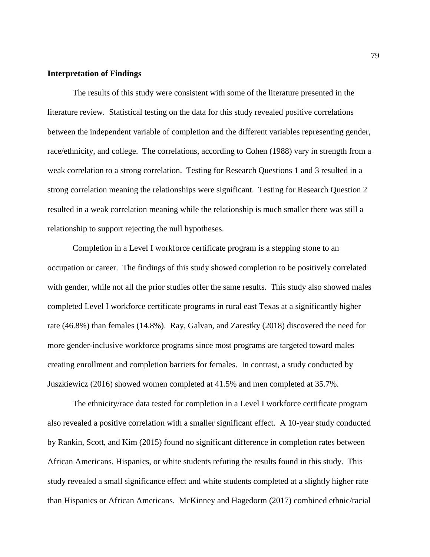### **Interpretation of Findings**

The results of this study were consistent with some of the literature presented in the literature review. Statistical testing on the data for this study revealed positive correlations between the independent variable of completion and the different variables representing gender, race/ethnicity, and college. The correlations, according to Cohen (1988) vary in strength from a weak correlation to a strong correlation. Testing for Research Questions 1 and 3 resulted in a strong correlation meaning the relationships were significant. Testing for Research Question 2 resulted in a weak correlation meaning while the relationship is much smaller there was still a relationship to support rejecting the null hypotheses.

Completion in a Level I workforce certificate program is a stepping stone to an occupation or career. The findings of this study showed completion to be positively correlated with gender, while not all the prior studies offer the same results. This study also showed males completed Level I workforce certificate programs in rural east Texas at a significantly higher rate (46.8%) than females (14.8%). Ray, Galvan, and Zarestky (2018) discovered the need for more gender-inclusive workforce programs since most programs are targeted toward males creating enrollment and completion barriers for females. In contrast, a study conducted by Juszkiewicz (2016) showed women completed at 41.5% and men completed at 35.7%.

The ethnicity/race data tested for completion in a Level I workforce certificate program also revealed a positive correlation with a smaller significant effect. A 10-year study conducted by Rankin, Scott, and Kim (2015) found no significant difference in completion rates between African Americans, Hispanics, or white students refuting the results found in this study. This study revealed a small significance effect and white students completed at a slightly higher rate than Hispanics or African Americans. McKinney and Hagedorm (2017) combined ethnic/racial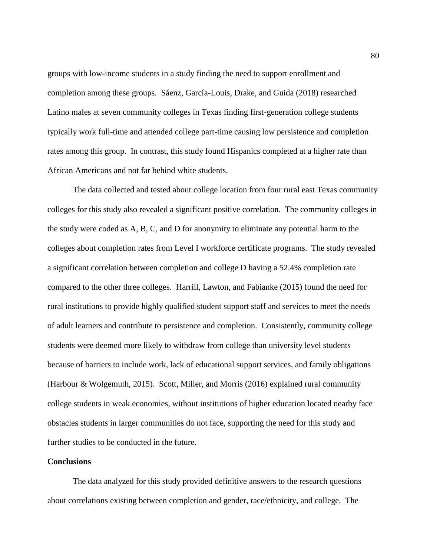groups with low-income students in a study finding the need to support enrollment and completion among these groups. Sáenz, García-Louis, Drake, and Guida (2018) researched Latino males at seven community colleges in Texas finding first-generation college students typically work full-time and attended college part-time causing low persistence and completion rates among this group. In contrast, this study found Hispanics completed at a higher rate than African Americans and not far behind white students.

The data collected and tested about college location from four rural east Texas community colleges for this study also revealed a significant positive correlation. The community colleges in the study were coded as A, B, C, and D for anonymity to eliminate any potential harm to the colleges about completion rates from Level I workforce certificate programs. The study revealed a significant correlation between completion and college D having a 52.4% completion rate compared to the other three colleges. Harrill, Lawton, and Fabianke (2015) found the need for rural institutions to provide highly qualified student support staff and services to meet the needs of adult learners and contribute to persistence and completion. Consistently, community college students were deemed more likely to withdraw from college than university level students because of barriers to include work, lack of educational support services, and family obligations (Harbour & Wolgemuth, 2015). Scott, Miller, and Morris (2016) explained rural community college students in weak economies, without institutions of higher education located nearby face obstacles students in larger communities do not face, supporting the need for this study and further studies to be conducted in the future.

# **Conclusions**

The data analyzed for this study provided definitive answers to the research questions about correlations existing between completion and gender, race/ethnicity, and college. The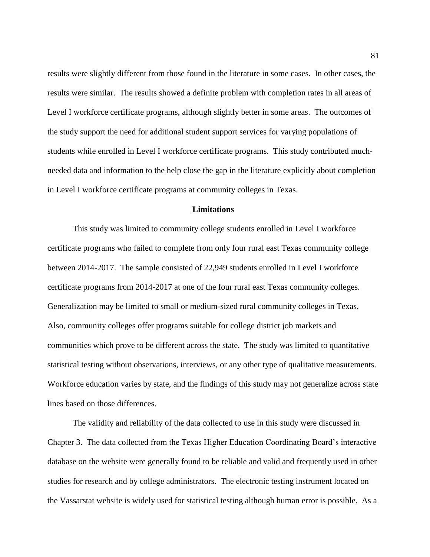results were slightly different from those found in the literature in some cases. In other cases, the results were similar. The results showed a definite problem with completion rates in all areas of Level I workforce certificate programs, although slightly better in some areas. The outcomes of the study support the need for additional student support services for varying populations of students while enrolled in Level I workforce certificate programs. This study contributed muchneeded data and information to the help close the gap in the literature explicitly about completion in Level I workforce certificate programs at community colleges in Texas.

## **Limitations**

This study was limited to community college students enrolled in Level I workforce certificate programs who failed to complete from only four rural east Texas community college between 2014-2017. The sample consisted of 22,949 students enrolled in Level I workforce certificate programs from 2014-2017 at one of the four rural east Texas community colleges. Generalization may be limited to small or medium-sized rural community colleges in Texas. Also, community colleges offer programs suitable for college district job markets and communities which prove to be different across the state. The study was limited to quantitative statistical testing without observations, interviews, or any other type of qualitative measurements. Workforce education varies by state, and the findings of this study may not generalize across state lines based on those differences.

The validity and reliability of the data collected to use in this study were discussed in Chapter 3. The data collected from the Texas Higher Education Coordinating Board's interactive database on the website were generally found to be reliable and valid and frequently used in other studies for research and by college administrators. The electronic testing instrument located on the Vassarstat website is widely used for statistical testing although human error is possible. As a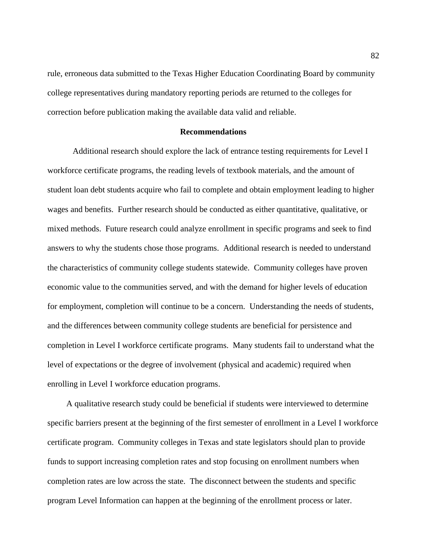rule, erroneous data submitted to the Texas Higher Education Coordinating Board by community college representatives during mandatory reporting periods are returned to the colleges for correction before publication making the available data valid and reliable.

### **Recommendations**

 Additional research should explore the lack of entrance testing requirements for Level I workforce certificate programs, the reading levels of textbook materials, and the amount of student loan debt students acquire who fail to complete and obtain employment leading to higher wages and benefits. Further research should be conducted as either quantitative, qualitative, or mixed methods. Future research could analyze enrollment in specific programs and seek to find answers to why the students chose those programs. Additional research is needed to understand the characteristics of community college students statewide. Community colleges have proven economic value to the communities served, and with the demand for higher levels of education for employment, completion will continue to be a concern. Understanding the needs of students, and the differences between community college students are beneficial for persistence and completion in Level I workforce certificate programs. Many students fail to understand what the level of expectations or the degree of involvement (physical and academic) required when enrolling in Level I workforce education programs.

 A qualitative research study could be beneficial if students were interviewed to determine specific barriers present at the beginning of the first semester of enrollment in a Level I workforce certificate program. Community colleges in Texas and state legislators should plan to provide funds to support increasing completion rates and stop focusing on enrollment numbers when completion rates are low across the state. The disconnect between the students and specific program Level Information can happen at the beginning of the enrollment process or later.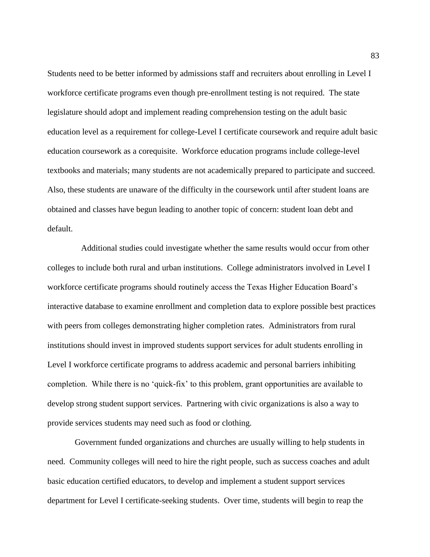Students need to be better informed by admissions staff and recruiters about enrolling in Level I workforce certificate programs even though pre-enrollment testing is not required. The state legislature should adopt and implement reading comprehension testing on the adult basic education level as a requirement for college-Level I certificate coursework and require adult basic education coursework as a corequisite. Workforce education programs include college-level textbooks and materials; many students are not academically prepared to participate and succeed. Also, these students are unaware of the difficulty in the coursework until after student loans are obtained and classes have begun leading to another topic of concern: student loan debt and default.

 Additional studies could investigate whether the same results would occur from other colleges to include both rural and urban institutions. College administrators involved in Level I workforce certificate programs should routinely access the Texas Higher Education Board's interactive database to examine enrollment and completion data to explore possible best practices with peers from colleges demonstrating higher completion rates. Administrators from rural institutions should invest in improved students support services for adult students enrolling in Level I workforce certificate programs to address academic and personal barriers inhibiting completion. While there is no 'quick-fix' to this problem, grant opportunities are available to develop strong student support services. Partnering with civic organizations is also a way to provide services students may need such as food or clothing.

Government funded organizations and churches are usually willing to help students in need. Community colleges will need to hire the right people, such as success coaches and adult basic education certified educators, to develop and implement a student support services department for Level I certificate-seeking students. Over time, students will begin to reap the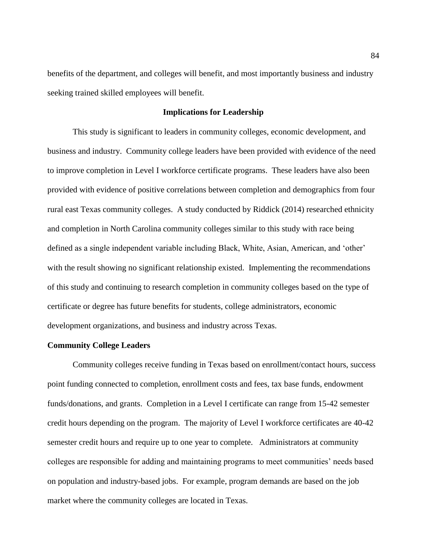benefits of the department, and colleges will benefit, and most importantly business and industry seeking trained skilled employees will benefit.

### **Implications for Leadership**

This study is significant to leaders in community colleges, economic development, and business and industry. Community college leaders have been provided with evidence of the need to improve completion in Level I workforce certificate programs. These leaders have also been provided with evidence of positive correlations between completion and demographics from four rural east Texas community colleges. A study conducted by Riddick (2014) researched ethnicity and completion in North Carolina community colleges similar to this study with race being defined as a single independent variable including Black, White, Asian, American, and 'other' with the result showing no significant relationship existed. Implementing the recommendations of this study and continuing to research completion in community colleges based on the type of certificate or degree has future benefits for students, college administrators, economic development organizations, and business and industry across Texas.

## **Community College Leaders**

Community colleges receive funding in Texas based on enrollment/contact hours, success point funding connected to completion, enrollment costs and fees, tax base funds, endowment funds/donations, and grants. Completion in a Level I certificate can range from 15-42 semester credit hours depending on the program. The majority of Level I workforce certificates are 40-42 semester credit hours and require up to one year to complete. Administrators at community colleges are responsible for adding and maintaining programs to meet communities' needs based on population and industry-based jobs. For example, program demands are based on the job market where the community colleges are located in Texas.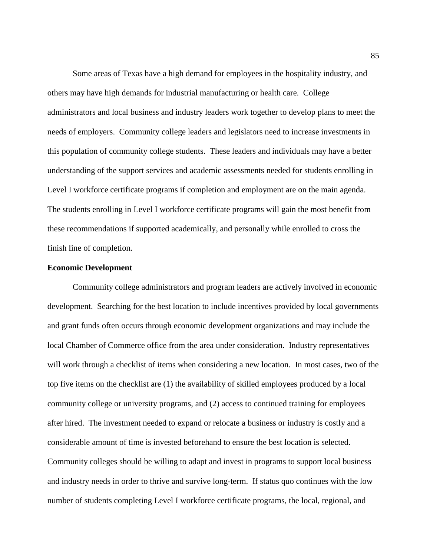Some areas of Texas have a high demand for employees in the hospitality industry, and others may have high demands for industrial manufacturing or health care. College administrators and local business and industry leaders work together to develop plans to meet the needs of employers. Community college leaders and legislators need to increase investments in this population of community college students. These leaders and individuals may have a better understanding of the support services and academic assessments needed for students enrolling in Level I workforce certificate programs if completion and employment are on the main agenda. The students enrolling in Level I workforce certificate programs will gain the most benefit from these recommendations if supported academically, and personally while enrolled to cross the finish line of completion.

### **Economic Development**

Community college administrators and program leaders are actively involved in economic development. Searching for the best location to include incentives provided by local governments and grant funds often occurs through economic development organizations and may include the local Chamber of Commerce office from the area under consideration. Industry representatives will work through a checklist of items when considering a new location. In most cases, two of the top five items on the checklist are (1) the availability of skilled employees produced by a local community college or university programs, and (2) access to continued training for employees after hired. The investment needed to expand or relocate a business or industry is costly and a considerable amount of time is invested beforehand to ensure the best location is selected. Community colleges should be willing to adapt and invest in programs to support local business and industry needs in order to thrive and survive long-term. If status quo continues with the low number of students completing Level I workforce certificate programs, the local, regional, and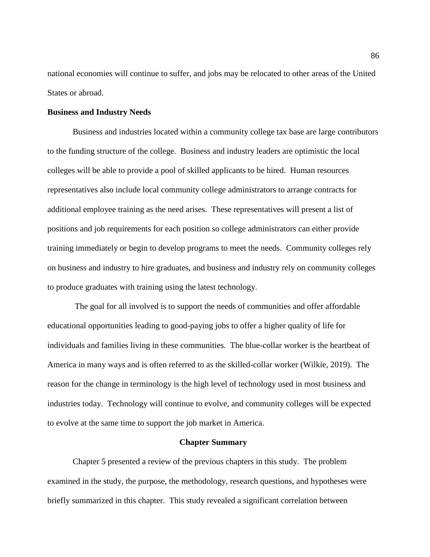national economies will continue to suffer, and jobs may be relocated to other areas of the United States or abroad.

## **Business and Industry Needs**

Business and industries located within a community college tax base are large contributors to the funding structure of the college. Business and industry leaders are optimistic the local colleges will be able to provide a pool of skilled applicants to be hired. Human resources representatives also include local community college administrators to arrange contracts for additional employee training as the need arises. These representatives will present a list of positions and job requirements for each position so college administrators can either provide training immediately or begin to develop programs to meet the needs. Community colleges rely on business and industry to hire graduates, and business and industry rely on community colleges to produce graduates with training using the latest technology.

The goal for all involved is to support the needs of communities and offer affordable educational opportunities leading to good-paying jobs to offer a higher quality of life for individuals and families living in these communities. The blue-collar worker is the heartbeat of America in many ways and is often referred to as the skilled-collar worker (Wilkie, 2019). The reason for the change in terminology is the high level of technology used in most business and industries today. Technology will continue to evolve, and community colleges will be expected to evolve at the same time to support the job market in America.

### **Chapter Summary**

Chapter 5 presented a review of the previous chapters in this study. The problem examined in the study, the purpose, the methodology, research questions, and hypotheses were briefly summarized in this chapter. This study revealed a significant correlation between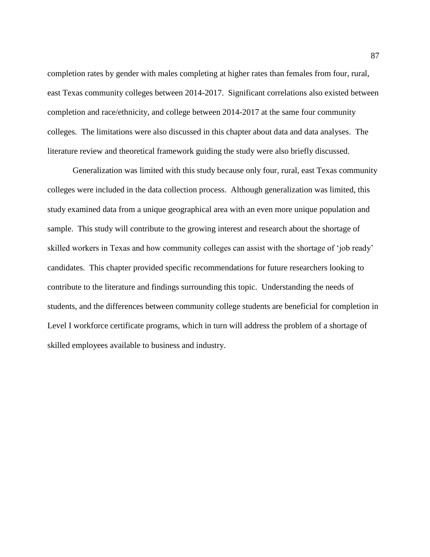completion rates by gender with males completing at higher rates than females from four, rural, east Texas community colleges between 2014-2017. Significant correlations also existed between completion and race/ethnicity, and college between 2014-2017 at the same four community colleges. The limitations were also discussed in this chapter about data and data analyses. The literature review and theoretical framework guiding the study were also briefly discussed.

Generalization was limited with this study because only four, rural, east Texas community colleges were included in the data collection process. Although generalization was limited, this study examined data from a unique geographical area with an even more unique population and sample. This study will contribute to the growing interest and research about the shortage of skilled workers in Texas and how community colleges can assist with the shortage of 'job ready' candidates. This chapter provided specific recommendations for future researchers looking to contribute to the literature and findings surrounding this topic. Understanding the needs of students, and the differences between community college students are beneficial for completion in Level I workforce certificate programs, which in turn will address the problem of a shortage of skilled employees available to business and industry.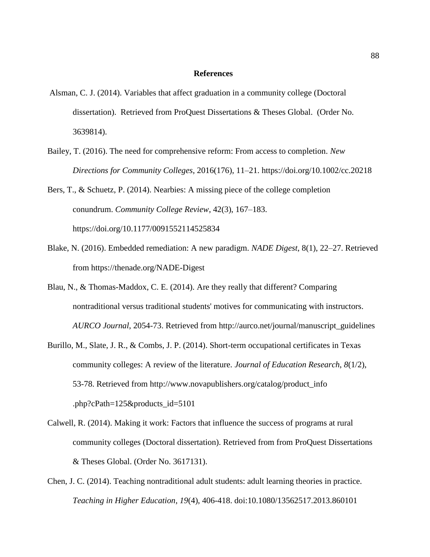#### **References**

- Alsman, C. J. (2014). Variables that affect graduation in a community college (Doctoral dissertation). Retrieved from ProQuest Dissertations & Theses Global. (Order No. 3639814).
- Bailey, T. (2016). The need for comprehensive reform: From access to completion. *New Directions for Community Colleges*, 2016(176), 11–21. https://doi.org/10.1002/cc.20218

Bers, T., & Schuetz, P. (2014). Nearbies: A missing piece of the college completion conundrum. *Community College Review*, 42(3), 167–183. https://doi.org/10.1177/0091552114525834

- Blake, N. (2016). Embedded remediation: A new paradigm. *NADE Digest*, 8(1), 22–27. Retrieved from https://thenade.org/NADE-Digest
- Blau, N., & Thomas-Maddox, C. E. (2014). Are they really that different? Comparing nontraditional versus traditional students' motives for communicating with instructors. *AURCO Journal*, 2054-73. Retrieved from http://aurco.net/journal/manuscript\_guidelines
- Burillo, M., Slate, J. R., & Combs, J. P. (2014). Short-term occupational certificates in Texas community colleges: A review of the literature. *Journal of Education Research*, *8*(1/2), 53-78. Retrieved from http://www.novapublishers.org/catalog/product\_info .php?cPath=125&products\_id=5101
- Calwell, R. (2014). Making it work: Factors that influence the success of programs at rural community colleges (Doctoral dissertation). Retrieved from from ProQuest Dissertations & Theses Global. (Order No. 3617131).
- Chen, J. C. (2014). Teaching nontraditional adult students: adult learning theories in practice. *Teaching in Higher Education*, *19*(4), 406-418. doi:10.1080/13562517.2013.860101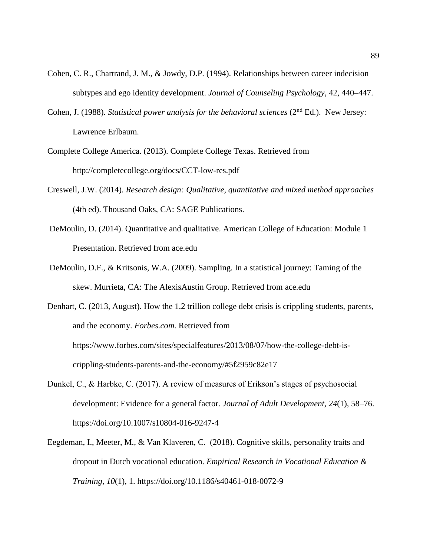- Cohen, C. R., Chartrand, J. M., & Jowdy, D.P. (1994). Relationships between career indecision subtypes and ego identity development. *Journal of Counseling Psychology*, 42, 440–447.
- Cohen, J. (1988). *Statistical power analysis for the behavioral sciences* (2<sup>nd</sup> Ed.). New Jersey: Lawrence Erlbaum.
- Complete College America. (2013). Complete College Texas. Retrieved from http://completecollege.org/docs/CCT-low-res.pdf
- Creswell, J.W. (2014). *Research design: Qualitative, quantitative and mixed method approaches* (4th ed). Thousand Oaks, CA: SAGE Publications.
- DeMoulin, D. (2014). Quantitative and qualitative. American College of Education: Module 1 Presentation. Retrieved from ace.edu
- DeMoulin, D.F., & Kritsonis, W.A. (2009). Sampling. In a statistical journey: Taming of the skew. Murrieta, CA: The AlexisAustin Group. Retrieved from ace.edu

Denhart, C. (2013, August). How the 1.2 trillion college debt crisis is crippling students, parents, and the economy. *Forbes.com.* Retrieved from https://www.forbes.com/sites/specialfeatures/2013/08/07/how-the-college-debt-iscrippling-students-parents-and-the-economy/#5f2959c82e17

- Dunkel, C., & Harbke, C. (2017). A review of measures of Erikson's stages of psychosocial development: Evidence for a general factor. *Journal of Adult Development, 24*(1), 58–76. https://doi.org/10.1007/s10804-016-9247-4
- Eegdeman, I., Meeter, M., & Van Klaveren, C. (2018). Cognitive skills, personality traits and dropout in Dutch vocational education. *Empirical Research in Vocational Education & Training*, *10*(1), 1. https://doi.org/10.1186/s40461-018-0072-9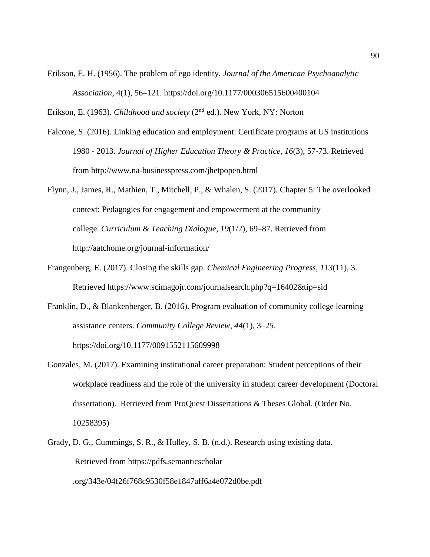- Erikson, E. H. (1956). The problem of ego identity. *Journal of the American Psychoanalytic Association*, 4(1), 56–121. https://doi.org/10.1177/000306515600400104
- Erikson, E. (1963). *Childhood and society* (2nd ed.). New York, NY: Norton
- Falcone, S. (2016). Linking education and employment: Certificate programs at US institutions 1980 - 2013. *Journal of Higher Education Theory & Practice*, *16*(3), 57-73. Retrieved from http://www.na-businesspress.com/jhetpopen.html
- Flynn, J., James, R., Mathien, T., Mitchell, P., & Whalen, S. (2017). Chapter 5: The overlooked context: Pedagogies for engagement and empowerment at the community college. *Curriculum & Teaching Dialogue*, *19*(1/2), 69–87. Retrieved from http://aatchome.org/journal-information/
- Frangenberg, E. (2017). Closing the skills gap. *Chemical Engineering Progress*, *113*(11), 3. Retrieved https://www.scimagojr.com/journalsearch.php?q=16402&tip=sid
- Franklin, D., & Blankenberger, B. (2016). Program evaluation of community college learning assistance centers. *Community College Review*, *44*(1), 3–25. https://doi.org/10.1177/0091552115609998
- Gonzales, M. (2017). Examining institutional career preparation: Student perceptions of their workplace readiness and the role of the university in student career development (Doctoral dissertation). Retrieved from ProQuest Dissertations & Theses Global. (Order No. 10258395)
- Grady, D. G., Cummings, S. R., & Hulley, S. B. (n.d.). Research using existing data. Retrieved from https://pdfs.semanticscholar .org/343e/04f26f768c9530f58e1847aff6a4e072d0be.pdf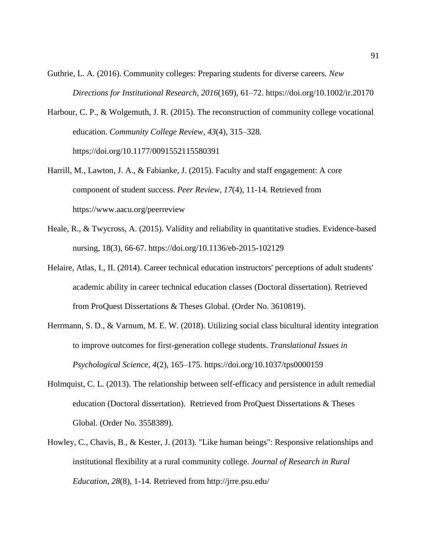- Guthrie, L. A. (2016). Community colleges: Preparing students for diverse careers. *New Directions for Institutional Research*, *2016*(169), 61–72. https://doi.org/10.1002/ir.20170
- Harbour, C. P., & Wolgemuth, J. R. (2015). The reconstruction of community college vocational education. *Community College Review*, *43*(4), 315–328. https://doi.org/10.1177/0091552115580391
- Harrill, M., Lawton, J. A., & Fabianke, J. (2015). Faculty and staff engagement: A core component of student success. *Peer Review*, *17*(4), 11-14. Retrieved from https://www.aacu.org/peerreview
- Heale, R., & Twycross, A. (2015). Validity and reliability in quantitative studies. Evidence-based nursing, 18(3), 66-67. https://doi.org/10.1136/eb-2015-102129
- Helaire, Atlas, I., II. (2014). Career technical education instructors' perceptions of adult students' academic ability in career technical education classes (Doctoral dissertation). Retrieved from ProQuest Dissertations & Theses Global. (Order No. 3610819).
- Herrmann, S. D., & Varnum, M. E. W. (2018). Utilizing social class bicultural identity integration to improve outcomes for first-generation college students. *Translational Issues in Psychological Science*, *4*(2), 165–175. https://doi.org/10.1037/tps0000159
- Holmquist, C. L. (2013). The relationship between self-efficacy and persistence in adult remedial education (Doctoral dissertation). Retrieved from ProQuest Dissertations & Theses Global. (Order No. 3558389).
- Howley, C., Chavis, B., & Kester, J. (2013). "Like human beings": Responsive relationships and institutional flexibility at a rural community college. *Journal of Research in Rural Education*, *28*(8), 1-14. Retrieved from http://jrre.psu.edu/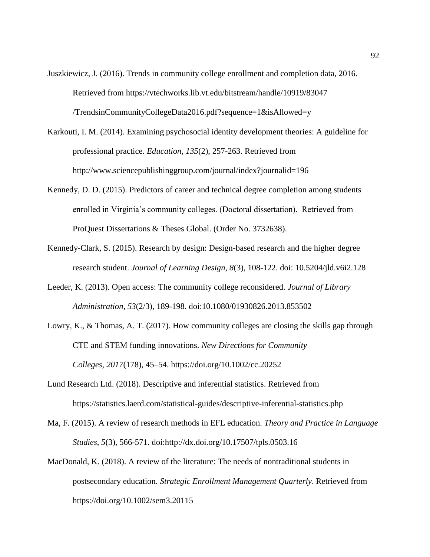- Juszkiewicz, J. (2016). Trends in community college enrollment and completion data, 2016. Retrieved from https://vtechworks.lib.vt.edu/bitstream/handle/10919/83047 /TrendsinCommunityCollegeData2016.pdf?sequence=1&isAllowed=y
- Karkouti, I. M. (2014). Examining psychosocial identity development theories: A guideline for professional practice. *Education*, *135*(2), 257-263. Retrieved from http://www.sciencepublishinggroup.com/journal/index?journalid=196
- Kennedy, D. D. (2015). Predictors of career and technical degree completion among students enrolled in Virginia's community colleges. (Doctoral dissertation). Retrieved from ProQuest Dissertations & Theses Global. (Order No. 3732638).
- Kennedy-Clark, S. (2015). Research by design: Design-based research and the higher degree research student. *Journal of Learning Design*, *8*(3), 108-122. doi: 10.5204/jld.v6i2.128
- Leeder, K. (2013). Open access: The community college reconsidered. *Journal of Library Administration*, *53*(2/3), 189-198. doi:10.1080/01930826.2013.853502
- Lowry, K., & Thomas, A. T. (2017). How community colleges are closing the skills gap through CTE and STEM funding innovations. *New Directions for Community Colleges*, *2017*(178), 45–54. https://doi.org/10.1002/cc.20252
- Lund Research Ltd. (2018). Descriptive and inferential statistics. Retrieved from https://statistics.laerd.com/statistical-guides/descriptive-inferential-statistics.php
- Ma, F. (2015). A review of research methods in EFL education. *Theory and Practice in Language Studies*, *5*(3), 566-571. doi:http://dx.doi.org/10.17507/tpls.0503.16
- MacDonald, K. (2018). A review of the literature: The needs of nontraditional students in postsecondary education. *Strategic Enrollment Management Quarterly*. Retrieved from https://doi.org/10.1002/sem3.20115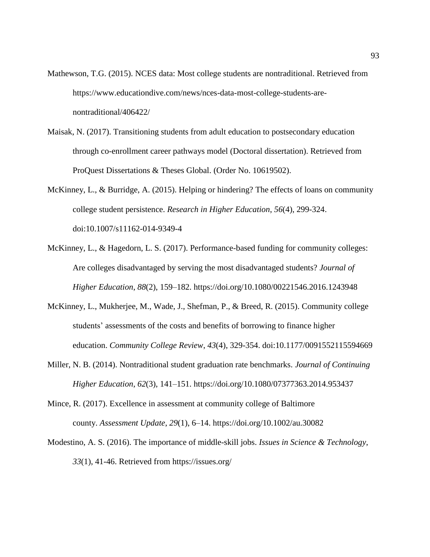- Mathewson, T.G. (2015). NCES data: Most college students are nontraditional. Retrieved from https://www.educationdive.com/news/nces-data-most-college-students-arenontraditional/406422/
- Maisak, N. (2017). Transitioning students from adult education to postsecondary education through co-enrollment career pathways model (Doctoral dissertation). Retrieved from ProQuest Dissertations & Theses Global. (Order No. 10619502).
- McKinney, L., & Burridge, A. (2015). Helping or hindering? The effects of loans on community college student persistence. *Research in Higher Education*, *56*(4), 299-324. doi:10.1007/s11162-014-9349-4
- McKinney, L., & Hagedorn, L. S. (2017). Performance-based funding for community colleges: Are colleges disadvantaged by serving the most disadvantaged students? *Journal of Higher Education*, *88*(2), 159–182. https://doi.org/10.1080/00221546.2016.1243948
- McKinney, L., Mukherjee, M., Wade, J., Shefman, P., & Breed, R. (2015). Community college students' assessments of the costs and benefits of borrowing to finance higher education. *Community College Review*, *43*(4), 329-354. doi:10.1177/0091552115594669
- Miller, N. B. (2014). Nontraditional student graduation rate benchmarks. *Journal of Continuing Higher Education*, *62*(3), 141–151. https://doi.org/10.1080/07377363.2014.953437
- Mince, R. (2017). Excellence in assessment at community college of Baltimore county. *Assessment Update*, *29*(1), 6–14. https://doi.org/10.1002/au.30082
- Modestino, A. S. (2016). The importance of middle-skill jobs. *Issues in Science & Technology*, *33*(1), 41-46. Retrieved from https://issues.org/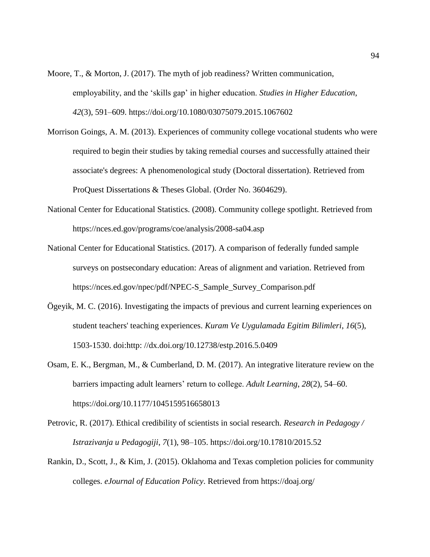- Moore, T., & Morton, J. (2017). The myth of job readiness? Written communication, employability, and the 'skills gap' in higher education. *Studies in Higher Education*, *42*(3), 591–609. https://doi.org/10.1080/03075079.2015.1067602
- Morrison Goings, A. M. (2013). Experiences of community college vocational students who were required to begin their studies by taking remedial courses and successfully attained their associate's degrees: A phenomenological study (Doctoral dissertation). Retrieved from ProQuest Dissertations & Theses Global. (Order No. 3604629).
- National Center for Educational Statistics. (2008). Community college spotlight. Retrieved from https://nces.ed.gov/programs/coe/analysis/2008-sa04.asp
- National Center for Educational Statistics. (2017). A comparison of federally funded sample surveys on postsecondary education: Areas of alignment and variation. Retrieved from [https://nces.ed.gov/npec/pdf/NPEC-S\\_Sample\\_Survey\\_Comparison.pdf](https://nces.ed.gov/npec/pdf/NPEC-S_Sample_Survey_Comparison.pdf)
- Ögeyik, M. C. (2016). Investigating the impacts of previous and current learning experiences on student teachers' teaching experiences. *Kuram Ve Uygulamada Egitim Bilimleri*, *16*(5), 1503-1530. doi:http: //dx.doi.org/10.12738/estp.2016.5.0409
- Osam, E. K., Bergman, M., & Cumberland, D. M. (2017). An integrative literature review on the barriers impacting adult learners' return to college. *Adult Learning*, *28*(2), 54–60. https://doi.org/10.1177/1045159516658013
- Petrovic, R. (2017). Ethical credibility of scientists in social research. *Research in Pedagogy / Istrazivanja u Pedagogiji*, *7*(1), 98–105. https://doi.org/10.17810/2015.52
- Rankin, D., Scott, J., & Kim, J. (2015). Oklahoma and Texas completion policies for community colleges. *eJournal of Education Policy*. Retrieved from https://doaj.org/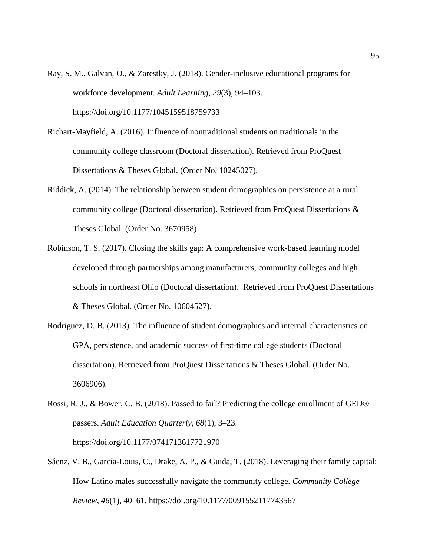- Ray, S. M., Galvan, O., & Zarestky, J. (2018). Gender-inclusive educational programs for workforce development. *Adult Learning*, *29*(3), 94–103. https://doi.org/10.1177/1045159518759733
- Richart-Mayfield, A. (2016). Influence of nontraditional students on traditionals in the community college classroom (Doctoral dissertation). Retrieved from ProQuest Dissertations & Theses Global. (Order No. 10245027).
- Riddick, A. (2014). The relationship between student demographics on persistence at a rural community college (Doctoral dissertation). Retrieved from ProQuest Dissertations & Theses Global. (Order No. 3670958)
- Robinson, T. S. (2017). Closing the skills gap: A comprehensive work-based learning model developed through partnerships among manufacturers, community colleges and high schools in northeast Ohio (Doctoral dissertation). Retrieved from ProQuest Dissertations & Theses Global. (Order No. 10604527).
- Rodriguez, D. B. (2013). The influence of student demographics and internal characteristics on GPA, persistence, and academic success of first-time college students (Doctoral dissertation). Retrieved from ProQuest Dissertations & Theses Global. (Order No. 3606906).
- Rossi, R. J., & Bower, C. B. (2018). Passed to fail? Predicting the college enrollment of GED® passers. *Adult Education Quarterly, 68*(1), 3–23. https://doi.org/10.1177/0741713617721970
- Sáenz, V. B., García-Louis, C., Drake, A. P., & Guida, T. (2018). Leveraging their family capital: How Latino males successfully navigate the community college. *Community College Review*, *46*(1), 40–61. https://doi.org/10.1177/0091552117743567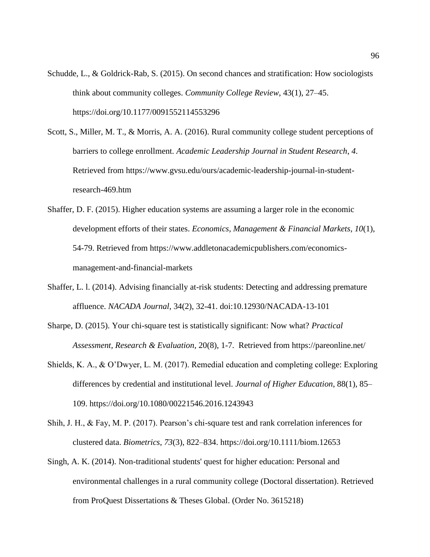- Schudde, L., & Goldrick-Rab, S. (2015). On second chances and stratification: How sociologists think about community colleges. *Community College Review*, 43(1), 27–45. https://doi.org/10.1177/0091552114553296
- Scott, S., Miller, M. T., & Morris, A. A. (2016). Rural community college student perceptions of barriers to college enrollment. *Academic Leadership Journal in Student Research*, *4*. Retrieved from https://www.gvsu.edu/ours/academic-leadership-journal-in-studentresearch-469.htm
- Shaffer, D. F. (2015). Higher education systems are assuming a larger role in the economic development efforts of their states. *Economics, Management & Financial Markets*, *10*(1), 54-79. Retrieved from https://www.addletonacademicpublishers.com/economicsmanagement-and-financial-markets
- Shaffer, L. l. (2014). Advising financially at-risk students: Detecting and addressing premature affluence. *NACADA Journal*, 34(2), 32-41. doi:10.12930/NACADA-13-101
- Sharpe, D. (2015). Your chi-square test is statistically significant: Now what? *Practical Assessment, Research & Evaluation*, 20(8), 1-7. Retrieved from https://pareonline.net/
- Shields, K. A., & O'Dwyer, L. M. (2017). Remedial education and completing college: Exploring differences by credential and institutional level. *Journal of Higher Education*, 88(1), 85– 109. https://doi.org/10.1080/00221546.2016.1243943
- Shih, J. H., & Fay, M. P. (2017). Pearson's chi-square test and rank correlation inferences for clustered data. *Biometrics*, *73*(3), 822–834. https://doi.org/10.1111/biom.12653
- Singh, A. K. (2014). Non-traditional students' quest for higher education: Personal and environmental challenges in a rural community college (Doctoral dissertation). Retrieved from ProQuest Dissertations & Theses Global. (Order No. 3615218)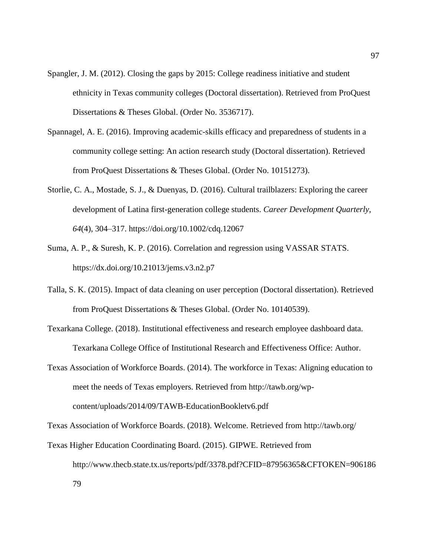- Spangler, J. M. (2012). Closing the gaps by 2015: College readiness initiative and student ethnicity in Texas community colleges (Doctoral dissertation). Retrieved from ProQuest Dissertations & Theses Global. (Order No. 3536717).
- Spannagel, A. E. (2016). Improving academic-skills efficacy and preparedness of students in a community college setting: An action research study (Doctoral dissertation). Retrieved from ProQuest Dissertations & Theses Global. (Order No. 10151273).
- Storlie, C. A., Mostade, S. J., & Duenyas, D. (2016). Cultural trailblazers: Exploring the career development of Latina first-generation college students. *Career Development Quarterly, 64*(4), 304–317. https://doi.org/10.1002/cdq.12067
- Suma, A. P., & Suresh, K. P. (2016). Correlation and regression using VASSAR STATS. https://dx.doi.org/10.21013/jems.v3.n2.p7
- Talla, S. K. (2015). Impact of data cleaning on user perception (Doctoral dissertation). Retrieved from ProQuest Dissertations & Theses Global. (Order No. 10140539).
- Texarkana College. (2018). Institutional effectiveness and research employee dashboard data. Texarkana College Office of Institutional Research and Effectiveness Office: Author.
- Texas Association of Workforce Boards. (2014). The workforce in Texas: Aligning education to meet the needs of Texas employers. Retrieved from http://tawb.org/wpcontent/uploads/2014/09/TAWB-EducationBookletv6.pdf

Texas Association of Workforce Boards. (2018). Welcome. Retrieved from http://tawb.org/

Texas Higher Education Coordinating Board. (2015). GIPWE. Retrieved from http://www.thecb.state.tx.us/reports/pdf/3378.pdf?CFID=87956365&CFTOKEN=906186 79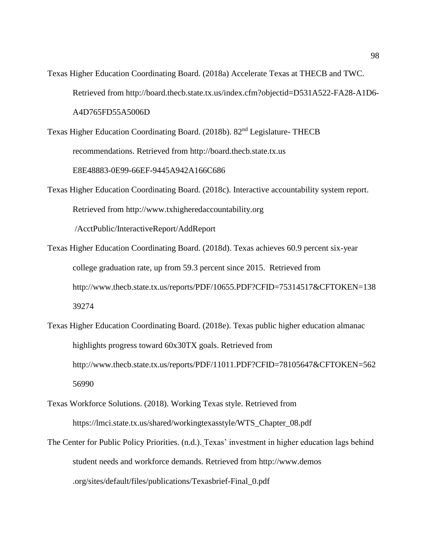- Texas Higher Education Coordinating Board. (2018a) Accelerate Texas at THECB and TWC. Retrieved from http://board.thecb.state.tx.us/index.cfm?objectid=D531A522-FA28-A1D6- A4D765FD55A5006D
- Texas Higher Education Coordinating Board. (2018b). 82nd Legislature- THECB recommendations. Retrieved from http://board.thecb.state.tx.us E8E48883-0E99-66EF-9445A942A166C686
- Texas Higher Education Coordinating Board. (2018c). Interactive accountability system report. Retrieved from http://www.txhigheredaccountability.org [/AcctPublic/InteractiveReport/AddReport](http://www.txhigheredaccountability.org/AcctPublic/InteractiveReport/AddReport)
- Texas Higher Education Coordinating Board. (2018d). Texas achieves 60.9 percent six-year college graduation rate, up from 59.3 percent since 2015. Retrieved from http://www.thecb.state.tx.us/reports/PDF/10655.PDF?CFID=75314517&CFTOKEN=138 39274
- Texas Higher Education Coordinating Board. (2018e). Texas public higher education almanac highlights progress toward 60x30TX goals. Retrieved from http://www.thecb.state.tx.us/reports/PDF/11011.PDF?CFID=78105647&CFTOKEN=562 56990
- Texas Workforce Solutions. (2018). Working Texas style. Retrieved from https://lmci.state.tx.us/shared/workingtexasstyle/WTS\_Chapter\_08.pdf
- The Center for Public Policy Priorities. (n.d.). Texas' investment in higher education lags behind student needs and workforce demands. Retrieved from http://www.demos [.org/sites/default/files/publications/Texasbrief-Final\\_0.pdf](http://www.demos.org/sites/default/files/publications/Texasbrief-Final_0.pdf)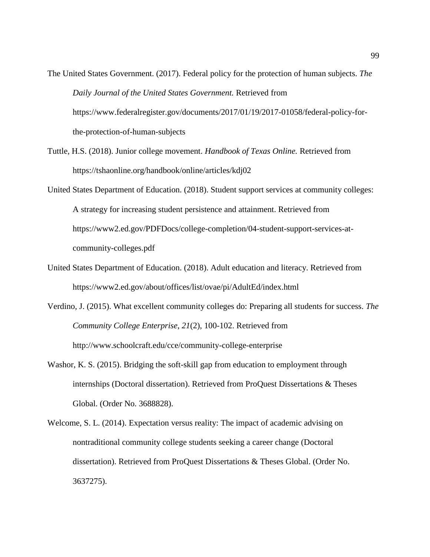- The United States Government. (2017). Federal policy for the protection of human subjects. *The Daily Journal of the United States Government.* Retrieved from https://www.federalregister.gov/documents/2017/01/19/2017-01058/federal-policy-forthe-protection-of-human-subjects
- Tuttle, H.S. (2018). Junior college movement. *Handbook of Texas Online.* Retrieved from https://tshaonline.org/handbook/online/articles/kdj02
- United States Department of Education. (2018). Student support services at community colleges: A strategy for increasing student persistence and attainment. Retrieved from https://www2.ed.gov/PDFDocs/college-completion/04-student-support-services-atcommunity-colleges.pdf
- United States Department of Education. (2018). Adult education and literacy. Retrieved from https://www2.ed.gov/about/offices/list/ovae/pi/AdultEd/index.html
- Verdino, J. (2015). What excellent community colleges do: Preparing all students for success. *The Community College Enterprise*, *21*(2), 100-102. Retrieved from http://www.schoolcraft.edu/cce/community-college-enterprise
- Washor, K. S. (2015). Bridging the soft-skill gap from education to employment through internships (Doctoral dissertation). Retrieved from ProQuest Dissertations & Theses Global. (Order No. 3688828).
- Welcome, S. L. (2014). Expectation versus reality: The impact of academic advising on nontraditional community college students seeking a career change (Doctoral dissertation). Retrieved from ProQuest Dissertations & Theses Global. (Order No. 3637275).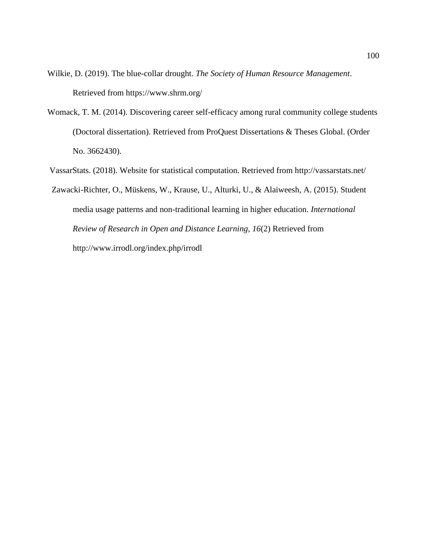Wilkie, D. (2019). The blue-collar drought. *The Society of Human Resource Management*. Retrieved from https://www.shrm.org/

- Womack, T. M. (2014). Discovering career self-efficacy among rural community college students (Doctoral dissertation). Retrieved from ProQuest Dissertations & Theses Global. (Order No. 3662430).
- VassarStats. (2018). Website for statistical computation. Retrieved from http://vassarstats.net/

 Zawacki-Richter, O., Müskens, W., Krause, U., Alturki, U., & Alaiweesh, A. (2015). Student media usage patterns and non-traditional learning in higher education. *International Review of Research in Open and Distance Learning*, *16*(2) Retrieved from http://www.irrodl.org/index.php/irrodl